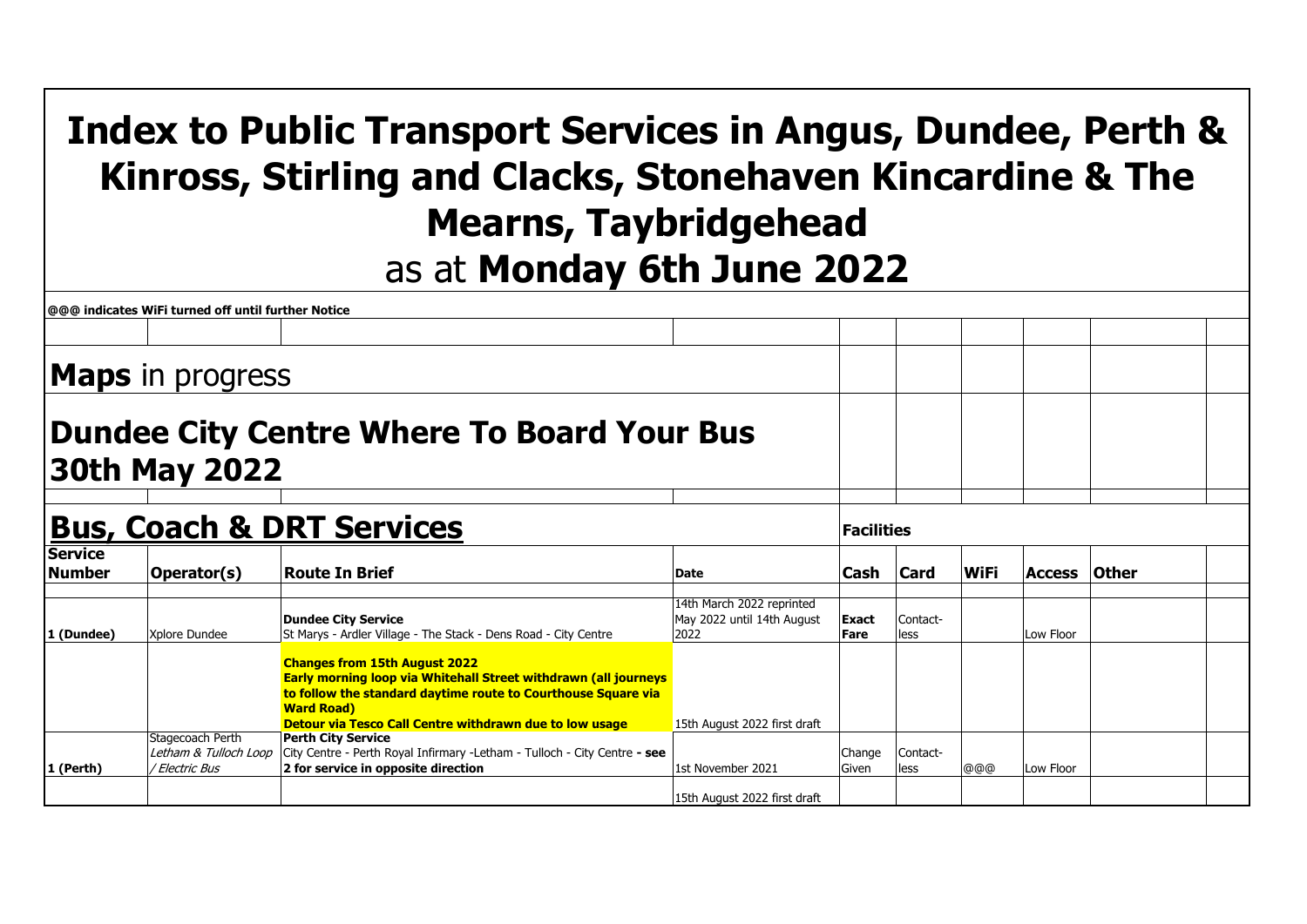## **Index to Public Transport Services in Angus, Dundee, Perth & Kinross, Stirling and Clacks, Stonehaven Kincardine & The Mearns, Taybridgehead** as at **Monday 6th June 2022**

| @@@ indicates WiFi turned off until further Notice<br><b>Maps</b> in progress<br><b>Dundee City Centre Where To Board Your Bus</b><br>30th May 2022<br><b>Bus, Coach &amp; DRT Services</b><br><b>Facilities</b><br><b>Service</b><br><b>Number</b><br><b>Card</b><br><b>WiFi</b><br><b>Route In Brief</b><br>Operator(s)<br>Cash<br><b>Other</b><br><b>Access</b><br> Date<br>14th March 2022 reprinted<br><b>Dundee City Service</b><br>May 2022 until 14th August<br>Contact-<br>Exact<br>St Marys - Ardler Village - The Stack - Dens Road - City Centre<br>2022<br>1 (Dundee)<br>Xplore Dundee<br>Low Floor<br>Fare<br>less<br><b>Changes from 15th August 2022</b><br>Early morning loop via Whitehall Street withdrawn (all journeys<br>to follow the standard daytime route to Courthouse Square via<br><b>Ward Road</b> )<br>Detour via Tesco Call Centre withdrawn due to low usage<br>15th August 2022 first draft |                                                             |                                                                                                                                                |                              |                        |                  |     |           |  |
|-------------------------------------------------------------------------------------------------------------------------------------------------------------------------------------------------------------------------------------------------------------------------------------------------------------------------------------------------------------------------------------------------------------------------------------------------------------------------------------------------------------------------------------------------------------------------------------------------------------------------------------------------------------------------------------------------------------------------------------------------------------------------------------------------------------------------------------------------------------------------------------------------------------------------------|-------------------------------------------------------------|------------------------------------------------------------------------------------------------------------------------------------------------|------------------------------|------------------------|------------------|-----|-----------|--|
|                                                                                                                                                                                                                                                                                                                                                                                                                                                                                                                                                                                                                                                                                                                                                                                                                                                                                                                               |                                                             |                                                                                                                                                |                              |                        |                  |     |           |  |
|                                                                                                                                                                                                                                                                                                                                                                                                                                                                                                                                                                                                                                                                                                                                                                                                                                                                                                                               |                                                             |                                                                                                                                                |                              |                        |                  |     |           |  |
|                                                                                                                                                                                                                                                                                                                                                                                                                                                                                                                                                                                                                                                                                                                                                                                                                                                                                                                               |                                                             |                                                                                                                                                |                              |                        |                  |     |           |  |
|                                                                                                                                                                                                                                                                                                                                                                                                                                                                                                                                                                                                                                                                                                                                                                                                                                                                                                                               |                                                             |                                                                                                                                                |                              |                        |                  |     |           |  |
|                                                                                                                                                                                                                                                                                                                                                                                                                                                                                                                                                                                                                                                                                                                                                                                                                                                                                                                               |                                                             |                                                                                                                                                |                              |                        |                  |     |           |  |
|                                                                                                                                                                                                                                                                                                                                                                                                                                                                                                                                                                                                                                                                                                                                                                                                                                                                                                                               |                                                             |                                                                                                                                                |                              |                        |                  |     |           |  |
|                                                                                                                                                                                                                                                                                                                                                                                                                                                                                                                                                                                                                                                                                                                                                                                                                                                                                                                               |                                                             |                                                                                                                                                |                              |                        |                  |     |           |  |
|                                                                                                                                                                                                                                                                                                                                                                                                                                                                                                                                                                                                                                                                                                                                                                                                                                                                                                                               |                                                             |                                                                                                                                                |                              |                        |                  |     |           |  |
| 1 (Perth)                                                                                                                                                                                                                                                                                                                                                                                                                                                                                                                                                                                                                                                                                                                                                                                                                                                                                                                     | Stagecoach Perth<br>Letham & Tulloch Loop<br>/ Electric Bus | <b>Perth City Service</b><br>City Centre - Perth Royal Infirmary - Letham - Tulloch - City Centre - see<br>2 for service in opposite direction | 1st November 2021            | Change<br><b>Given</b> | Contact-<br>less | @@@ | Low Floor |  |
|                                                                                                                                                                                                                                                                                                                                                                                                                                                                                                                                                                                                                                                                                                                                                                                                                                                                                                                               |                                                             |                                                                                                                                                | 15th August 2022 first draft |                        |                  |     |           |  |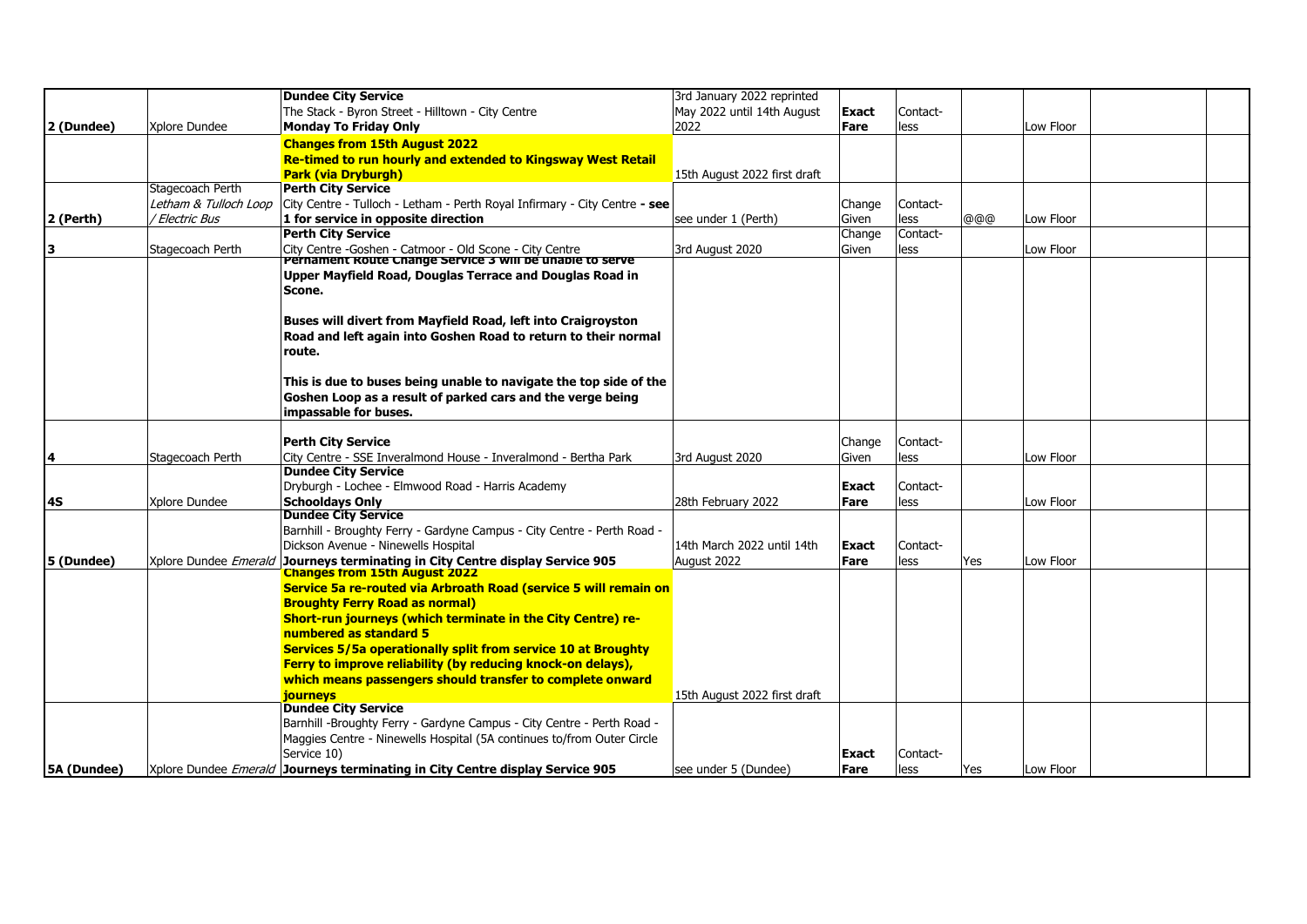|             |                           | <b>Dundee City Service</b>                                                                                          | 3rd January 2022 reprinted   |              |          |     |           |  |
|-------------|---------------------------|---------------------------------------------------------------------------------------------------------------------|------------------------------|--------------|----------|-----|-----------|--|
|             |                           | The Stack - Byron Street - Hilltown - City Centre                                                                   | May 2022 until 14th August   | <b>Exact</b> | Contact- |     |           |  |
| 2 (Dundee)  | Xplore Dundee             | <b>Monday To Friday Only</b>                                                                                        | 2022                         | Fare         | less     |     | Low Floor |  |
|             |                           | <b>Changes from 15th August 2022</b>                                                                                |                              |              |          |     |           |  |
|             |                           | Re-timed to run hourly and extended to Kingsway West Retail                                                         |                              |              |          |     |           |  |
|             |                           |                                                                                                                     |                              |              |          |     |           |  |
|             |                           | <b>Park (via Dryburgh)</b>                                                                                          | 15th August 2022 first draft |              |          |     |           |  |
|             | Stagecoach Perth          | <b>Perth City Service</b>                                                                                           |                              |              |          |     |           |  |
|             | Letham & Tulloch Loop     | City Centre - Tulloch - Letham - Perth Royal Infirmary - City Centre - see                                          |                              | Change       | Contact- |     |           |  |
| 2 (Perth)   | <sup>/</sup> Electric Bus | 1 for service in opposite direction                                                                                 | see under 1 (Perth)          | Given        | less     | @@@ | Low Floor |  |
|             |                           | <b>Perth City Service</b>                                                                                           |                              | Change       | Contact- |     |           |  |
| 3           | Stagecoach Perth          | City Centre -Goshen - Catmoor - Old Scone - City Centre<br>Pernament Route Change Service 3 will be unable to serve | 3rd August 2020              | Given        | less     |     | Low Floor |  |
|             |                           | Upper Mayfield Road, Douglas Terrace and Douglas Road in                                                            |                              |              |          |     |           |  |
|             |                           |                                                                                                                     |                              |              |          |     |           |  |
|             |                           | Scone.                                                                                                              |                              |              |          |     |           |  |
|             |                           |                                                                                                                     |                              |              |          |     |           |  |
|             |                           | Buses will divert from Mayfield Road, left into Craigroyston                                                        |                              |              |          |     |           |  |
|             |                           | Road and left again into Goshen Road to return to their normal                                                      |                              |              |          |     |           |  |
|             |                           | route.                                                                                                              |                              |              |          |     |           |  |
|             |                           |                                                                                                                     |                              |              |          |     |           |  |
|             |                           | This is due to buses being unable to navigate the top side of the                                                   |                              |              |          |     |           |  |
|             |                           | Goshen Loop as a result of parked cars and the verge being                                                          |                              |              |          |     |           |  |
|             |                           | impassable for buses.                                                                                               |                              |              |          |     |           |  |
|             |                           |                                                                                                                     |                              |              |          |     |           |  |
|             |                           | <b>Perth City Service</b>                                                                                           |                              | Change       | Contact- |     |           |  |
| 4           | Stagecoach Perth          | City Centre - SSE Inveralmond House - Inveralmond - Bertha Park                                                     | 3rd August 2020              | Given        | less     |     | Low Floor |  |
|             |                           | <b>Dundee City Service</b>                                                                                          |                              |              |          |     |           |  |
|             |                           | Dryburgh - Lochee - Elmwood Road - Harris Academy                                                                   |                              | Exact        | Contact- |     |           |  |
| 4S          | Xplore Dundee             | <b>Schooldays Only</b>                                                                                              | 28th February 2022           | Fare         | less     |     | Low Floor |  |
|             |                           | <b>Dundee City Service</b>                                                                                          |                              |              |          |     |           |  |
|             |                           | Barnhill - Broughty Ferry - Gardyne Campus - City Centre - Perth Road -                                             |                              |              |          |     |           |  |
|             |                           | Dickson Avenue - Ninewells Hospital                                                                                 | 14th March 2022 until 14th   | <b>Exact</b> | Contact- |     |           |  |
| 5 (Dundee)  | Xplore Dundee Emerald     | Journeys terminating in City Centre display Service 905                                                             | August 2022                  | Fare         | less     | Yes | Low Floor |  |
|             |                           | <b>Changes from 15th August 2022</b>                                                                                |                              |              |          |     |           |  |
|             |                           | Service 5a re-routed via Arbroath Road (service 5 will remain on                                                    |                              |              |          |     |           |  |
|             |                           | <b>Broughty Ferry Road as normal)</b>                                                                               |                              |              |          |     |           |  |
|             |                           | <b>Short-run journeys (which terminate in the City Centre) re-</b>                                                  |                              |              |          |     |           |  |
|             |                           | numbered as standard 5                                                                                              |                              |              |          |     |           |  |
|             |                           | Services 5/5a operationally split from service 10 at Broughty                                                       |                              |              |          |     |           |  |
|             |                           | Ferry to improve reliability (by reducing knock-on delays),                                                         |                              |              |          |     |           |  |
|             |                           | which means passengers should transfer to complete onward                                                           |                              |              |          |     |           |  |
|             |                           | <b>journeys</b>                                                                                                     | 15th August 2022 first draft |              |          |     |           |  |
|             |                           | Dundee City Service                                                                                                 |                              |              |          |     |           |  |
|             |                           | Barnhill -Broughty Ferry - Gardyne Campus - City Centre - Perth Road -                                              |                              |              |          |     |           |  |
|             |                           | Maggies Centre - Ninewells Hospital (5A continues to/from Outer Circle                                              |                              |              |          |     |           |  |
|             |                           | Service 10)                                                                                                         |                              | <b>Exact</b> | Contact- |     |           |  |
| 5A (Dundee) |                           | Xplore Dundee Emerald Journeys terminating in City Centre display Service 905                                       | see under 5 (Dundee)         | Fare         | less     | Yes | Low Floor |  |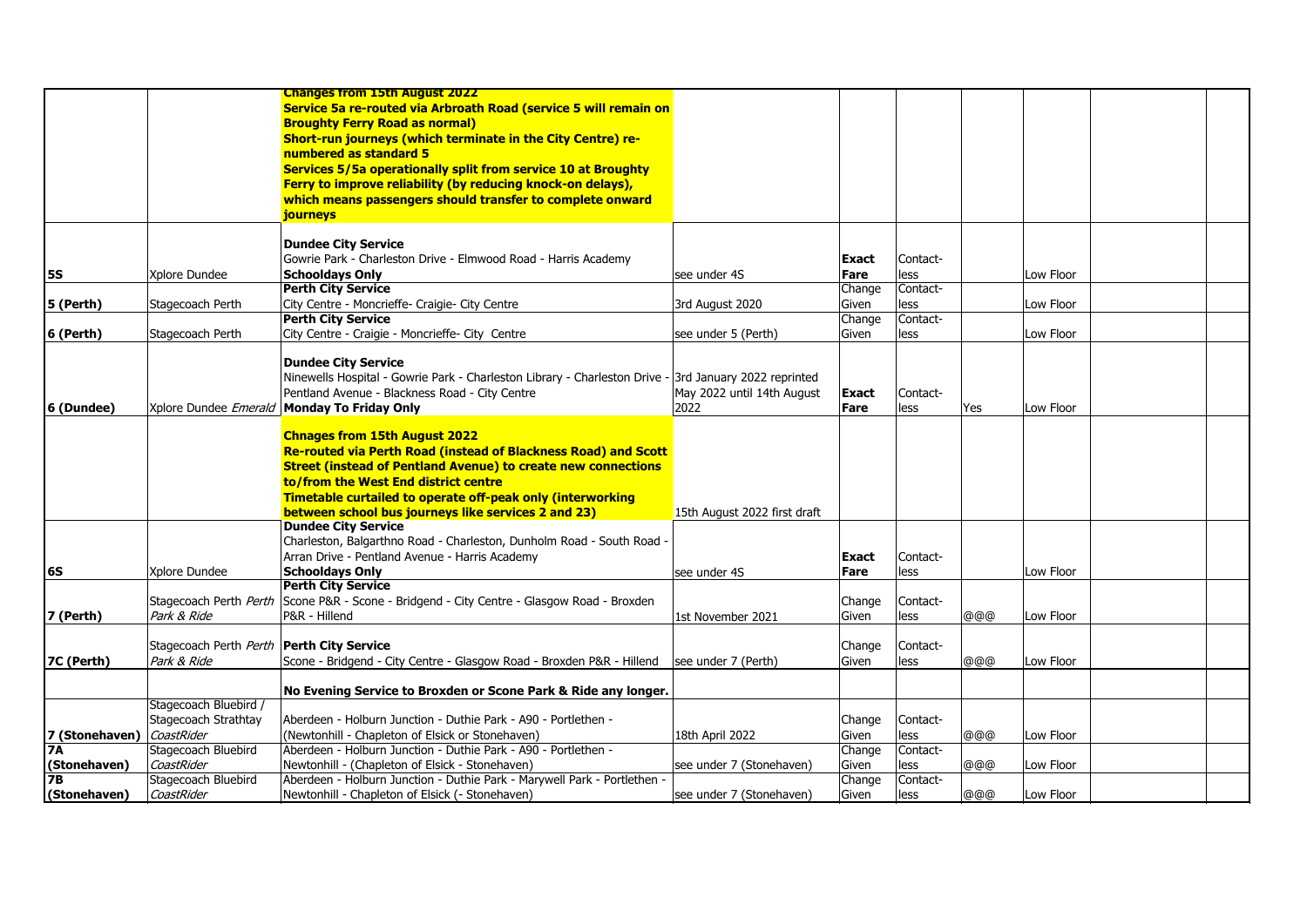|                |                                             | <b>Changes from 15th August 2022</b>                                                                  |                              |              |          |     |           |  |
|----------------|---------------------------------------------|-------------------------------------------------------------------------------------------------------|------------------------------|--------------|----------|-----|-----------|--|
|                |                                             | Service 5a re-routed via Arbroath Road (service 5 will remain on                                      |                              |              |          |     |           |  |
|                |                                             | <b>Broughty Ferry Road as normal)</b>                                                                 |                              |              |          |     |           |  |
|                |                                             | Short-run journeys (which terminate in the City Centre) re-                                           |                              |              |          |     |           |  |
|                |                                             | numbered as standard 5                                                                                |                              |              |          |     |           |  |
|                |                                             |                                                                                                       |                              |              |          |     |           |  |
|                |                                             | Services 5/5a operationally split from service 10 at Broughty                                         |                              |              |          |     |           |  |
|                |                                             | <b>Ferry to improve reliability (by reducing knock-on delays),</b>                                    |                              |              |          |     |           |  |
|                |                                             | which means passengers should transfer to complete onward                                             |                              |              |          |     |           |  |
|                |                                             | journeys                                                                                              |                              |              |          |     |           |  |
|                |                                             |                                                                                                       |                              |              |          |     |           |  |
|                |                                             | <b>Dundee City Service</b>                                                                            |                              |              |          |     |           |  |
|                |                                             | Gowrie Park - Charleston Drive - Elmwood Road - Harris Academy                                        |                              | Exact        | Contact- |     |           |  |
| <b>5S</b>      | Xplore Dundee                               | <b>Schooldays Only</b>                                                                                | lsee under 4S                | Fare         | less     |     | Low Floor |  |
|                |                                             | <b>Perth City Service</b>                                                                             |                              | Change       | Contact- |     |           |  |
| 5 (Perth)      | Stagecoach Perth                            | City Centre - Moncrieffe- Craigie- City Centre                                                        | 3rd August 2020              | Given        | less     |     | Low Floor |  |
|                |                                             | <b>Perth City Service</b>                                                                             |                              | Change       | Contact- |     |           |  |
| 6 (Perth)      | Stagecoach Perth                            | City Centre - Craigie - Moncrieffe- City Centre                                                       | see under 5 (Perth)          | Given        | less     |     | Low Floor |  |
|                |                                             |                                                                                                       |                              |              |          |     |           |  |
|                |                                             | <b>Dundee City Service</b>                                                                            |                              |              |          |     |           |  |
|                |                                             | Ninewells Hospital - Gowrie Park - Charleston Library - Charleston Drive - 3rd January 2022 reprinted |                              |              |          |     |           |  |
|                |                                             | Pentland Avenue - Blackness Road - City Centre                                                        | May 2022 until 14th August   | <b>Exact</b> | Contact- |     |           |  |
| 6 (Dundee)     |                                             | Xplore Dundee Emerald   Monday To Friday Only                                                         | 2022                         | Fare         | less     | Yes | Low Floor |  |
|                |                                             | <b>Chnages from 15th August 2022</b>                                                                  |                              |              |          |     |           |  |
|                |                                             | Re-routed via Perth Road (instead of Blackness Road) and Scott                                        |                              |              |          |     |           |  |
|                |                                             | <b>Street (instead of Pentland Avenue) to create new connections</b>                                  |                              |              |          |     |           |  |
|                |                                             |                                                                                                       |                              |              |          |     |           |  |
|                |                                             | to/from the West End district centre                                                                  |                              |              |          |     |           |  |
|                |                                             | Timetable curtailed to operate off-peak only (interworking                                            |                              |              |          |     |           |  |
|                |                                             | between school bus journeys like services 2 and 23)                                                   | 15th August 2022 first draft |              |          |     |           |  |
|                |                                             | <b>Dundee City Service</b>                                                                            |                              |              |          |     |           |  |
|                |                                             | Charleston, Balgarthno Road - Charleston, Dunholm Road - South Road -                                 |                              |              |          |     |           |  |
|                |                                             | Arran Drive - Pentland Avenue - Harris Academy                                                        |                              | Exact        | Contact- |     |           |  |
| 6S             | Xplore Dundee                               | <b>Schooldays Only</b>                                                                                | see under 4S                 | Fare         | less     |     | Low Floor |  |
|                |                                             | <b>Perth City Service</b>                                                                             |                              |              |          |     |           |  |
|                | Stagecoach Perth <i>Perth</i>               | Scone P&R - Scone - Bridgend - City Centre - Glasgow Road - Broxden                                   |                              | Change       | Contact- |     |           |  |
| 7 (Perth)      | Park & Ride                                 | P&R - Hillend                                                                                         | 1st November 2021            | Given        | less     | @@@ | Low Floor |  |
|                |                                             |                                                                                                       |                              |              |          |     |           |  |
|                | Stagecoach Perth Perth   Perth City Service |                                                                                                       |                              | Change       | Contact- |     |           |  |
| 7C (Perth)     | Park & Ride                                 | Scone - Bridgend - City Centre - Glasgow Road - Broxden P&R - Hillend                                 | see under 7 (Perth)          | Given        | less     | @@@ | Low Floor |  |
|                |                                             |                                                                                                       |                              |              |          |     |           |  |
|                |                                             | No Evening Service to Broxden or Scone Park & Ride any longer.                                        |                              |              |          |     |           |  |
|                | Stagecoach Bluebird /                       |                                                                                                       |                              |              |          |     |           |  |
|                | Stagecoach Strathtay                        | Aberdeen - Holburn Junction - Duthie Park - A90 - Portlethen -                                        |                              | Change       | Contact- |     |           |  |
| 7 (Stonehaven) | CoastRider                                  | (Newtonhill - Chapleton of Elsick or Stonehaven)                                                      | 18th April 2022              | Given        | less     | @@@ | Low Floor |  |
| <b>7A</b>      | Stagecoach Bluebird                         | Aberdeen - Holburn Junction - Duthie Park - A90 - Portlethen -                                        |                              | Change       | Contact- |     |           |  |
| (Stonehaven)   | CoastRider                                  | Newtonhill - (Chapleton of Elsick - Stonehaven)                                                       | see under 7 (Stonehaven)     | Given        | less     | @@@ | Low Floor |  |
| <b>7B</b>      | Stagecoach Bluebird                         | Aberdeen - Holburn Junction - Duthie Park - Marywell Park - Portlethen -                              |                              | Change       | Contact- |     |           |  |
| (Stonehaven)   | CoastRider                                  | Newtonhill - Chapleton of Elsick (- Stonehaven)                                                       | see under 7 (Stonehaven)     | Given        | less     | @@@ | Low Floor |  |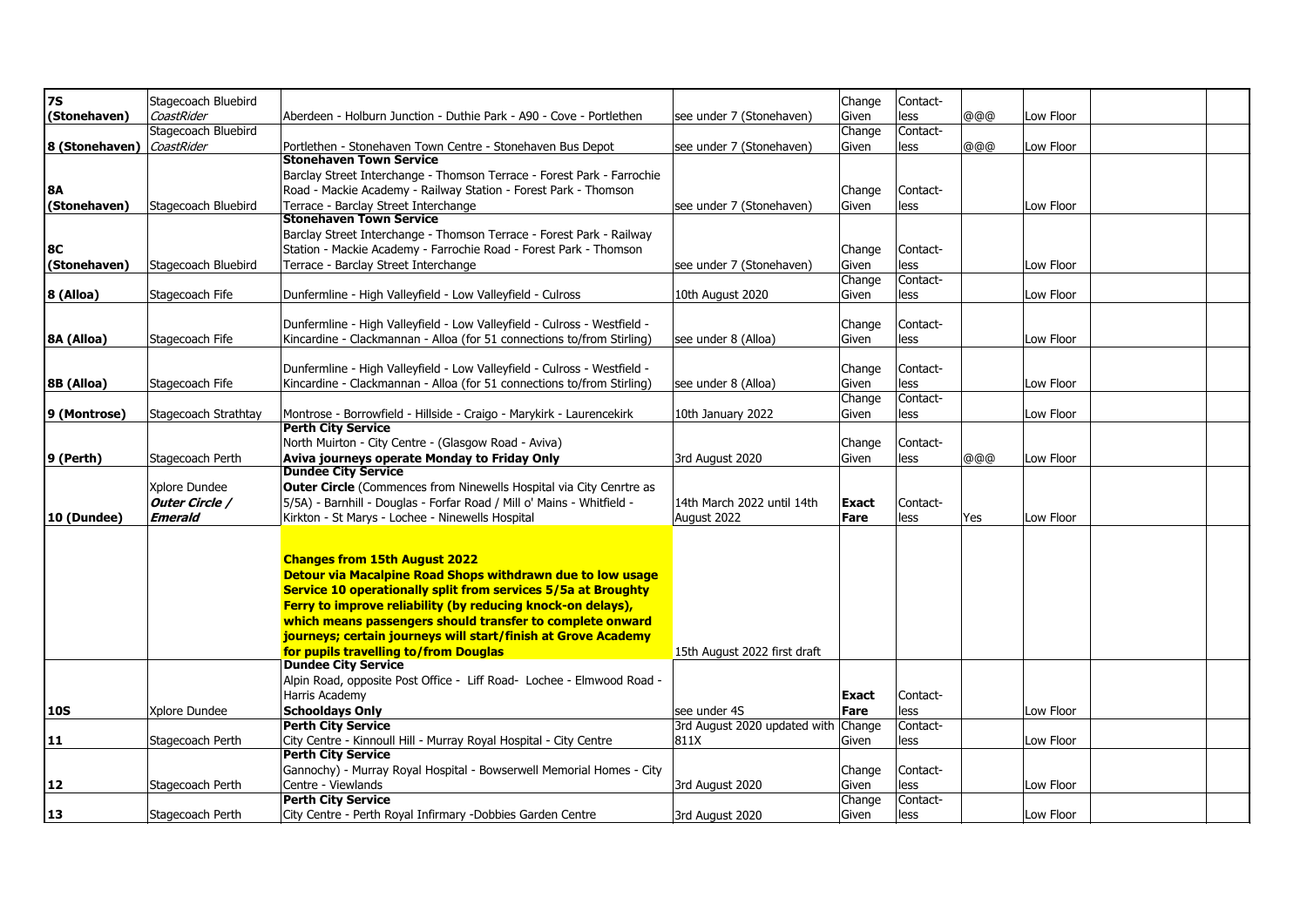| <b>7S</b>      | Stagecoach Bluebird  |                                                                            |                                     | Change       | Contact- |     |           |  |
|----------------|----------------------|----------------------------------------------------------------------------|-------------------------------------|--------------|----------|-----|-----------|--|
| (Stonehaven)   | CoastRider           | Aberdeen - Holburn Junction - Duthie Park - A90 - Cove - Portlethen        | see under 7 (Stonehaven)            | Given        | less     | @@@ | Low Floor |  |
|                | Stagecoach Bluebird  |                                                                            |                                     | Change       | Contact- |     |           |  |
| 8 (Stonehaven) | CoastRider           | Portlethen - Stonehaven Town Centre - Stonehaven Bus Depot                 | see under 7 (Stonehaven)            | Given        | less     | @@@ | Low Floor |  |
|                |                      | <b>Stonehaven Town Service</b>                                             |                                     |              |          |     |           |  |
|                |                      | Barclay Street Interchange - Thomson Terrace - Forest Park - Farrochie     |                                     |              |          |     |           |  |
| <b>8A</b>      |                      | Road - Mackie Academy - Railway Station - Forest Park - Thomson            |                                     | Change       | Contact- |     |           |  |
|                |                      |                                                                            |                                     |              |          |     |           |  |
| (Stonehaven)   | Stagecoach Bluebird  | Terrace - Barclay Street Interchange                                       | see under 7 (Stonehaven)            | Given        | less     |     | Low Floor |  |
|                |                      | <b>Stonehaven Town Service</b>                                             |                                     |              |          |     |           |  |
|                |                      | Barclay Street Interchange - Thomson Terrace - Forest Park - Railway       |                                     |              |          |     |           |  |
| <b>8C</b>      |                      | Station - Mackie Academy - Farrochie Road - Forest Park - Thomson          |                                     | Change       | Contact- |     |           |  |
| (Stonehaven)   | Stagecoach Bluebird  | Terrace - Barclay Street Interchange                                       | see under 7 (Stonehaven)            | Given        | less     |     | Low Floor |  |
|                |                      |                                                                            |                                     | Change       | Contact- |     |           |  |
| 8 (Alloa)      | Stagecoach Fife      | Dunfermline - High Valleyfield - Low Valleyfield - Culross                 | 10th August 2020                    | Given        | less     |     | Low Floor |  |
|                |                      |                                                                            |                                     |              |          |     |           |  |
|                |                      |                                                                            |                                     |              |          |     |           |  |
|                |                      | Dunfermline - High Valleyfield - Low Valleyfield - Culross - Westfield -   |                                     | Change       | Contact- |     |           |  |
| 8A (Alloa)     | Stagecoach Fife      | Kincardine - Clackmannan - Alloa (for 51 connections to/from Stirling)     | see under 8 (Alloa)                 | Given        | less     |     | Low Floor |  |
|                |                      |                                                                            |                                     |              |          |     |           |  |
|                |                      | Dunfermline - High Valleyfield - Low Valleyfield - Culross - Westfield -   |                                     | Change       | Contact- |     |           |  |
| 8B (Alloa)     | Stagecoach Fife      | Kincardine - Clackmannan - Alloa (for 51 connections to/from Stirling)     | see under 8 (Alloa)                 | Given        | less     |     | Low Floor |  |
|                |                      |                                                                            |                                     | Change       | Contact- |     |           |  |
| 9 (Montrose)   | Stagecoach Strathtay | Montrose - Borrowfield - Hillside - Craigo - Marykirk - Laurencekirk       | 10th January 2022                   | Given        | less     |     | Low Floor |  |
|                |                      | <b>Perth City Service</b>                                                  |                                     |              |          |     |           |  |
|                |                      |                                                                            |                                     |              |          |     |           |  |
|                |                      | North Muirton - City Centre - (Glasgow Road - Aviva)                       |                                     | Change       | Contact- |     |           |  |
| 9 (Perth)      | Stagecoach Perth     | Aviva journeys operate Monday to Friday Only                               | 3rd August 2020                     | Given        | less     | @@@ | Low Floor |  |
|                |                      | <b>Dundee City Service</b>                                                 |                                     |              |          |     |           |  |
|                | Xplore Dundee        | <b>Outer Circle</b> (Commences from Ninewells Hospital via City Cenrtre as |                                     |              |          |     |           |  |
|                | Outer Circle /       | 5/5A) - Barnhill - Douglas - Forfar Road / Mill o' Mains - Whitfield -     | 14th March 2022 until 14th          | <b>Exact</b> | Contact- |     |           |  |
| 10 (Dundee)    | <b>Emerald</b>       | Kirkton - St Marys - Lochee - Ninewells Hospital                           | August 2022                         | Fare         | less     | Yes | Low Floor |  |
|                |                      |                                                                            |                                     |              |          |     |           |  |
|                |                      |                                                                            |                                     |              |          |     |           |  |
|                |                      | <b>Changes from 15th August 2022</b>                                       |                                     |              |          |     |           |  |
|                |                      |                                                                            |                                     |              |          |     |           |  |
|                |                      | Detour via Macalpine Road Shops withdrawn due to low usage                 |                                     |              |          |     |           |  |
|                |                      | Service 10 operationally split from services 5/5a at Broughty              |                                     |              |          |     |           |  |
|                |                      | Ferry to improve reliability (by reducing knock-on delays),                |                                     |              |          |     |           |  |
|                |                      | which means passengers should transfer to complete onward                  |                                     |              |          |     |           |  |
|                |                      | journeys; certain journeys will start/finish at Grove Academy              |                                     |              |          |     |           |  |
|                |                      | for pupils travelling to/from Douglas                                      | 15th August 2022 first draft        |              |          |     |           |  |
|                |                      | <b>Dundee City Service</b>                                                 |                                     |              |          |     |           |  |
|                |                      | Alpin Road, opposite Post Office - Liff Road- Lochee - Elmwood Road -      |                                     |              |          |     |           |  |
|                |                      |                                                                            |                                     |              |          |     |           |  |
|                |                      | Harris Academy                                                             |                                     | Exact        | Contact- |     |           |  |
| 10S            | Xplore Dundee        | <b>Schooldays Only</b>                                                     | see under 4S                        | Fare         | less     |     | Low Floor |  |
|                |                      | <b>Perth City Service</b>                                                  | 3rd August 2020 updated with Change |              | Contact- |     |           |  |
| 11             | Stagecoach Perth     | City Centre - Kinnoull Hill - Murray Royal Hospital - City Centre          | 811X                                | Given        | less     |     | Low Floor |  |
|                |                      | <b>Perth City Service</b>                                                  |                                     |              |          |     |           |  |
|                |                      | Gannochy) - Murray Royal Hospital - Bowserwell Memorial Homes - City       |                                     | Change       | Contact- |     |           |  |
|                |                      |                                                                            |                                     |              |          |     |           |  |
| 12             | Stagecoach Perth     | Centre - Viewlands                                                         | 3rd August 2020                     | Given        | less     |     | Low Floor |  |
|                |                      | <b>Perth City Service</b>                                                  |                                     | Change       | Contact- |     |           |  |
| 13             | Stagecoach Perth     | City Centre - Perth Royal Infirmary -Dobbies Garden Centre                 | 3rd August 2020                     | Given        | less     |     | Low Floor |  |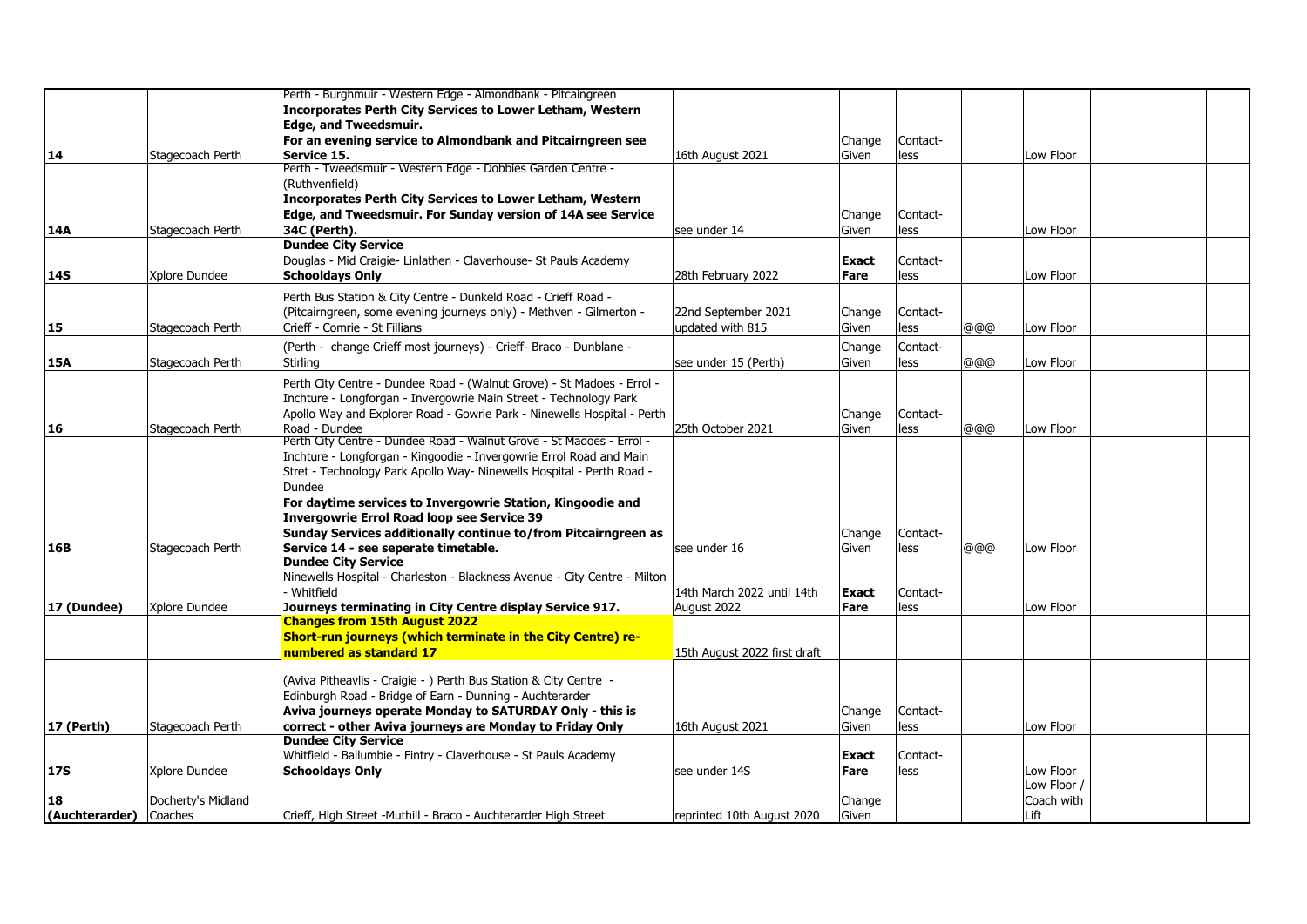|                        |                    | Perth - Burghmuir - Western Edge - Almondbank - Pitcaingreen                                         |                                         |              |                  |     |             |  |
|------------------------|--------------------|------------------------------------------------------------------------------------------------------|-----------------------------------------|--------------|------------------|-----|-------------|--|
|                        |                    | Incorporates Perth City Services to Lower Letham, Western                                            |                                         |              |                  |     |             |  |
|                        |                    | <b>Edge, and Tweedsmuir.</b>                                                                         |                                         |              |                  |     |             |  |
|                        |                    | For an evening service to Almondbank and Pitcairngreen see                                           |                                         | Change       | Contact-         |     |             |  |
| 14                     | Stagecoach Perth   | Service 15.                                                                                          | 16th August 2021                        | Given        | less             |     | Low Floor   |  |
|                        |                    | Perth - Tweedsmuir - Western Edge - Dobbies Garden Centre -                                          |                                         |              |                  |     |             |  |
|                        |                    | (Ruthvenfield)                                                                                       |                                         |              |                  |     |             |  |
|                        |                    | Incorporates Perth City Services to Lower Letham, Western                                            |                                         |              |                  |     |             |  |
|                        |                    | Edge, and Tweedsmuir. For Sunday version of 14A see Service                                          |                                         | Change       | Contact-         |     |             |  |
| 14A                    | Stagecoach Perth   | 34C (Perth).                                                                                         | see under 14                            | Given        | less             |     | Low Floor   |  |
|                        |                    | <b>Dundee City Service</b>                                                                           |                                         |              |                  |     |             |  |
|                        |                    | Douglas - Mid Craigie- Linlathen - Claverhouse- St Pauls Academy                                     |                                         | <b>Exact</b> | Contact-         |     |             |  |
| 14S                    | Xplore Dundee      | <b>Schooldays Only</b>                                                                               | 28th February 2022                      | Fare         | less             |     | Low Floor   |  |
|                        |                    | Perth Bus Station & City Centre - Dunkeld Road - Crieff Road -                                       |                                         |              |                  |     |             |  |
|                        |                    |                                                                                                      |                                         |              |                  |     |             |  |
|                        | Stagecoach Perth   | (Pitcairngreen, some evening journeys only) - Methven - Gilmerton -<br>Crieff - Comrie - St Fillians | 22nd September 2021<br>updated with 815 | Change       | Contact-<br>less | @@@ | Low Floor   |  |
| 15                     |                    |                                                                                                      |                                         | Given        |                  |     |             |  |
|                        |                    | (Perth - change Crieff most journeys) - Crieff- Braco - Dunblane -                                   |                                         | Change       | Contact-         |     |             |  |
| 15A                    | Stagecoach Perth   | Stirling                                                                                             | see under 15 (Perth)                    | Given        | less             | രരര | Low Floor   |  |
|                        |                    | Perth City Centre - Dundee Road - (Walnut Grove) - St Madoes - Errol -                               |                                         |              |                  |     |             |  |
|                        |                    | Inchture - Longforgan - Invergowrie Main Street - Technology Park                                    |                                         |              |                  |     |             |  |
|                        |                    | Apollo Way and Explorer Road - Gowrie Park - Ninewells Hospital - Perth                              |                                         | Change       | Contact-         |     |             |  |
| 16                     | Stagecoach Perth   | Road - Dundee                                                                                        | 25th October 2021                       | Given        | less             | @@@ | Low Floor   |  |
|                        |                    | Perth City Centre - Dundee Road - Walnut Grove - St Madoes - Errol -                                 |                                         |              |                  |     |             |  |
|                        |                    | Inchture - Longforgan - Kingoodie - Invergowrie Errol Road and Main                                  |                                         |              |                  |     |             |  |
|                        |                    | Stret - Technology Park Apollo Way- Ninewells Hospital - Perth Road -                                |                                         |              |                  |     |             |  |
|                        |                    | Dundee                                                                                               |                                         |              |                  |     |             |  |
|                        |                    | For daytime services to Invergowrie Station, Kingoodie and                                           |                                         |              |                  |     |             |  |
|                        |                    | <b>Invergowrie Errol Road loop see Service 39</b>                                                    |                                         |              |                  |     |             |  |
|                        |                    | Sunday Services additionally continue to/from Pitcairngreen as                                       |                                         | Change       | Contact-         |     |             |  |
| 16B                    | Stagecoach Perth   | Service 14 - see seperate timetable.                                                                 | lsee under 16                           | Given        | less             | @@@ | Low Floor   |  |
|                        |                    | <b>Dundee City Service</b>                                                                           |                                         |              |                  |     |             |  |
|                        |                    | Ninewells Hospital - Charleston - Blackness Avenue - City Centre - Milton                            |                                         |              |                  |     |             |  |
|                        |                    | Whitfield                                                                                            | 14th March 2022 until 14th              | <b>Exact</b> | Contact-         |     |             |  |
| 17 (Dundee)            | Xplore Dundee      | Journeys terminating in City Centre display Service 917.                                             | August 2022                             | Fare         | less             |     | Low Floor   |  |
|                        |                    | <b>Changes from 15th August 2022</b>                                                                 |                                         |              |                  |     |             |  |
|                        |                    | Short-run journeys (which terminate in the City Centre) re-                                          |                                         |              |                  |     |             |  |
|                        |                    | numbered as standard 17                                                                              | 15th August 2022 first draft            |              |                  |     |             |  |
|                        |                    |                                                                                                      |                                         |              |                  |     |             |  |
|                        |                    | (Aviva Pitheavlis - Craigie - ) Perth Bus Station & City Centre -                                    |                                         |              |                  |     |             |  |
|                        |                    | Edinburgh Road - Bridge of Earn - Dunning - Auchterarder                                             |                                         |              |                  |     |             |  |
|                        |                    | Aviva journeys operate Monday to SATURDAY Only - this is                                             |                                         | Change       | Contact-         |     |             |  |
| 17 (Perth)             | Stagecoach Perth   | correct - other Aviva journeys are Monday to Friday Only                                             | 16th August 2021                        | Given        | less             |     | Low Floor   |  |
|                        |                    | <b>Dundee City Service</b>                                                                           |                                         |              |                  |     |             |  |
|                        |                    | Whitfield - Ballumbie - Fintry - Claverhouse - St Pauls Academy                                      |                                         | <b>Exact</b> | Contact-         |     |             |  |
| <b>17S</b>             | Xplore Dundee      | <b>Schooldays Only</b>                                                                               | see under 14S                           | Fare         | less             |     | Low Floor   |  |
|                        |                    |                                                                                                      |                                         |              |                  |     | Low Floor / |  |
| 18                     | Docherty's Midland |                                                                                                      |                                         | Change       |                  |     | Coach with  |  |
| (Auchterarder) Coaches |                    | Crieff, High Street -Muthill - Braco - Auchterarder High Street                                      | reprinted 10th August 2020              | Given        |                  |     | Lift        |  |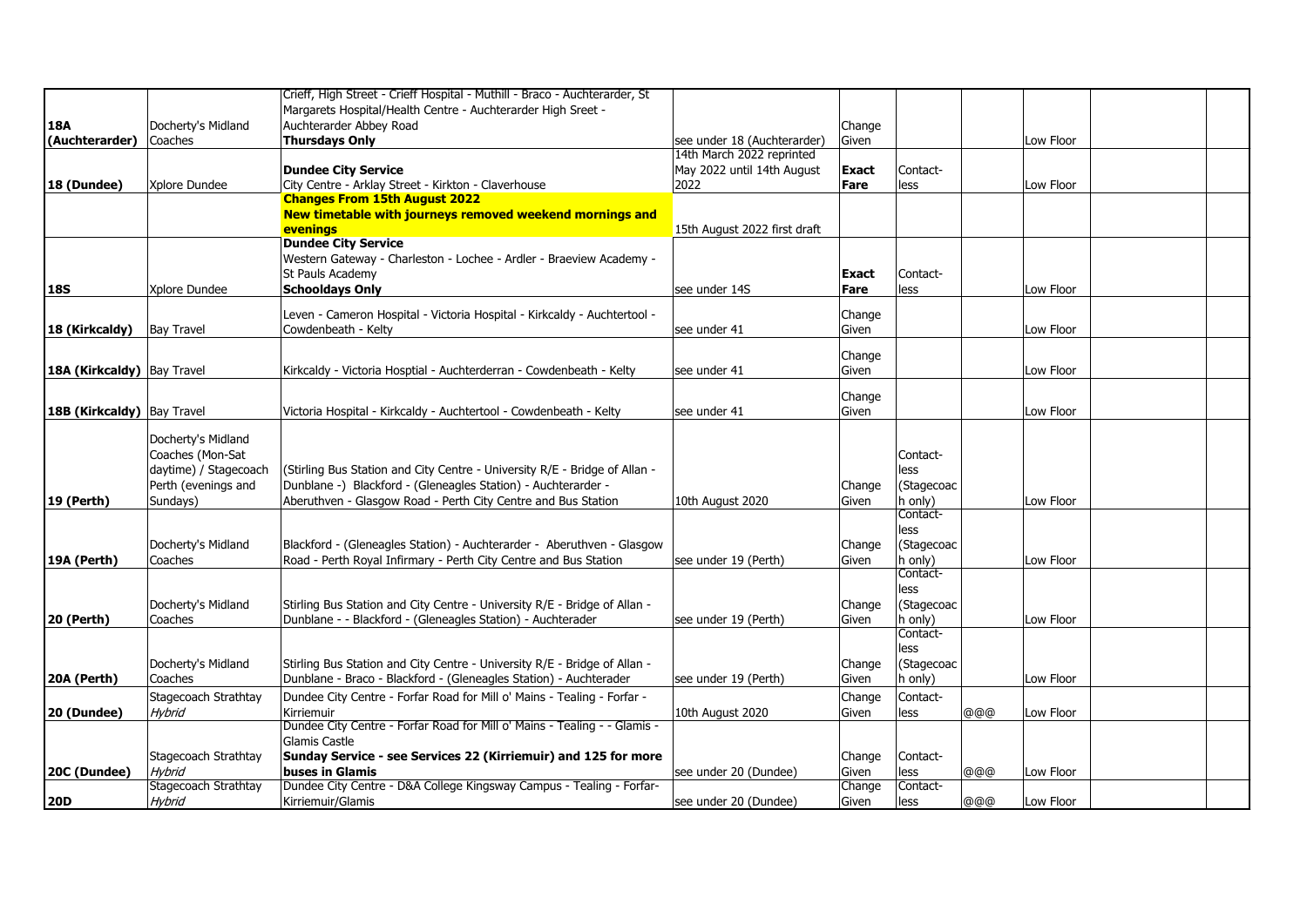|                              |                       | Crieff, High Street - Crieff Hospital - Muthill - Braco - Auchterarder, St |                              |              |            |     |           |  |
|------------------------------|-----------------------|----------------------------------------------------------------------------|------------------------------|--------------|------------|-----|-----------|--|
|                              |                       | Margarets Hospital/Health Centre - Auchterarder High Sreet -               |                              |              |            |     |           |  |
| 18A                          | Docherty's Midland    | Auchterarder Abbey Road                                                    |                              | Change       |            |     |           |  |
| (Auchterarder)               | Coaches               | <b>Thursdays Only</b>                                                      | see under 18 (Auchterarder)  | Given        |            |     | Low Floor |  |
|                              |                       |                                                                            | 14th March 2022 reprinted    |              |            |     |           |  |
|                              |                       | <b>Dundee City Service</b>                                                 | May 2022 until 14th August   | <b>Exact</b> | Contact-   |     |           |  |
| 18 (Dundee)                  | Xplore Dundee         | City Centre - Arklay Street - Kirkton - Claverhouse                        | 2022                         | Fare         | less       |     | Low Floor |  |
|                              |                       | <b>Changes From 15th August 2022</b>                                       |                              |              |            |     |           |  |
|                              |                       | New timetable with journeys removed weekend mornings and                   |                              |              |            |     |           |  |
|                              |                       | evenings                                                                   | 15th August 2022 first draft |              |            |     |           |  |
|                              |                       | <b>Dundee City Service</b>                                                 |                              |              |            |     |           |  |
|                              |                       | Western Gateway - Charleston - Lochee - Ardler - Braeview Academy -        |                              |              |            |     |           |  |
|                              |                       | St Pauls Academy                                                           |                              | Exact        | Contact-   |     |           |  |
| 18S                          | Xplore Dundee         | <b>Schooldays Only</b>                                                     | see under 14S                | Fare         | less       |     | Low Floor |  |
|                              |                       |                                                                            |                              |              |            |     |           |  |
|                              |                       | Leven - Cameron Hospital - Victoria Hospital - Kirkcaldy - Auchtertool -   |                              | Change       |            |     |           |  |
| 18 (Kirkcaldy)               | <b>Bay Travel</b>     | Cowdenbeath - Kelty                                                        | see under 41                 | Given        |            |     | Low Floor |  |
|                              |                       |                                                                            |                              |              |            |     |           |  |
|                              |                       |                                                                            |                              | Change       |            |     |           |  |
| 18A (Kirkcaldy)   Bay Travel |                       | Kirkcaldy - Victoria Hosptial - Auchterderran - Cowdenbeath - Kelty        | see under 41                 | Given        |            |     | Low Floor |  |
|                              |                       |                                                                            |                              | Change       |            |     |           |  |
| 18B (Kirkcaldy) Bay Travel   |                       | Victoria Hospital - Kirkcaldy - Auchtertool - Cowdenbeath - Kelty          | see under 41                 |              |            |     | Low Floor |  |
|                              |                       |                                                                            |                              | Given        |            |     |           |  |
|                              | Docherty's Midland    |                                                                            |                              |              |            |     |           |  |
|                              | Coaches (Mon-Sat      |                                                                            |                              |              | Contact-   |     |           |  |
|                              | daytime) / Stagecoach | (Stirling Bus Station and City Centre - University R/E - Bridge of Allan - |                              |              | less       |     |           |  |
|                              | Perth (evenings and   | Dunblane -) Blackford - (Gleneagles Station) - Auchterarder -              |                              | Change       | (Stagecoac |     |           |  |
| 19 (Perth)                   | Sundays)              | Aberuthven - Glasgow Road - Perth City Centre and Bus Station              | 10th August 2020             | Given        | h only)    |     | Low Floor |  |
|                              |                       |                                                                            |                              |              | Contact-   |     |           |  |
|                              |                       |                                                                            |                              |              | less       |     |           |  |
|                              | Docherty's Midland    | Blackford - (Gleneagles Station) - Auchterarder - Aberuthven - Glasgow     |                              | Change       | (Stagecoac |     |           |  |
| 19A (Perth)                  | Coaches               | Road - Perth Royal Infirmary - Perth City Centre and Bus Station           | see under 19 (Perth)         | Given        | h only)    |     | Low Floor |  |
|                              |                       |                                                                            |                              |              | Contact-   |     |           |  |
|                              |                       |                                                                            |                              |              | less       |     |           |  |
|                              | Docherty's Midland    | Stirling Bus Station and City Centre - University R/E - Bridge of Allan -  |                              | Change       | (Stagecoac |     |           |  |
| <b>20 (Perth)</b>            | Coaches               | Dunblane - - Blackford - (Gleneagles Station) - Auchterader                | see under 19 (Perth)         | Given        | h only)    |     | Low Floor |  |
|                              |                       |                                                                            |                              |              | Contact-   |     |           |  |
|                              |                       |                                                                            |                              |              | less       |     |           |  |
|                              | Docherty's Midland    | Stirling Bus Station and City Centre - University R/E - Bridge of Allan -  |                              | Change       | (Stagecoac |     |           |  |
| 20A (Perth)                  | Coaches               | Dunblane - Braco - Blackford - (Gleneagles Station) - Auchterader          | see under 19 (Perth)         | Given        | h only)    |     | Low Floor |  |
|                              | Stagecoach Strathtay  | Dundee City Centre - Forfar Road for Mill o' Mains - Tealing - Forfar -    |                              |              | Contact-   |     |           |  |
|                              | Hvbrid                | Kirriemuir                                                                 |                              | Change       |            |     | Low Floor |  |
| 20 (Dundee)                  |                       | Dundee City Centre - Forfar Road for Mill o' Mains - Tealing - - Glamis -  | 10th August 2020             | Given        | less       | @@@ |           |  |
|                              |                       | Glamis Castle                                                              |                              |              |            |     |           |  |
|                              | Stagecoach Strathtay  | Sunday Service - see Services 22 (Kirriemuir) and 125 for more             |                              |              | Contact-   |     |           |  |
|                              | Hvbrid                | buses in Glamis                                                            | see under 20 (Dundee)        | Change       | less       |     | Low Floor |  |
| 20C (Dundee)                 | Stagecoach Strathtay  | Dundee City Centre - D&A College Kingsway Campus - Tealing - Forfar-       |                              | Given        | Contact-   | @@@ |           |  |
|                              |                       |                                                                            |                              | Change       |            |     |           |  |
| <b>20D</b>                   | <b>Hybrid</b>         | Kirriemuir/Glamis                                                          | see under 20 (Dundee)        | Given        | less       | @@@ | Low Floor |  |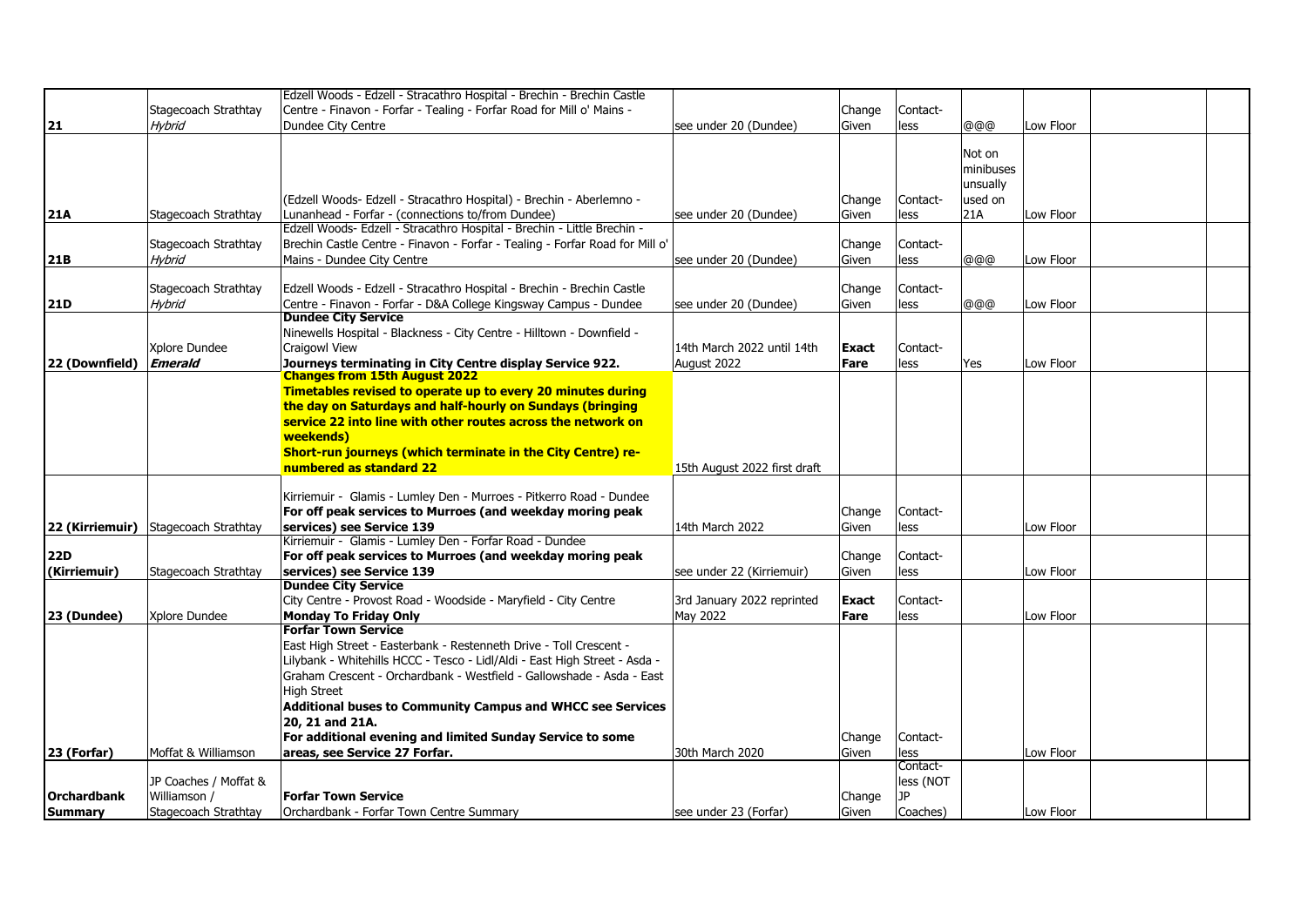|                                       | Edzell Woods - Edzell - Stracathro Hospital - Brechin - Brechin Castle                                                                                                                                       |                                                                                                                                                                                                                                                                                                                                                                                                                                                                                                                                                                                                                                                                                                                                                                                                                                                                                                                                     |                                                                                                                                                                                                                                                                                 |                                                                                                   |                                                                                              |                                                        |                                                                            |  |
|---------------------------------------|--------------------------------------------------------------------------------------------------------------------------------------------------------------------------------------------------------------|-------------------------------------------------------------------------------------------------------------------------------------------------------------------------------------------------------------------------------------------------------------------------------------------------------------------------------------------------------------------------------------------------------------------------------------------------------------------------------------------------------------------------------------------------------------------------------------------------------------------------------------------------------------------------------------------------------------------------------------------------------------------------------------------------------------------------------------------------------------------------------------------------------------------------------------|---------------------------------------------------------------------------------------------------------------------------------------------------------------------------------------------------------------------------------------------------------------------------------|---------------------------------------------------------------------------------------------------|----------------------------------------------------------------------------------------------|--------------------------------------------------------|----------------------------------------------------------------------------|--|
|                                       |                                                                                                                                                                                                              |                                                                                                                                                                                                                                                                                                                                                                                                                                                                                                                                                                                                                                                                                                                                                                                                                                                                                                                                     |                                                                                                                                                                                                                                                                                 |                                                                                                   |                                                                                              |                                                        |                                                                            |  |
|                                       |                                                                                                                                                                                                              |                                                                                                                                                                                                                                                                                                                                                                                                                                                                                                                                                                                                                                                                                                                                                                                                                                                                                                                                     |                                                                                                                                                                                                                                                                                 |                                                                                                   |                                                                                              |                                                        |                                                                            |  |
|                                       |                                                                                                                                                                                                              |                                                                                                                                                                                                                                                                                                                                                                                                                                                                                                                                                                                                                                                                                                                                                                                                                                                                                                                                     |                                                                                                                                                                                                                                                                                 |                                                                                                   |                                                                                              |                                                        |                                                                            |  |
|                                       |                                                                                                                                                                                                              |                                                                                                                                                                                                                                                                                                                                                                                                                                                                                                                                                                                                                                                                                                                                                                                                                                                                                                                                     |                                                                                                                                                                                                                                                                                 |                                                                                                   | Not on                                                                                       |                                                        |                                                                            |  |
|                                       |                                                                                                                                                                                                              |                                                                                                                                                                                                                                                                                                                                                                                                                                                                                                                                                                                                                                                                                                                                                                                                                                                                                                                                     |                                                                                                                                                                                                                                                                                 |                                                                                                   | minibuses                                                                                    |                                                        |                                                                            |  |
|                                       |                                                                                                                                                                                                              |                                                                                                                                                                                                                                                                                                                                                                                                                                                                                                                                                                                                                                                                                                                                                                                                                                                                                                                                     |                                                                                                                                                                                                                                                                                 |                                                                                                   |                                                                                              |                                                        |                                                                            |  |
|                                       |                                                                                                                                                                                                              |                                                                                                                                                                                                                                                                                                                                                                                                                                                                                                                                                                                                                                                                                                                                                                                                                                                                                                                                     |                                                                                                                                                                                                                                                                                 |                                                                                                   |                                                                                              |                                                        |                                                                            |  |
|                                       |                                                                                                                                                                                                              |                                                                                                                                                                                                                                                                                                                                                                                                                                                                                                                                                                                                                                                                                                                                                                                                                                                                                                                                     |                                                                                                                                                                                                                                                                                 |                                                                                                   |                                                                                              |                                                        |                                                                            |  |
|                                       |                                                                                                                                                                                                              |                                                                                                                                                                                                                                                                                                                                                                                                                                                                                                                                                                                                                                                                                                                                                                                                                                                                                                                                     |                                                                                                                                                                                                                                                                                 |                                                                                                   |                                                                                              |                                                        |                                                                            |  |
|                                       |                                                                                                                                                                                                              |                                                                                                                                                                                                                                                                                                                                                                                                                                                                                                                                                                                                                                                                                                                                                                                                                                                                                                                                     |                                                                                                                                                                                                                                                                                 |                                                                                                   |                                                                                              |                                                        |                                                                            |  |
|                                       |                                                                                                                                                                                                              |                                                                                                                                                                                                                                                                                                                                                                                                                                                                                                                                                                                                                                                                                                                                                                                                                                                                                                                                     |                                                                                                                                                                                                                                                                                 |                                                                                                   |                                                                                              |                                                        |                                                                            |  |
|                                       |                                                                                                                                                                                                              |                                                                                                                                                                                                                                                                                                                                                                                                                                                                                                                                                                                                                                                                                                                                                                                                                                                                                                                                     |                                                                                                                                                                                                                                                                                 |                                                                                                   |                                                                                              |                                                        |                                                                            |  |
|                                       |                                                                                                                                                                                                              |                                                                                                                                                                                                                                                                                                                                                                                                                                                                                                                                                                                                                                                                                                                                                                                                                                                                                                                                     |                                                                                                                                                                                                                                                                                 |                                                                                                   |                                                                                              |                                                        |                                                                            |  |
|                                       |                                                                                                                                                                                                              |                                                                                                                                                                                                                                                                                                                                                                                                                                                                                                                                                                                                                                                                                                                                                                                                                                                                                                                                     |                                                                                                                                                                                                                                                                                 |                                                                                                   |                                                                                              |                                                        |                                                                            |  |
|                                       |                                                                                                                                                                                                              |                                                                                                                                                                                                                                                                                                                                                                                                                                                                                                                                                                                                                                                                                                                                                                                                                                                                                                                                     |                                                                                                                                                                                                                                                                                 |                                                                                                   |                                                                                              |                                                        |                                                                            |  |
|                                       |                                                                                                                                                                                                              |                                                                                                                                                                                                                                                                                                                                                                                                                                                                                                                                                                                                                                                                                                                                                                                                                                                                                                                                     |                                                                                                                                                                                                                                                                                 |                                                                                                   |                                                                                              |                                                        |                                                                            |  |
| Xplore Dundee                         | Craigowl View                                                                                                                                                                                                | 14th March 2022 until 14th                                                                                                                                                                                                                                                                                                                                                                                                                                                                                                                                                                                                                                                                                                                                                                                                                                                                                                          | Exact                                                                                                                                                                                                                                                                           | Contact-                                                                                          |                                                                                              |                                                        |                                                                            |  |
|                                       |                                                                                                                                                                                                              |                                                                                                                                                                                                                                                                                                                                                                                                                                                                                                                                                                                                                                                                                                                                                                                                                                                                                                                                     |                                                                                                                                                                                                                                                                                 |                                                                                                   |                                                                                              |                                                        |                                                                            |  |
|                                       | <b>Changes from 15th August 2022</b>                                                                                                                                                                         |                                                                                                                                                                                                                                                                                                                                                                                                                                                                                                                                                                                                                                                                                                                                                                                                                                                                                                                                     |                                                                                                                                                                                                                                                                                 |                                                                                                   |                                                                                              |                                                        |                                                                            |  |
|                                       | Timetables revised to operate up to every 20 minutes during                                                                                                                                                  |                                                                                                                                                                                                                                                                                                                                                                                                                                                                                                                                                                                                                                                                                                                                                                                                                                                                                                                                     |                                                                                                                                                                                                                                                                                 |                                                                                                   |                                                                                              |                                                        |                                                                            |  |
|                                       | the day on Saturdays and half-hourly on Sundays (bringing                                                                                                                                                    |                                                                                                                                                                                                                                                                                                                                                                                                                                                                                                                                                                                                                                                                                                                                                                                                                                                                                                                                     |                                                                                                                                                                                                                                                                                 |                                                                                                   |                                                                                              |                                                        |                                                                            |  |
|                                       | service 22 into line with other routes across the network on                                                                                                                                                 |                                                                                                                                                                                                                                                                                                                                                                                                                                                                                                                                                                                                                                                                                                                                                                                                                                                                                                                                     |                                                                                                                                                                                                                                                                                 |                                                                                                   |                                                                                              |                                                        |                                                                            |  |
|                                       | weekends)                                                                                                                                                                                                    |                                                                                                                                                                                                                                                                                                                                                                                                                                                                                                                                                                                                                                                                                                                                                                                                                                                                                                                                     |                                                                                                                                                                                                                                                                                 |                                                                                                   |                                                                                              |                                                        |                                                                            |  |
|                                       |                                                                                                                                                                                                              |                                                                                                                                                                                                                                                                                                                                                                                                                                                                                                                                                                                                                                                                                                                                                                                                                                                                                                                                     |                                                                                                                                                                                                                                                                                 |                                                                                                   |                                                                                              |                                                        |                                                                            |  |
|                                       | numbered as standard 22                                                                                                                                                                                      |                                                                                                                                                                                                                                                                                                                                                                                                                                                                                                                                                                                                                                                                                                                                                                                                                                                                                                                                     |                                                                                                                                                                                                                                                                                 |                                                                                                   |                                                                                              |                                                        |                                                                            |  |
|                                       |                                                                                                                                                                                                              |                                                                                                                                                                                                                                                                                                                                                                                                                                                                                                                                                                                                                                                                                                                                                                                                                                                                                                                                     |                                                                                                                                                                                                                                                                                 |                                                                                                   |                                                                                              |                                                        |                                                                            |  |
|                                       | Kirriemuir - Glamis - Lumley Den - Murroes - Pitkerro Road - Dundee                                                                                                                                          |                                                                                                                                                                                                                                                                                                                                                                                                                                                                                                                                                                                                                                                                                                                                                                                                                                                                                                                                     |                                                                                                                                                                                                                                                                                 |                                                                                                   |                                                                                              |                                                        |                                                                            |  |
|                                       |                                                                                                                                                                                                              |                                                                                                                                                                                                                                                                                                                                                                                                                                                                                                                                                                                                                                                                                                                                                                                                                                                                                                                                     |                                                                                                                                                                                                                                                                                 | Contact-                                                                                          |                                                                                              |                                                        |                                                                            |  |
|                                       |                                                                                                                                                                                                              |                                                                                                                                                                                                                                                                                                                                                                                                                                                                                                                                                                                                                                                                                                                                                                                                                                                                                                                                     | Given                                                                                                                                                                                                                                                                           |                                                                                                   |                                                                                              |                                                        |                                                                            |  |
|                                       |                                                                                                                                                                                                              |                                                                                                                                                                                                                                                                                                                                                                                                                                                                                                                                                                                                                                                                                                                                                                                                                                                                                                                                     |                                                                                                                                                                                                                                                                                 |                                                                                                   |                                                                                              |                                                        |                                                                            |  |
|                                       |                                                                                                                                                                                                              |                                                                                                                                                                                                                                                                                                                                                                                                                                                                                                                                                                                                                                                                                                                                                                                                                                                                                                                                     | Change                                                                                                                                                                                                                                                                          | Contact-                                                                                          |                                                                                              |                                                        |                                                                            |  |
|                                       | services) see Service 139                                                                                                                                                                                    |                                                                                                                                                                                                                                                                                                                                                                                                                                                                                                                                                                                                                                                                                                                                                                                                                                                                                                                                     | Given                                                                                                                                                                                                                                                                           | less                                                                                              |                                                                                              | Low Floor                                              |                                                                            |  |
|                                       | <b>Dundee City Service</b>                                                                                                                                                                                   |                                                                                                                                                                                                                                                                                                                                                                                                                                                                                                                                                                                                                                                                                                                                                                                                                                                                                                                                     |                                                                                                                                                                                                                                                                                 |                                                                                                   |                                                                                              |                                                        |                                                                            |  |
|                                       |                                                                                                                                                                                                              |                                                                                                                                                                                                                                                                                                                                                                                                                                                                                                                                                                                                                                                                                                                                                                                                                                                                                                                                     |                                                                                                                                                                                                                                                                                 | Contact-                                                                                          |                                                                                              |                                                        |                                                                            |  |
|                                       | City Centre - Provost Road - Woodside - Maryfield - City Centre                                                                                                                                              | 3rd January 2022 reprinted                                                                                                                                                                                                                                                                                                                                                                                                                                                                                                                                                                                                                                                                                                                                                                                                                                                                                                          | <b>Exact</b>                                                                                                                                                                                                                                                                    |                                                                                                   |                                                                                              |                                                        |                                                                            |  |
| Xplore Dundee                         | <b>Monday To Friday Only</b>                                                                                                                                                                                 | May 2022                                                                                                                                                                                                                                                                                                                                                                                                                                                                                                                                                                                                                                                                                                                                                                                                                                                                                                                            | Fare                                                                                                                                                                                                                                                                            | less                                                                                              |                                                                                              | Low Floor                                              |                                                                            |  |
|                                       | <b>Forfar Town Service</b>                                                                                                                                                                                   |                                                                                                                                                                                                                                                                                                                                                                                                                                                                                                                                                                                                                                                                                                                                                                                                                                                                                                                                     |                                                                                                                                                                                                                                                                                 |                                                                                                   |                                                                                              |                                                        |                                                                            |  |
|                                       | East High Street - Easterbank - Restenneth Drive - Toll Crescent -                                                                                                                                           |                                                                                                                                                                                                                                                                                                                                                                                                                                                                                                                                                                                                                                                                                                                                                                                                                                                                                                                                     |                                                                                                                                                                                                                                                                                 |                                                                                                   |                                                                                              |                                                        |                                                                            |  |
|                                       |                                                                                                                                                                                                              |                                                                                                                                                                                                                                                                                                                                                                                                                                                                                                                                                                                                                                                                                                                                                                                                                                                                                                                                     |                                                                                                                                                                                                                                                                                 |                                                                                                   |                                                                                              |                                                        |                                                                            |  |
|                                       | Lilybank - Whitehills HCCC - Tesco - Lidl/Aldi - East High Street - Asda -<br>Graham Crescent - Orchardbank - Westfield - Gallowshade - Asda - East                                                          |                                                                                                                                                                                                                                                                                                                                                                                                                                                                                                                                                                                                                                                                                                                                                                                                                                                                                                                                     |                                                                                                                                                                                                                                                                                 |                                                                                                   |                                                                                              |                                                        |                                                                            |  |
|                                       | <b>High Street</b>                                                                                                                                                                                           |                                                                                                                                                                                                                                                                                                                                                                                                                                                                                                                                                                                                                                                                                                                                                                                                                                                                                                                                     |                                                                                                                                                                                                                                                                                 |                                                                                                   |                                                                                              |                                                        |                                                                            |  |
|                                       |                                                                                                                                                                                                              |                                                                                                                                                                                                                                                                                                                                                                                                                                                                                                                                                                                                                                                                                                                                                                                                                                                                                                                                     |                                                                                                                                                                                                                                                                                 |                                                                                                   |                                                                                              |                                                        |                                                                            |  |
|                                       | Additional buses to Community Campus and WHCC see Services                                                                                                                                                   |                                                                                                                                                                                                                                                                                                                                                                                                                                                                                                                                                                                                                                                                                                                                                                                                                                                                                                                                     |                                                                                                                                                                                                                                                                                 |                                                                                                   |                                                                                              |                                                        |                                                                            |  |
|                                       | 20, 21 and 21A.                                                                                                                                                                                              |                                                                                                                                                                                                                                                                                                                                                                                                                                                                                                                                                                                                                                                                                                                                                                                                                                                                                                                                     |                                                                                                                                                                                                                                                                                 |                                                                                                   |                                                                                              |                                                        |                                                                            |  |
|                                       | For additional evening and limited Sunday Service to some                                                                                                                                                    |                                                                                                                                                                                                                                                                                                                                                                                                                                                                                                                                                                                                                                                                                                                                                                                                                                                                                                                                     | Change                                                                                                                                                                                                                                                                          | Contact-                                                                                          |                                                                                              |                                                        |                                                                            |  |
| Moffat & Williamson                   | areas, see Service 27 Forfar.                                                                                                                                                                                | 30th March 2020                                                                                                                                                                                                                                                                                                                                                                                                                                                                                                                                                                                                                                                                                                                                                                                                                                                                                                                     | Given                                                                                                                                                                                                                                                                           | less                                                                                              |                                                                                              | Low Floor                                              |                                                                            |  |
|                                       |                                                                                                                                                                                                              |                                                                                                                                                                                                                                                                                                                                                                                                                                                                                                                                                                                                                                                                                                                                                                                                                                                                                                                                     |                                                                                                                                                                                                                                                                                 | Contact-                                                                                          |                                                                                              |                                                        |                                                                            |  |
| JP Coaches / Moffat &<br>Williamson / | <b>Forfar Town Service</b>                                                                                                                                                                                   |                                                                                                                                                                                                                                                                                                                                                                                                                                                                                                                                                                                                                                                                                                                                                                                                                                                                                                                                     | Change                                                                                                                                                                                                                                                                          | less (NOT                                                                                         |                                                                                              |                                                        |                                                                            |  |
|                                       | Stagecoach Strathtay<br>Hybrid<br>Stagecoach Strathtay<br>Stagecoach Strathtay<br>Hvbrid<br>Stagecoach Strathtay<br>Hybrid<br><b>Emerald</b><br>22 (Kirriemuir) Stagecoach Strathtay<br>Stagecoach Strathtay | Centre - Finavon - Forfar - Tealing - Forfar Road for Mill o' Mains -<br>Dundee City Centre<br>(Edzell Woods- Edzell - Stracathro Hospital) - Brechin - Aberlemno -<br>Lunanhead - Forfar - (connections to/from Dundee)<br>Edzell Woods- Edzell - Stracathro Hospital - Brechin - Little Brechin -<br>Mains - Dundee City Centre<br>Edzell Woods - Edzell - Stracathro Hospital - Brechin - Brechin Castle<br>Centre - Finavon - Forfar - D&A College Kingsway Campus - Dundee<br><b>Dundee City Service</b><br>Ninewells Hospital - Blackness - City Centre - Hilltown - Downfield -<br>Journeys terminating in City Centre display Service 922.<br>Short-run journeys (which terminate in the City Centre) re-<br>For off peak services to Murroes (and weekday moring peak<br>services) see Service 139<br>Kirriemuir - Glamis - Lumley Den - Forfar Road - Dundee<br>For off peak services to Murroes (and weekday moring peak | see under 20 (Dundee)<br>see under 20 (Dundee)<br>Brechin Castle Centre - Finavon - Forfar - Tealing - Forfar Road for Mill o'<br>see under 20 (Dundee)<br>see under 20 (Dundee)<br>August 2022<br>15th August 2022 first draft<br>14th March 2022<br>see under 22 (Kirriemuir) | Change<br>Given<br>Change<br>Given<br>Change<br>Given<br>Change<br>Given<br><b>Fare</b><br>Change | Contact-<br>less<br>Contact-<br>less<br>Contact-<br>less<br>Contact-<br>less<br>less<br>less | @@@<br>unsually<br>used on<br>21A<br>@@@<br>@@@<br>Yes | Low Floor<br>Low Floor<br>Low Floor<br>Low Floor<br>Low Floor<br>Low Floor |  |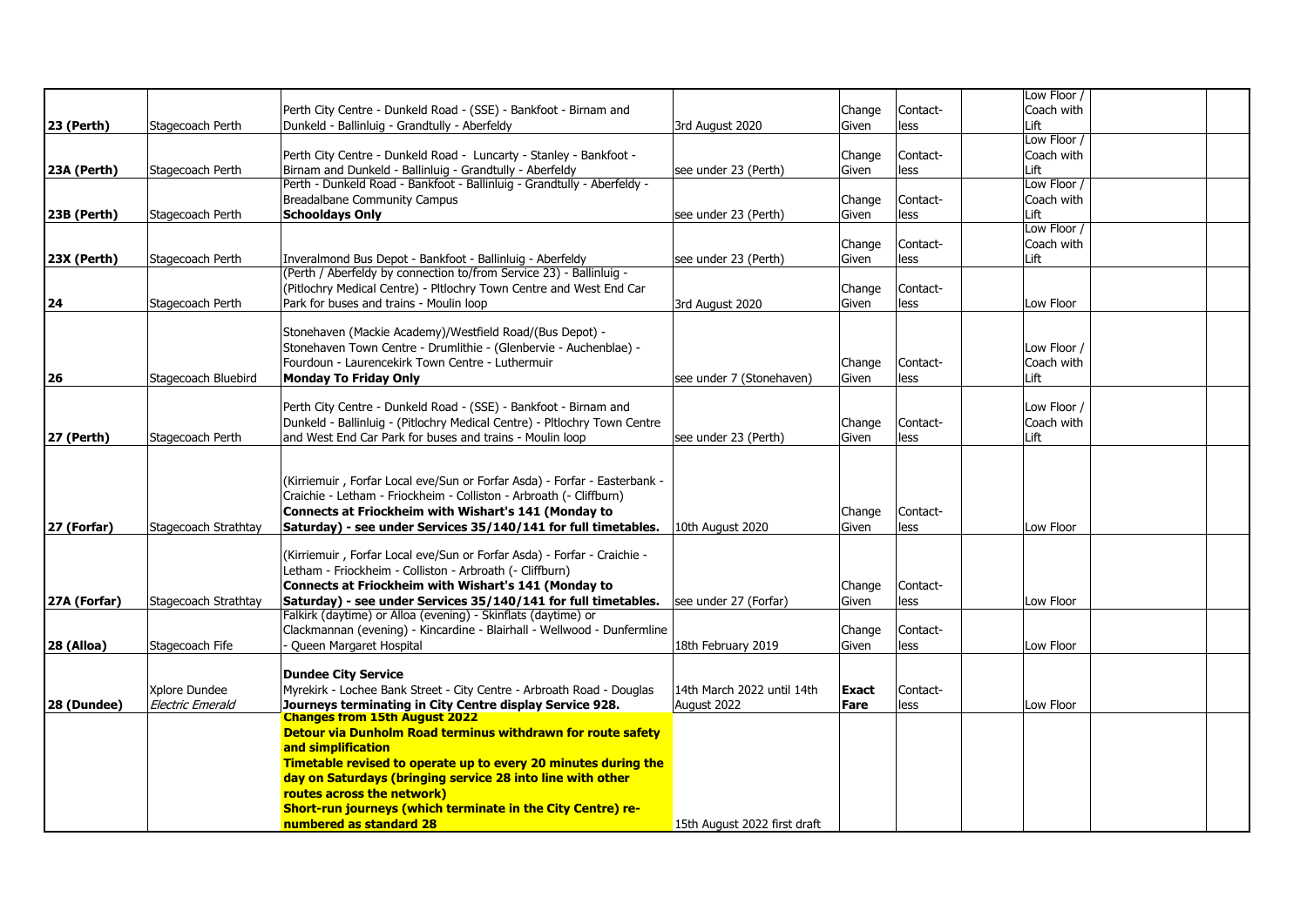|                   |                      |                                                                           |                              |              |          | Low Floor / |  |
|-------------------|----------------------|---------------------------------------------------------------------------|------------------------------|--------------|----------|-------------|--|
|                   |                      | Perth City Centre - Dunkeld Road - (SSE) - Bankfoot - Birnam and          |                              | Change       | Contact- | Coach with  |  |
| 23 (Perth)        | Stagecoach Perth     | Dunkeld - Ballinluig - Grandtully - Aberfeldy                             | 3rd August 2020              | Given        | less     | Lift        |  |
|                   |                      |                                                                           |                              |              |          | Low Floor / |  |
|                   |                      | Perth City Centre - Dunkeld Road - Luncarty - Stanley - Bankfoot -        |                              | Change       | Contact- | Coach with  |  |
| 23A (Perth)       | Stagecoach Perth     | Birnam and Dunkeld - Ballinluig - Grandtully - Aberfeldy                  | see under 23 (Perth)         | Given        | less     | Lift        |  |
|                   |                      | Perth - Dunkeld Road - Bankfoot - Ballinluig - Grandtully - Aberfeldy -   |                              |              |          | Low Floor / |  |
|                   |                      | Breadalbane Community Campus                                              |                              | Change       | Contact- | Coach with  |  |
| 23B (Perth)       | Stagecoach Perth     | <b>Schooldays Only</b>                                                    | see under 23 (Perth)         | Given        | less     | Lift        |  |
|                   |                      |                                                                           |                              |              |          | Low Floor / |  |
|                   |                      |                                                                           |                              | Change       | Contact- | Coach with  |  |
| 23X (Perth)       | Stagecoach Perth     | Inveralmond Bus Depot - Bankfoot - Ballinluig - Aberfeldy                 | see under 23 (Perth)         | Given        | less     | Lift        |  |
|                   |                      | (Perth / Aberfeldy by connection to/from Service 23) - Ballinluig -       |                              |              |          |             |  |
|                   |                      | (Pitlochry Medical Centre) - Pltlochry Town Centre and West End Car       |                              | Change       | Contact- |             |  |
| 24                | Stagecoach Perth     | Park for buses and trains - Moulin loop                                   | 3rd August 2020              | Given        | less     | Low Floor   |  |
|                   |                      |                                                                           |                              |              |          |             |  |
|                   |                      | Stonehaven (Mackie Academy)/Westfield Road/(Bus Depot) -                  |                              |              |          |             |  |
|                   |                      | Stonehaven Town Centre - Drumlithie - (Glenbervie - Auchenblae) -         |                              |              |          | Low Floor   |  |
|                   |                      | Fourdoun - Laurencekirk Town Centre - Luthermuir                          |                              | Change       | Contact- | Coach with  |  |
| 26                | Stagecoach Bluebird  | <b>Monday To Friday Only</b>                                              | see under 7 (Stonehaven)     | Given        | less     | Lift        |  |
|                   |                      | Perth City Centre - Dunkeld Road - (SSE) - Bankfoot - Birnam and          |                              |              |          | Low Floor   |  |
|                   |                      | Dunkeld - Ballinluig - (Pitlochry Medical Centre) - Pltlochry Town Centre |                              |              | Contact- | Coach with  |  |
|                   |                      |                                                                           |                              | Change       |          |             |  |
| <b>27 (Perth)</b> | Stagecoach Perth     | and West End Car Park for buses and trains - Moulin loop                  | see under 23 (Perth)         | Given        | less     | Lift        |  |
|                   |                      |                                                                           |                              |              |          |             |  |
|                   |                      | (Kirriemuir, Forfar Local eve/Sun or Forfar Asda) - Forfar - Easterbank - |                              |              |          |             |  |
|                   |                      | Craichie - Letham - Friockheim - Colliston - Arbroath (- Cliffburn)       |                              |              |          |             |  |
|                   |                      | Connects at Friockheim with Wishart's 141 (Monday to                      |                              | Change       | Contact- |             |  |
| 27 (Forfar)       | Stagecoach Strathtay | Saturday) - see under Services 35/140/141 for full timetables.            | 10th August 2020             | Given        | less     | Low Floor   |  |
|                   |                      |                                                                           |                              |              |          |             |  |
|                   |                      | (Kirriemuir, Forfar Local eve/Sun or Forfar Asda) - Forfar - Craichie -   |                              |              |          |             |  |
|                   |                      | Letham - Friockheim - Colliston - Arbroath (- Cliffburn)                  |                              |              |          |             |  |
|                   |                      | Connects at Friockheim with Wishart's 141 (Monday to                      |                              | Change       | Contact- |             |  |
| 27A (Forfar)      | Stagecoach Strathtay | Saturday) - see under Services 35/140/141 for full timetables.            | see under 27 (Forfar)        | Given        | less     | Low Floor   |  |
|                   |                      | Falkirk (daytime) or Alloa (evening) - Skinflats (daytime) or             |                              |              |          |             |  |
|                   |                      | Clackmannan (evening) - Kincardine - Blairhall - Wellwood - Dunfermline   |                              | Change       | Contact- |             |  |
| 28 (Alloa)        | Stagecoach Fife      | Queen Margaret Hospital                                                   | 18th February 2019           | Given        | less     | Low Floor   |  |
|                   |                      |                                                                           |                              |              |          |             |  |
|                   |                      | <b>Dundee City Service</b>                                                |                              |              |          |             |  |
|                   | Xplore Dundee        | Myrekirk - Lochee Bank Street - City Centre - Arbroath Road - Douglas     | 14th March 2022 until 14th   | <b>Exact</b> | Contact- |             |  |
| 28 (Dundee)       | Electric Emerald     | Journeys terminating in City Centre display Service 928.                  | August 2022                  | Fare         | less     | Low Floor   |  |
|                   |                      | <b>Changes from 15th August 2022</b>                                      |                              |              |          |             |  |
|                   |                      | Detour via Dunholm Road terminus withdrawn for route safety               |                              |              |          |             |  |
|                   |                      | and simplification                                                        |                              |              |          |             |  |
|                   |                      | Timetable revised to operate up to every 20 minutes during the            |                              |              |          |             |  |
|                   |                      | day on Saturdays (bringing service 28 into line with other                |                              |              |          |             |  |
|                   |                      | routes across the network)                                                |                              |              |          |             |  |
|                   |                      | Short-run journeys (which terminate in the City Centre) re-               |                              |              |          |             |  |
|                   |                      | numbered as standard 28                                                   | 15th August 2022 first draft |              |          |             |  |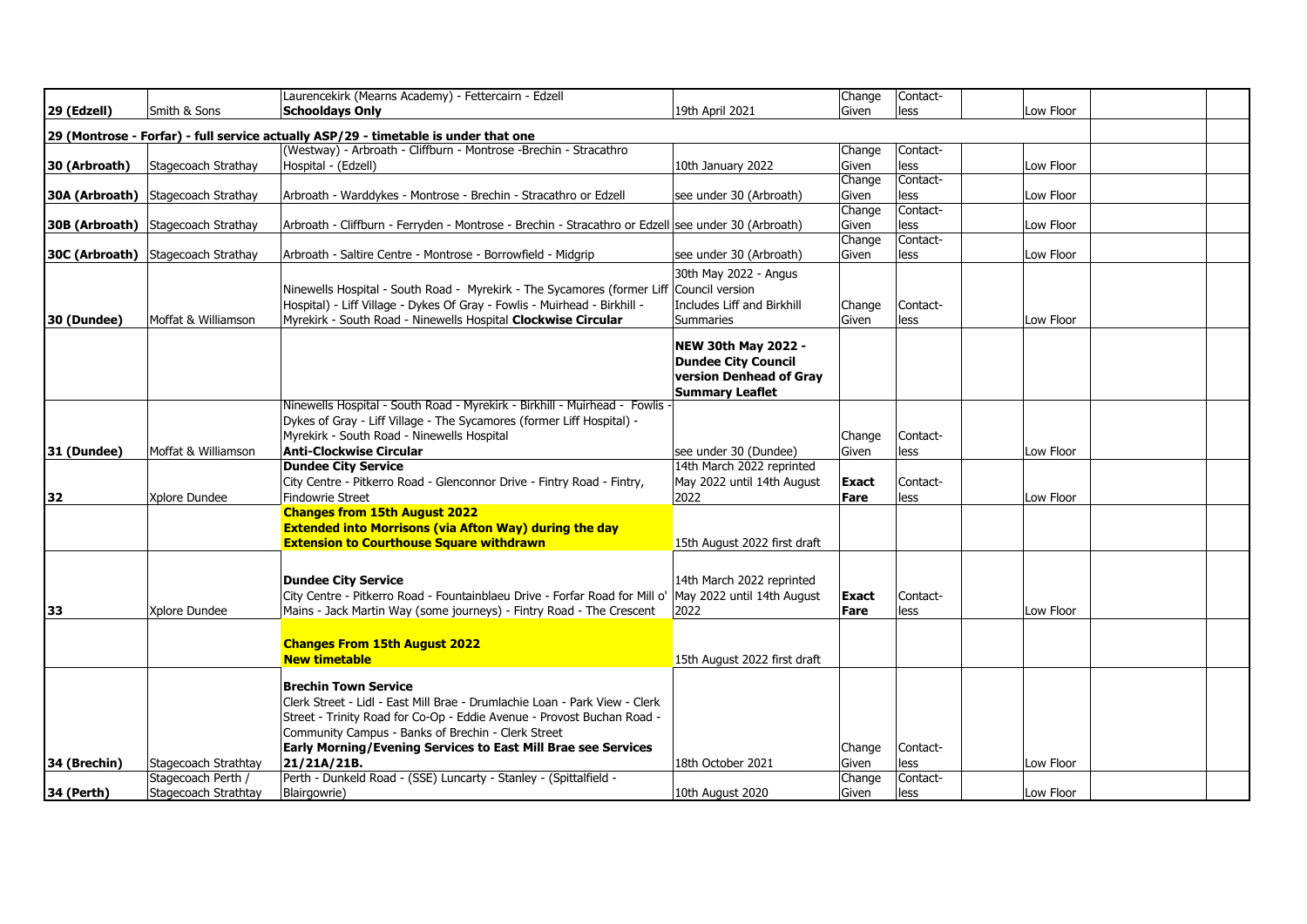|                |                                           | Laurencekirk (Mearns Academy) - Fettercairn - Edzell                                                                                                                                                                                                                                                               |                                                                                                               | Change               | Contact-         |           |  |
|----------------|-------------------------------------------|--------------------------------------------------------------------------------------------------------------------------------------------------------------------------------------------------------------------------------------------------------------------------------------------------------------------|---------------------------------------------------------------------------------------------------------------|----------------------|------------------|-----------|--|
| 29 (Edzell)    | Smith & Sons                              | <b>Schooldays Only</b>                                                                                                                                                                                                                                                                                             | 19th April 2021                                                                                               | Given                | less             | Low Floor |  |
|                |                                           | 29 (Montrose - Forfar) - full service actually ASP/29 - timetable is under that one                                                                                                                                                                                                                                |                                                                                                               |                      |                  |           |  |
|                |                                           | (Westway) - Arbroath - Cliffburn - Montrose -Brechin - Stracathro                                                                                                                                                                                                                                                  |                                                                                                               | Change               | Contact-         |           |  |
| 30 (Arbroath)  | Stagecoach Strathay                       | Hospital - (Edzell)                                                                                                                                                                                                                                                                                                | 10th January 2022                                                                                             | Given                | less             | Low Floor |  |
|                |                                           |                                                                                                                                                                                                                                                                                                                    |                                                                                                               | Change               | Contact-         |           |  |
| 30A (Arbroath) | Stagecoach Strathay                       | Arbroath - Warddykes - Montrose - Brechin - Stracathro or Edzell                                                                                                                                                                                                                                                   | see under 30 (Arbroath)                                                                                       | Given                | less             | Low Floor |  |
|                |                                           |                                                                                                                                                                                                                                                                                                                    |                                                                                                               | Change               | Contact-         |           |  |
| 30B (Arbroath) | Stagecoach Strathay                       | Arbroath - Cliffburn - Ferryden - Montrose - Brechin - Stracathro or Edzell see under 30 (Arbroath)                                                                                                                                                                                                                |                                                                                                               | Given                | less             | Low Floor |  |
|                |                                           |                                                                                                                                                                                                                                                                                                                    |                                                                                                               | Change               | Contact-         |           |  |
|                | <b>30C (Arbroath)</b> Stagecoach Strathay | Arbroath - Saltire Centre - Montrose - Borrowfield - Midgrip                                                                                                                                                                                                                                                       | see under 30 (Arbroath)                                                                                       | Given                | less             | Low Floor |  |
| 30 (Dundee)    | Moffat & Williamson                       | Ninewells Hospital - South Road - Myrekirk - The Sycamores (former Liff<br>Hospital) - Liff Village - Dykes Of Gray - Fowlis - Muirhead - Birkhill -<br>Myrekirk - South Road - Ninewells Hospital Clockwise Circular                                                                                              | 30th May 2022 - Angus<br>Council version<br>Includes Liff and Birkhill<br>Summaries                           | Change<br>Given      | Contact-<br>less | Low Floor |  |
|                |                                           |                                                                                                                                                                                                                                                                                                                    | <b>NEW 30th May 2022 -</b><br><b>Dundee City Council</b><br>version Denhead of Gray<br><b>Summary Leaflet</b> |                      |                  |           |  |
| 31 (Dundee)    | Moffat & Williamson                       | Ninewells Hospital - South Road - Myrekirk - Birkhill - Muirhead - Fowlis ·<br>Dykes of Gray - Liff Village - The Sycamores (former Liff Hospital) -<br>Myrekirk - South Road - Ninewells Hospital<br><b>Anti-Clockwise Circular</b>                                                                               | see under 30 (Dundee)                                                                                         | Change<br>Given      | Contact-<br>less | Low Floor |  |
|                |                                           | Dundee City Service                                                                                                                                                                                                                                                                                                | 14th March 2022 reprinted                                                                                     |                      |                  |           |  |
|                |                                           | City Centre - Pitkerro Road - Glenconnor Drive - Fintry Road - Fintry,                                                                                                                                                                                                                                             | May 2022 until 14th August                                                                                    | Exact                | Contact-         |           |  |
| 32             | Xplore Dundee                             | Findowrie Street                                                                                                                                                                                                                                                                                                   | 2022                                                                                                          | Fare                 | less             | Low Floor |  |
|                |                                           | <b>Changes from 15th August 2022</b><br><b>Extended into Morrisons (via Afton Way) during the day</b><br><b>Extension to Courthouse Square withdrawn</b>                                                                                                                                                           | 15th August 2022 first draft                                                                                  |                      |                  |           |  |
| 33             | Xplore Dundee                             | <b>Dundee City Service</b><br>City Centre - Pitkerro Road - Fountainblaeu Drive - Forfar Road for Mill o'<br>Mains - Jack Martin Way (some journeys) - Fintry Road - The Crescent                                                                                                                                  | 14th March 2022 reprinted<br>May 2022 until 14th August<br>2022                                               | <b>Exact</b><br>Fare | Contact-<br>less | Low Floor |  |
|                |                                           | <b>Changes From 15th August 2022</b><br><b>New timetable</b>                                                                                                                                                                                                                                                       | 15th August 2022 first draft                                                                                  |                      |                  |           |  |
| 34 (Brechin)   | Stagecoach Strathtay                      | Brechin Town Service<br>Clerk Street - Lidl - East Mill Brae - Drumlachie Loan - Park View - Clerk<br>Street - Trinity Road for Co-Op - Eddie Avenue - Provost Buchan Road -<br>Community Campus - Banks of Brechin - Clerk Street<br>Early Morning/Evening Services to East Mill Brae see Services<br>21/21A/21B. | 18th October 2021                                                                                             | Change<br>Given      | Contact-<br>less | Low Floor |  |
|                | Stagecoach Perth /                        | Perth - Dunkeld Road - (SSE) Luncarty - Stanley - (Spittalfield -                                                                                                                                                                                                                                                  |                                                                                                               | Change               | Contact-         |           |  |
| 34 (Perth)     | Stagecoach Strathtay                      | Blairgowrie)                                                                                                                                                                                                                                                                                                       | 10th August 2020                                                                                              | Given                | less             | Low Floor |  |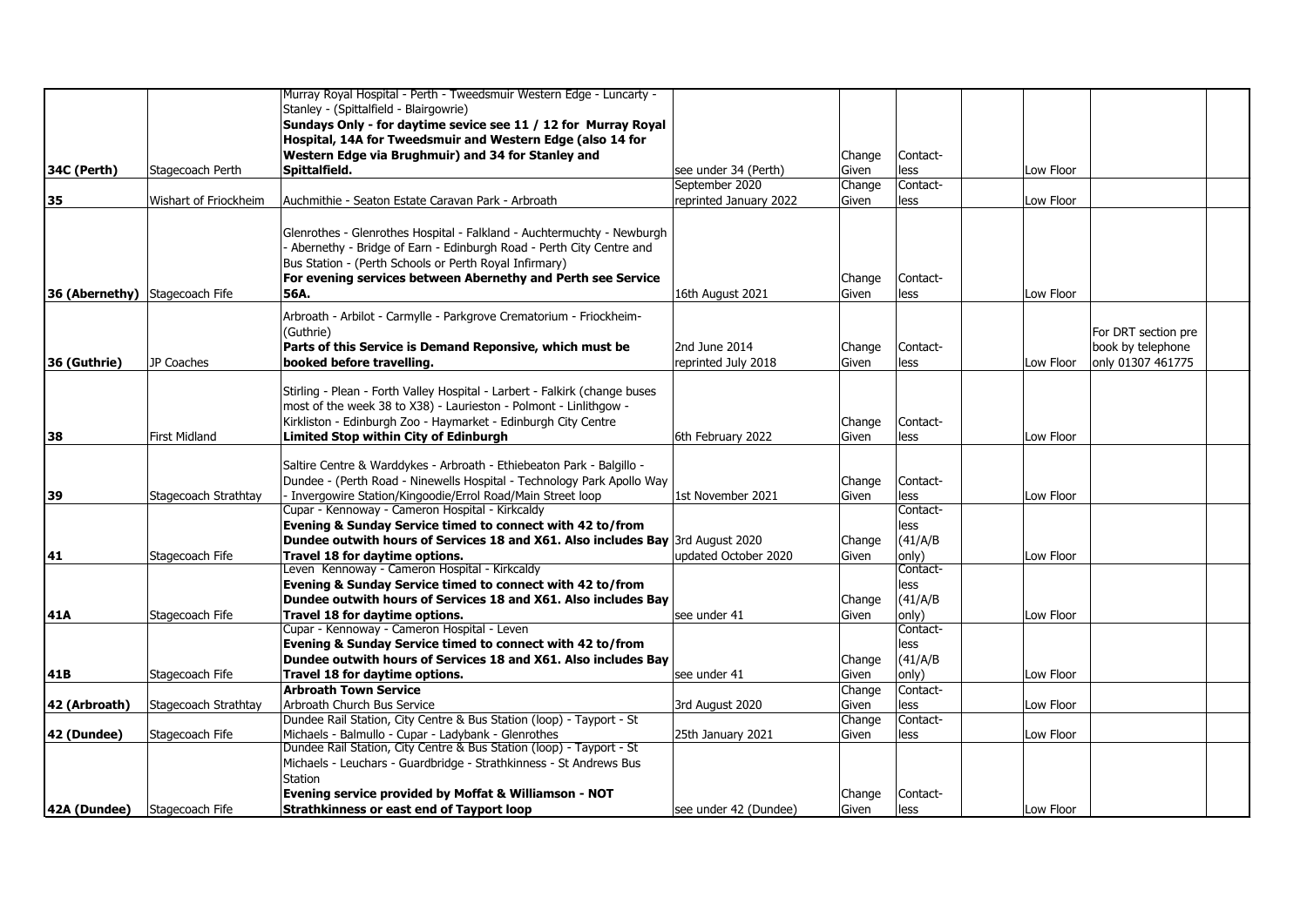|                                     |                       | Murray Royal Hospital - Perth - Tweedsmuir Western Edge - Luncarty -           |                        |        |          |           |                     |  |
|-------------------------------------|-----------------------|--------------------------------------------------------------------------------|------------------------|--------|----------|-----------|---------------------|--|
|                                     |                       | Stanley - (Spittalfield - Blairgowrie)                                         |                        |        |          |           |                     |  |
|                                     |                       | Sundays Only - for daytime sevice see 11 / 12 for Murray Royal                 |                        |        |          |           |                     |  |
|                                     |                       | Hospital, 14A for Tweedsmuir and Western Edge (also 14 for                     |                        |        |          |           |                     |  |
|                                     |                       |                                                                                |                        |        |          |           |                     |  |
|                                     |                       | Western Edge via Brughmuir) and 34 for Stanley and                             |                        | Change | Contact- |           |                     |  |
| 34C (Perth)                         | Stagecoach Perth      | Spittalfield.                                                                  | see under 34 (Perth)   | Given  | less     | Low Floor |                     |  |
|                                     |                       |                                                                                | September 2020         | Change | Contact- |           |                     |  |
| 35                                  | Wishart of Friockheim | Auchmithie - Seaton Estate Caravan Park - Arbroath                             | reprinted January 2022 | Given  | less     | Low Floor |                     |  |
|                                     |                       |                                                                                |                        |        |          |           |                     |  |
|                                     |                       | Glenrothes - Glenrothes Hospital - Falkland - Auchtermuchty - Newburgh         |                        |        |          |           |                     |  |
|                                     |                       | - Abernethy - Bridge of Earn - Edinburgh Road - Perth City Centre and          |                        |        |          |           |                     |  |
|                                     |                       | Bus Station - (Perth Schools or Perth Royal Infirmary)                         |                        |        |          |           |                     |  |
|                                     |                       | For evening services between Abernethy and Perth see Service                   |                        | Change | Contact- |           |                     |  |
| 36 (Abernethy) Stagecoach Fife      |                       | 56A.                                                                           | 16th August 2021       | Given  | less     | Low Floor |                     |  |
|                                     |                       | Arbroath - Arbilot - Carmylle - Parkgrove Crematorium - Friockheim-            |                        |        |          |           |                     |  |
|                                     |                       | (Guthrie)                                                                      |                        |        |          |           | For DRT section pre |  |
|                                     |                       | Parts of this Service is Demand Reponsive, which must be                       | 2nd June 2014          | Change | Contact- |           | book by telephone   |  |
| 36 (Guthrie)                        | JP Coaches            | booked before travelling.                                                      | reprinted July 2018    | Given  | less     | Low Floor | only 01307 461775   |  |
|                                     |                       |                                                                                |                        |        |          |           |                     |  |
|                                     |                       | Stirling - Plean - Forth Valley Hospital - Larbert - Falkirk (change buses     |                        |        |          |           |                     |  |
|                                     |                       | most of the week 38 to X38) - Laurieston - Polmont - Linlithgow -              |                        |        |          |           |                     |  |
|                                     |                       | Kirkliston - Edinburgh Zoo - Haymarket - Edinburgh City Centre                 |                        | Change | Contact- |           |                     |  |
| 38                                  | <b>First Midland</b>  | Limited Stop within City of Edinburgh                                          | 6th February 2022      | Given  | less     | Low Floor |                     |  |
|                                     |                       |                                                                                |                        |        |          |           |                     |  |
|                                     |                       | Saltire Centre & Warddykes - Arbroath - Ethiebeaton Park - Balgillo -          |                        |        |          |           |                     |  |
|                                     |                       | Dundee - (Perth Road - Ninewells Hospital - Technology Park Apollo Way         |                        | Change | Contact- |           |                     |  |
| 39                                  | Stagecoach Strathtay  | - Invergowire Station/Kingoodie/Errol Road/Main Street loop                    | 1st November 2021      | Given  | less     | Low Floor |                     |  |
|                                     |                       | Cupar - Kennoway - Cameron Hospital - Kirkcaldy                                |                        |        | Contact- |           |                     |  |
|                                     |                       | Evening & Sunday Service timed to connect with 42 to/from                      |                        |        | less     |           |                     |  |
|                                     |                       | Dundee outwith hours of Services 18 and X61. Also includes Bay 3rd August 2020 |                        | Change | (41/A/B) |           |                     |  |
| 41                                  | Stagecoach Fife       | Travel 18 for daytime options.                                                 | updated October 2020   | Given  | only)    | Low Floor |                     |  |
|                                     |                       | Leven Kennoway - Cameron Hospital - Kirkcaldy                                  |                        |        | Contact- |           |                     |  |
|                                     |                       | Evening & Sunday Service timed to connect with 42 to/from                      |                        |        | less     |           |                     |  |
|                                     |                       | Dundee outwith hours of Services 18 and X61. Also includes Bay                 |                        | Change | (41/A/B) |           |                     |  |
| 41A                                 | Stagecoach Fife       | Travel 18 for daytime options.                                                 | see under 41           | Given  | only)    | Low Floor |                     |  |
|                                     |                       | Cupar - Kennoway - Cameron Hospital - Leven                                    |                        |        | Contact- |           |                     |  |
|                                     |                       | Evening & Sunday Service timed to connect with 42 to/from                      |                        |        | less     |           |                     |  |
|                                     |                       | Dundee outwith hours of Services 18 and X61. Also includes Bav                 |                        | Change | (41/A/B) |           |                     |  |
| 41B                                 | Stagecoach Fife       | Travel 18 for daytime options.                                                 | see under 41           | Given  | only)    | Low Floor |                     |  |
|                                     |                       | <b>Arbroath Town Service</b>                                                   |                        | Change | Contact- |           |                     |  |
| 42 (Arbroath)                       | Stagecoach Strathtay  | Arbroath Church Bus Service                                                    | 3rd August 2020        | Given  | less     | Low Floor |                     |  |
|                                     |                       | Dundee Rail Station, City Centre & Bus Station (loop) - Tayport - St           |                        | Change | Contact- |           |                     |  |
| 42 (Dundee)                         | Stagecoach Fife       | Michaels - Balmullo - Cupar - Ladybank - Glenrothes                            | 25th January 2021      | Given  | less     | Low Floor |                     |  |
|                                     |                       | Dundee Rail Station, City Centre & Bus Station (loop) - Tayport - St           |                        |        |          |           |                     |  |
|                                     |                       | Michaels - Leuchars - Guardbridge - Strathkinness - St Andrews Bus             |                        |        |          |           |                     |  |
|                                     |                       | <b>Station</b>                                                                 |                        |        |          |           |                     |  |
|                                     |                       | Evening service provided by Moffat & Williamson - NOT                          |                        | Change | Contact- |           |                     |  |
| <b>42A (Dundee)</b> Stagecoach Fife |                       | Strathkinness or east end of Tayport loop                                      | see under 42 (Dundee)  | Given  | less     | Low Floor |                     |  |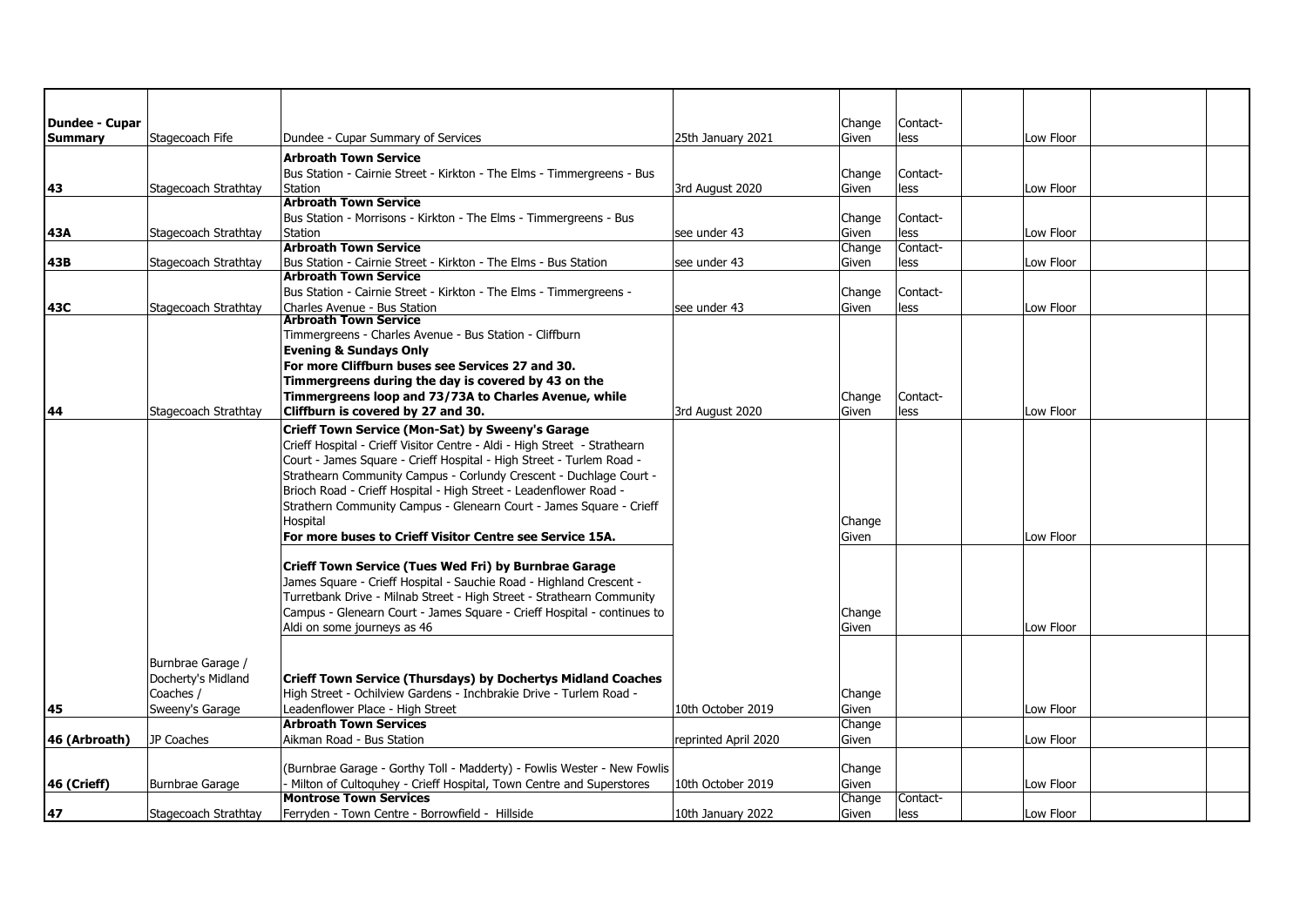| Dundee - Cupar |                      |                                                                                                                                                |                      | Change          | Contact- |           |  |
|----------------|----------------------|------------------------------------------------------------------------------------------------------------------------------------------------|----------------------|-----------------|----------|-----------|--|
| <b>Summary</b> | Stagecoach Fife      | Dundee - Cupar Summary of Services                                                                                                             | 25th January 2021    | Given           | less     | Low Floor |  |
|                |                      | <b>Arbroath Town Service</b>                                                                                                                   |                      |                 |          |           |  |
|                |                      | Bus Station - Cairnie Street - Kirkton - The Elms - Timmergreens - Bus                                                                         |                      | Change          | Contact- |           |  |
| 43             | Stagecoach Strathtay | Station                                                                                                                                        | 3rd August 2020      | Given           | less     | Low Floor |  |
|                |                      | <b>Arbroath Town Service</b>                                                                                                                   |                      |                 |          |           |  |
|                |                      | Bus Station - Morrisons - Kirkton - The Elms - Timmergreens - Bus                                                                              |                      | Change          | Contact- |           |  |
| 43A            | Stagecoach Strathtay | Station                                                                                                                                        | see under 43         | Given           | less     | Low Floor |  |
|                |                      | <b>Arbroath Town Service</b>                                                                                                                   |                      | Change          | Contact- |           |  |
| 43B            | Stagecoach Strathtay | Bus Station - Cairnie Street - Kirkton - The Elms - Bus Station                                                                                | see under 43         | Given           | less     | Low Floor |  |
|                |                      | <b>Arbroath Town Service</b>                                                                                                                   |                      |                 |          |           |  |
|                |                      | Bus Station - Cairnie Street - Kirkton - The Elms - Timmergreens -                                                                             |                      | Change          | Contact- |           |  |
| 43C            | Stagecoach Strathtay | Charles Avenue - Bus Station                                                                                                                   | see under 43         | Given           | less     | Low Floor |  |
|                |                      | <b>Arbroath Town Service</b>                                                                                                                   |                      |                 |          |           |  |
|                |                      | Timmergreens - Charles Avenue - Bus Station - Cliffburn                                                                                        |                      |                 |          |           |  |
|                |                      | <b>Evening &amp; Sundays Only</b><br>For more Cliffburn buses see Services 27 and 30.                                                          |                      |                 |          |           |  |
|                |                      |                                                                                                                                                |                      |                 |          |           |  |
|                |                      | Timmergreens during the day is covered by 43 on the<br>Timmergreens loop and 73/73A to Charles Avenue, while                                   |                      |                 | Contact- |           |  |
| 44             | Stagecoach Strathtay | Cliffburn is covered by 27 and 30.                                                                                                             | 3rd August 2020      | Change<br>Given | less     | Low Floor |  |
|                |                      |                                                                                                                                                |                      |                 |          |           |  |
|                |                      | Crieff Town Service (Mon-Sat) by Sweeny's Garage                                                                                               |                      |                 |          |           |  |
|                |                      | Crieff Hospital - Crieff Visitor Centre - Aldi - High Street - Strathearn                                                                      |                      |                 |          |           |  |
|                |                      | Court - James Square - Crieff Hospital - High Street - Turlem Road -                                                                           |                      |                 |          |           |  |
|                |                      | Strathearn Community Campus - Corlundy Crescent - Duchlage Court -                                                                             |                      |                 |          |           |  |
|                |                      | Brioch Road - Crieff Hospital - High Street - Leadenflower Road -                                                                              |                      |                 |          |           |  |
|                |                      | Strathern Community Campus - Glenearn Court - James Square - Crieff                                                                            |                      |                 |          |           |  |
|                |                      | Hospital                                                                                                                                       |                      | Change          |          |           |  |
|                |                      | For more buses to Crieff Visitor Centre see Service 15A.                                                                                       |                      | Given           |          | Low Floor |  |
|                |                      |                                                                                                                                                |                      |                 |          |           |  |
|                |                      | Crieff Town Service (Tues Wed Fri) by Burnbrae Garage<br>James Square - Crieff Hospital - Sauchie Road - Highland Crescent -                   |                      |                 |          |           |  |
|                |                      | Turretbank Drive - Milnab Street - High Street - Strathearn Community                                                                          |                      |                 |          |           |  |
|                |                      | Campus - Glenearn Court - James Square - Crieff Hospital - continues to                                                                        |                      |                 |          |           |  |
|                |                      | Aldi on some journeys as 46                                                                                                                    |                      | Change<br>Given |          | Low Floor |  |
|                |                      |                                                                                                                                                |                      |                 |          |           |  |
|                |                      |                                                                                                                                                |                      |                 |          |           |  |
|                | Burnbrae Garage /    |                                                                                                                                                |                      |                 |          |           |  |
|                | Docherty's Midland   | <b>Crieff Town Service (Thursdays) by Dochertys Midland Coaches</b>                                                                            |                      |                 |          |           |  |
|                | Coaches /            | High Street - Ochilview Gardens - Inchbrakie Drive - Turlem Road -                                                                             |                      | Change          |          |           |  |
| 45             | Sweeny's Garage      | Leadenflower Place - High Street<br><b>Arbroath Town Services</b>                                                                              | 10th October 2019    | Given           |          | Low Floor |  |
|                |                      |                                                                                                                                                |                      | Change          |          |           |  |
| 46 (Arbroath)  | JP Coaches           | Aikman Road - Bus Station                                                                                                                      | reprinted April 2020 | Given           |          | Low Floor |  |
|                |                      |                                                                                                                                                |                      |                 |          |           |  |
| 46 (Crieff)    | Burnbrae Garage      | (Burnbrae Garage - Gorthy Toll - Madderty) - Fowlis Wester - New Fowlis<br>Milton of Cultoguhey - Crieff Hospital, Town Centre and Superstores | 10th October 2019    | Change<br>Given |          | Low Floor |  |
|                |                      | <b>Montrose Town Services</b>                                                                                                                  |                      | Change          | Contact- |           |  |
| 47             | Stagecoach Strathtay | Ferryden - Town Centre - Borrowfield - Hillside                                                                                                | 10th January 2022    | Given           | less     | Low Floor |  |
|                |                      |                                                                                                                                                |                      |                 |          |           |  |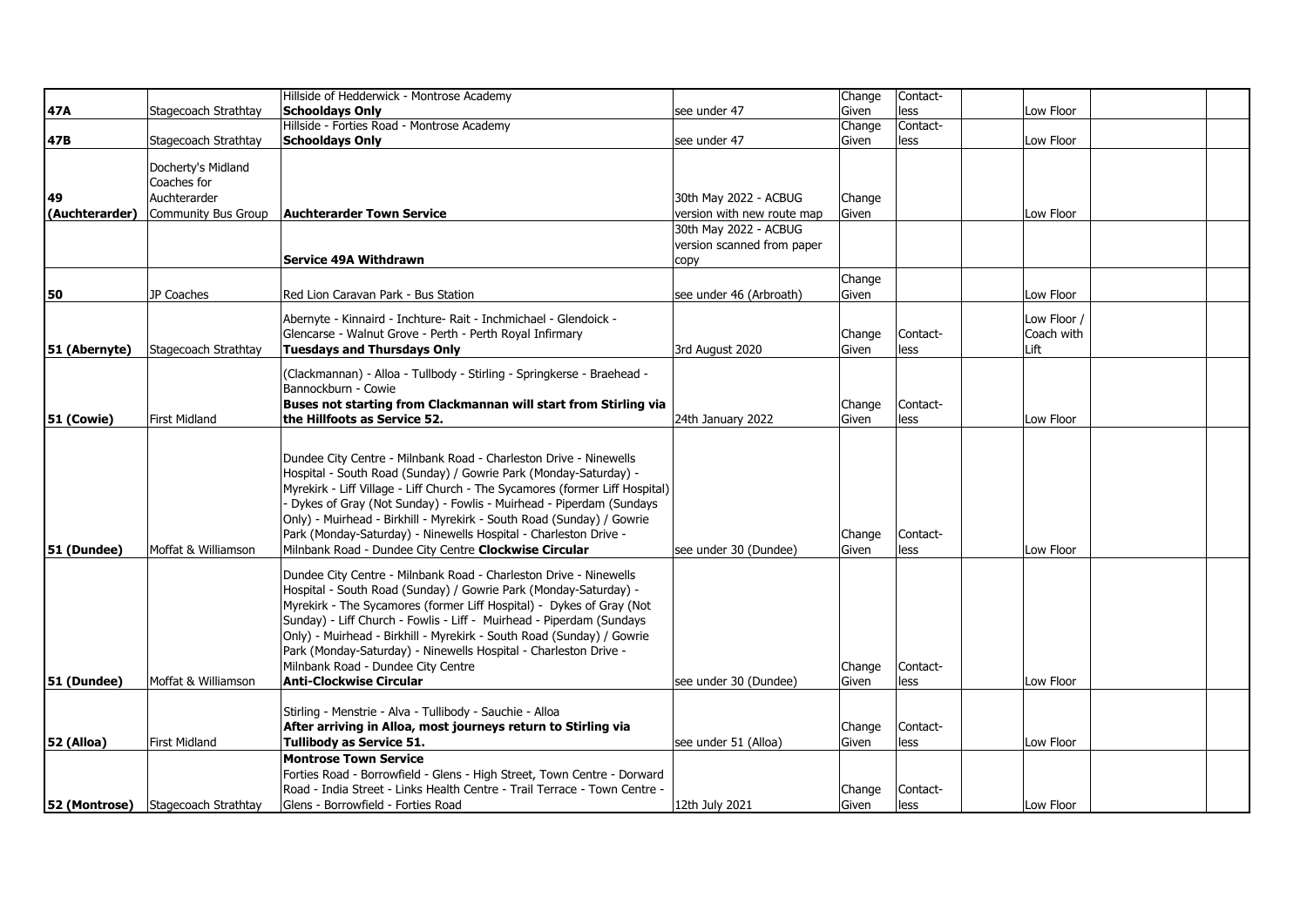|                |                                   | Hillside of Hedderwick - Montrose Academy                                                                                                                                                                                                                                                                                                                                                                                                                                                                  |                                                     | Change          | Contact-         |                                   |  |
|----------------|-----------------------------------|------------------------------------------------------------------------------------------------------------------------------------------------------------------------------------------------------------------------------------------------------------------------------------------------------------------------------------------------------------------------------------------------------------------------------------------------------------------------------------------------------------|-----------------------------------------------------|-----------------|------------------|-----------------------------------|--|
| 47A            | Stagecoach Strathtay              | <b>Schooldavs Only</b>                                                                                                                                                                                                                                                                                                                                                                                                                                                                                     | see under 47                                        | Given           | less             | Low Floor                         |  |
|                |                                   | Hillside - Forties Road - Montrose Academy                                                                                                                                                                                                                                                                                                                                                                                                                                                                 |                                                     | Change          | Contact-         |                                   |  |
| 47B            | Stagecoach Strathtay              | <b>Schooldays Only</b>                                                                                                                                                                                                                                                                                                                                                                                                                                                                                     | see under 47                                        | Given           | less             | Low Floor                         |  |
|                | Docherty's Midland<br>Coaches for |                                                                                                                                                                                                                                                                                                                                                                                                                                                                                                            |                                                     |                 |                  |                                   |  |
| 49             | Auchterarder                      |                                                                                                                                                                                                                                                                                                                                                                                                                                                                                                            | 30th May 2022 - ACBUG                               | Change          |                  |                                   |  |
| (Auchterarder) | Community Bus Group               | <b>Auchterarder Town Service</b>                                                                                                                                                                                                                                                                                                                                                                                                                                                                           | version with new route map                          | Given           |                  | Low Floor                         |  |
|                |                                   | Service 49A Withdrawn                                                                                                                                                                                                                                                                                                                                                                                                                                                                                      | 30th May 2022 - ACBUG<br>version scanned from paper |                 |                  |                                   |  |
|                |                                   |                                                                                                                                                                                                                                                                                                                                                                                                                                                                                                            | copy                                                |                 |                  |                                   |  |
| 50             | JP Coaches                        | Red Lion Caravan Park - Bus Station                                                                                                                                                                                                                                                                                                                                                                                                                                                                        | see under 46 (Arbroath)                             | Change<br>Given |                  | Low Floor                         |  |
| 51 (Abernyte)  | Stagecoach Strathtay              | Abernyte - Kinnaird - Inchture- Rait - Inchmichael - Glendoick -<br>Glencarse - Walnut Grove - Perth - Perth Royal Infirmary<br><b>Tuesdays and Thursdays Only</b>                                                                                                                                                                                                                                                                                                                                         | 3rd August 2020                                     | Change<br>Given | Contact-<br>less | Low Floor /<br>Coach with<br>Lift |  |
| 51 (Cowie)     | <b>First Midland</b>              | (Clackmannan) - Alloa - Tullbody - Stirling - Springkerse - Braehead -<br>Bannockburn - Cowie<br>Buses not starting from Clackmannan will start from Stirling via<br>the Hillfoots as Service 52.                                                                                                                                                                                                                                                                                                          | 24th January 2022                                   | Change<br>Given | Contact-<br>less | Low Floor                         |  |
| 51 (Dundee)    | Moffat & Williamson               | Dundee City Centre - Milnbank Road - Charleston Drive - Ninewells<br>Hospital - South Road (Sunday) / Gowrie Park (Monday-Saturday) -<br>Myrekirk - Liff Village - Liff Church - The Sycamores (former Liff Hospital)<br>- Dykes of Gray (Not Sunday) - Fowlis - Muirhead - Piperdam (Sundays<br>Only) - Muirhead - Birkhill - Myrekirk - South Road (Sunday) / Gowrie<br>Park (Monday-Saturday) - Ninewells Hospital - Charleston Drive -<br>Milnbank Road - Dundee City Centre Clockwise Circular        | see under 30 (Dundee)                               | Change<br>Given | Contact-<br>less | Low Floor                         |  |
| 51 (Dundee)    | Moffat & Williamson               | Dundee City Centre - Milnbank Road - Charleston Drive - Ninewells<br>Hospital - South Road (Sunday) / Gowrie Park (Monday-Saturday) -<br>Myrekirk - The Sycamores (former Liff Hospital) - Dykes of Gray (Not<br>Sunday) - Liff Church - Fowlis - Liff - Muirhead - Piperdam (Sundays<br>Only) - Muirhead - Birkhill - Myrekirk - South Road (Sunday) / Gowrie<br>Park (Monday-Saturday) - Ninewells Hospital - Charleston Drive -<br>Milnbank Road - Dundee City Centre<br><b>Anti-Clockwise Circular</b> | see under 30 (Dundee)                               | Change<br>Given | Contact-<br>less | Low Floor                         |  |
| 52 (Alloa)     | <b>First Midland</b>              | Stirling - Menstrie - Alva - Tullibody - Sauchie - Alloa<br>After arriving in Alloa, most journeys return to Stirling via<br><b>Tullibody as Service 51.</b>                                                                                                                                                                                                                                                                                                                                               | see under 51 (Alloa)                                | Change<br>Given | Contact-<br>less | Low Floor                         |  |
| 52 (Montrose)  | Stagecoach Strathtay              | <b>Montrose Town Service</b><br>Forties Road - Borrowfield - Glens - High Street, Town Centre - Dorward<br>Road - India Street - Links Health Centre - Trail Terrace - Town Centre -<br>Glens - Borrowfield - Forties Road                                                                                                                                                                                                                                                                                 | 12th July 2021                                      | Change<br>Given | Contact-<br>less | Low Floor                         |  |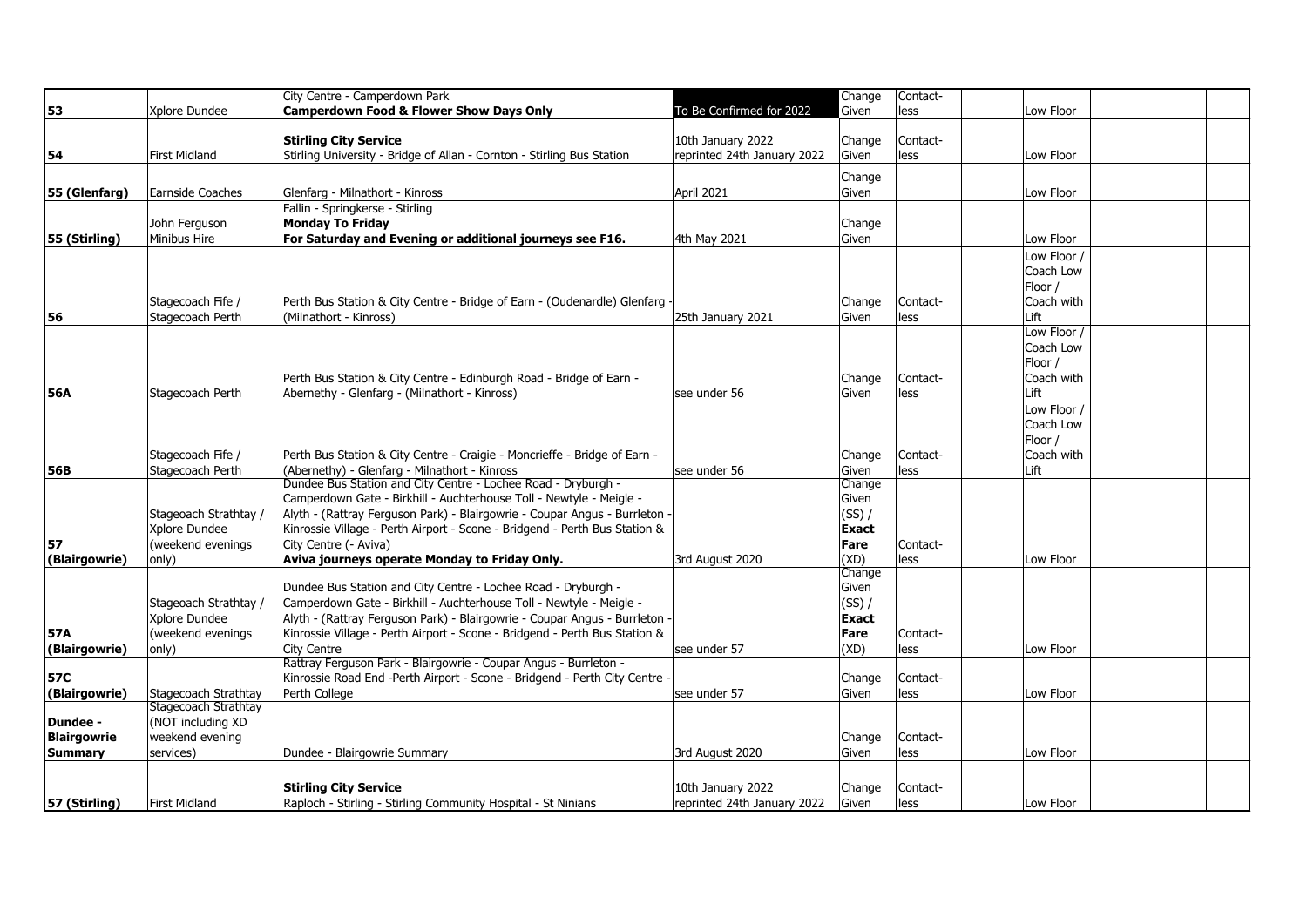|                    |                                        | City Centre - Camperdown Park                                              |                             | Change                   | Contact- |             |  |
|--------------------|----------------------------------------|----------------------------------------------------------------------------|-----------------------------|--------------------------|----------|-------------|--|
| 53                 | Xplore Dundee                          | <b>Camperdown Food &amp; Flower Show Days Only</b>                         | To Be Confirmed for 2022    | Given                    | less     | Low Floor   |  |
|                    |                                        |                                                                            |                             |                          |          |             |  |
|                    |                                        | <b>Stirling City Service</b>                                               | 10th January 2022           | Change                   | Contact- |             |  |
| 54                 | First Midland                          | Stirling University - Bridge of Allan - Cornton - Stirling Bus Station     | reprinted 24th January 2022 | Given                    | less     | Low Floor   |  |
|                    |                                        |                                                                            |                             | Change                   |          |             |  |
| 55 (Glenfarg)      | Earnside Coaches                       | Glenfarg - Milnathort - Kinross                                            | April 2021                  | Given                    |          | Low Floor   |  |
|                    |                                        | Fallin - Springkerse - Stirling                                            |                             |                          |          |             |  |
|                    | John Ferguson                          | <b>Monday To Friday</b>                                                    |                             |                          |          |             |  |
| 55 (Stirling)      | Minibus Hire                           | For Saturday and Evening or additional journeys see F16.                   | 4th May 2021                | Change<br>Given          |          | Low Floor   |  |
|                    |                                        |                                                                            |                             |                          |          |             |  |
|                    |                                        |                                                                            |                             |                          |          | Low Floor / |  |
|                    |                                        |                                                                            |                             |                          |          | Coach Low   |  |
|                    |                                        |                                                                            |                             |                          |          | Floor /     |  |
|                    | Stagecoach Fife /                      | Perth Bus Station & City Centre - Bridge of Earn - (Oudenardle) Glenfarg   |                             | Change                   | Contact- | Coach with  |  |
| 56                 | Stagecoach Perth                       | (Milnathort - Kinross)                                                     | 25th January 2021           | Given                    | less     | Lift        |  |
|                    |                                        |                                                                            |                             |                          |          | Low Floor   |  |
|                    |                                        |                                                                            |                             |                          |          | Coach Low   |  |
|                    |                                        |                                                                            |                             |                          |          | Floor /     |  |
|                    |                                        | Perth Bus Station & City Centre - Edinburgh Road - Bridge of Earn -        |                             | Change                   | Contact- | Coach with  |  |
| 56A                | Stagecoach Perth                       | Abernethy - Glenfarg - (Milnathort - Kinross)                              | see under 56                | Given                    | less     | Lift        |  |
|                    |                                        |                                                                            |                             |                          |          | Low Floor / |  |
|                    |                                        |                                                                            |                             |                          |          | Coach Low   |  |
|                    |                                        |                                                                            |                             |                          |          | Floor /     |  |
|                    | Stagecoach Fife /                      | Perth Bus Station & City Centre - Craigie - Moncrieffe - Bridge of Earn -  |                             | Change                   | Contact- | Coach with  |  |
| 56B                | Stagecoach Perth                       | (Abernethy) - Glenfarg - Milnathort - Kinross                              | see under 56                | Given                    | less     | Lift        |  |
|                    |                                        | Dundee Bus Station and City Centre - Lochee Road - Dryburgh -              |                             | Change                   |          |             |  |
|                    |                                        | Camperdown Gate - Birkhill - Auchterhouse Toll - Newtyle - Meigle -        |                             | Given                    |          |             |  |
|                    | Stageoach Strathtay /                  | Alyth - (Rattray Ferguson Park) - Blairgowrie - Coupar Angus - Burrleton   |                             | $(SS)$ /                 |          |             |  |
|                    | Xplore Dundee                          | Kinrossie Village - Perth Airport - Scone - Bridgend - Perth Bus Station & |                             | <b>Exact</b>             |          |             |  |
| 57                 | (weekend evenings                      | City Centre (- Aviva)                                                      |                             | Fare                     | Contact- |             |  |
| (Blairgowrie)      | only)                                  | Aviva journeys operate Monday to Friday Only.                              | 3rd August 2020             | (XD)                     | less     | Low Floor   |  |
|                    |                                        | Dundee Bus Station and City Centre - Lochee Road - Dryburgh -              |                             | Change<br>Given          |          |             |  |
|                    |                                        | Camperdown Gate - Birkhill - Auchterhouse Toll - Newtyle - Meigle -        |                             |                          |          |             |  |
|                    | Stageoach Strathtay /<br>Xplore Dundee | Alyth - (Rattray Ferguson Park) - Blairgowrie - Coupar Angus - Burrleton   |                             | $(SS)$ /<br><b>Exact</b> |          |             |  |
|                    | (weekend evenings                      | Kinrossie Village - Perth Airport - Scone - Bridgend - Perth Bus Station & |                             |                          |          |             |  |
| 57A                |                                        | City Centre                                                                |                             | Fare<br>(XD)             | Contact- |             |  |
| (Blairgowrie)      | only)                                  | Rattray Ferguson Park - Blairgowrie - Coupar Angus - Burrleton -           | see under 57                |                          | less     | Low Floor   |  |
| 57C                |                                        | Kinrossie Road End -Perth Airport - Scone - Bridgend - Perth City Centre - |                             | Change                   | Contact- |             |  |
| (Blairgowrie)      | Stagecoach Strathtay                   | Perth College                                                              | see under 57                | Given                    |          | Low Floor   |  |
|                    | Stagecoach Strathtay                   |                                                                            |                             |                          | less     |             |  |
| Dundee -           | (NOT including XD                      |                                                                            |                             |                          |          |             |  |
| <b>Blairgowrie</b> | weekend evening                        |                                                                            |                             | Change                   | Contact- |             |  |
| Summary            | services)                              | Dundee - Blairgowrie Summary                                               | 3rd August 2020             | Given                    | less     | Low Floor   |  |
|                    |                                        |                                                                            |                             |                          |          |             |  |
|                    |                                        |                                                                            |                             |                          |          |             |  |
|                    |                                        | <b>Stirling City Service</b>                                               | 10th January 2022           | Change                   | Contact- |             |  |
| 57 (Stirling)      | First Midland                          | Raploch - Stirling - Stirling Community Hospital - St Ninians              | reprinted 24th January 2022 | Given                    | less     | Low Floor   |  |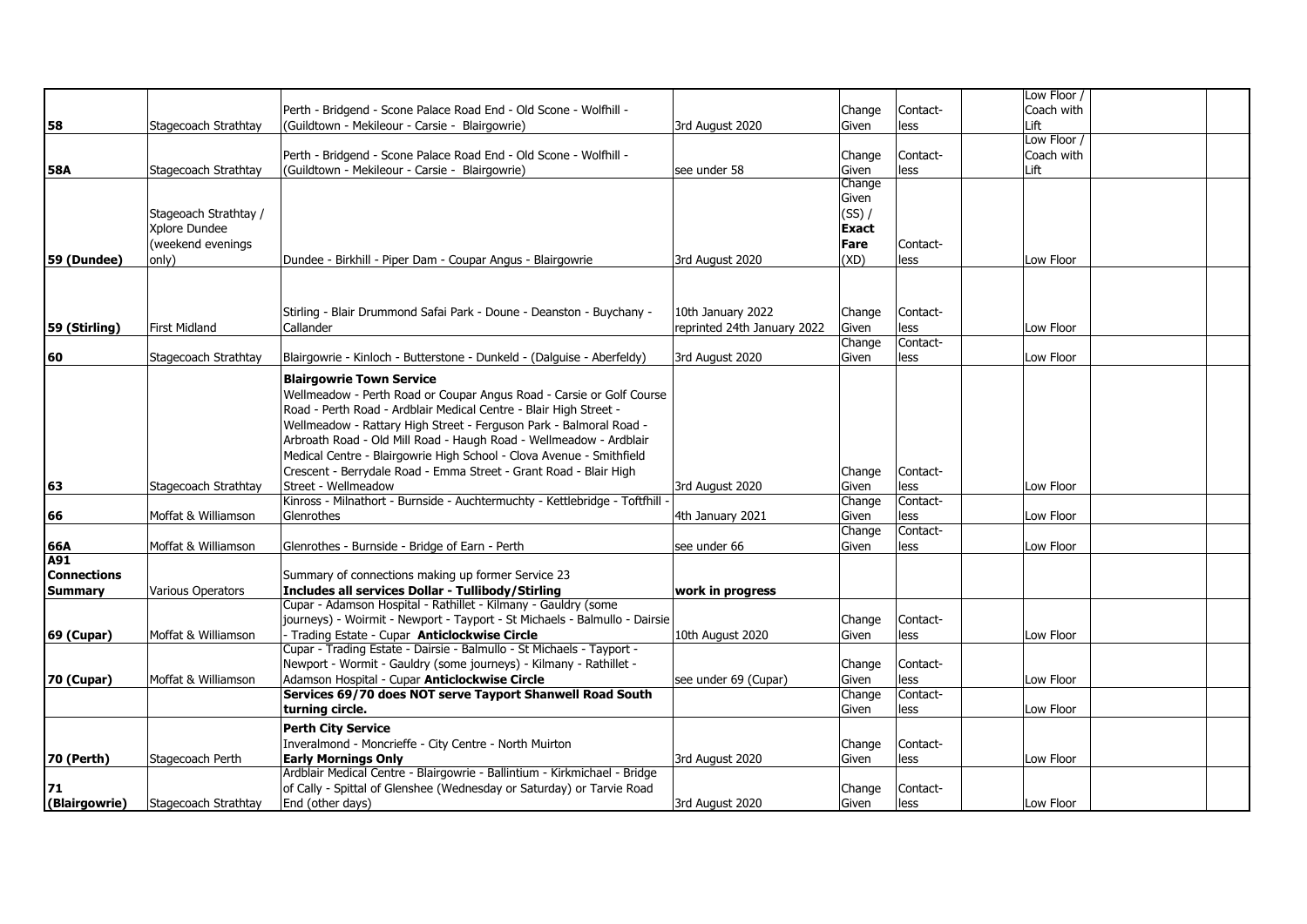|                    |                       |                                                                            |                             |              |          | Low Floor / |  |
|--------------------|-----------------------|----------------------------------------------------------------------------|-----------------------------|--------------|----------|-------------|--|
|                    |                       | Perth - Bridgend - Scone Palace Road End - Old Scone - Wolfhill -          |                             | Change       | Contact- | Coach with  |  |
| 58                 | Stagecoach Strathtay  | (Guildtown - Mekileour - Carsie - Blairgowrie)                             | 3rd August 2020             | Given        | less     | Lift        |  |
|                    |                       |                                                                            |                             |              |          | Low Floor / |  |
|                    |                       | Perth - Bridgend - Scone Palace Road End - Old Scone - Wolfhill -          |                             | Change       | Contact- | Coach with  |  |
| <b>58A</b>         | Stagecoach Strathtay  | (Guildtown - Mekileour - Carsie - Blairgowrie)                             | see under 58                | Given        | less     | Lift        |  |
|                    |                       |                                                                            |                             | Change       |          |             |  |
|                    |                       |                                                                            |                             | Given        |          |             |  |
|                    | Stageoach Strathtay / |                                                                            |                             | $(SS)$ /     |          |             |  |
|                    | Xplore Dundee         |                                                                            |                             | <b>Exact</b> |          |             |  |
|                    | (weekend evenings     |                                                                            |                             | Fare         | Contact- |             |  |
|                    |                       |                                                                            |                             |              |          | Low Floor   |  |
| 59 (Dundee)        | only)                 | Dundee - Birkhill - Piper Dam - Coupar Angus - Blairgowrie                 | 3rd August 2020             | (XD)         | less     |             |  |
|                    |                       |                                                                            |                             |              |          |             |  |
|                    |                       |                                                                            |                             |              |          |             |  |
|                    |                       | Stirling - Blair Drummond Safai Park - Doune - Deanston - Buychany -       | 10th January 2022           | Change       | Contact- |             |  |
| 59 (Stirling)      | <b>First Midland</b>  | Callander                                                                  | reprinted 24th January 2022 | Given        | less     | Low Floor   |  |
|                    |                       |                                                                            |                             | Change       | Contact- |             |  |
| 60                 | Stagecoach Strathtay  | Blairgowrie - Kinloch - Butterstone - Dunkeld - (Dalguise - Aberfeldy)     | 3rd August 2020             | Given        | less     | Low Floor   |  |
|                    |                       |                                                                            |                             |              |          |             |  |
|                    |                       | <b>Blairgowrie Town Service</b>                                            |                             |              |          |             |  |
|                    |                       | Wellmeadow - Perth Road or Coupar Angus Road - Carsie or Golf Course       |                             |              |          |             |  |
|                    |                       | Road - Perth Road - Ardblair Medical Centre - Blair High Street -          |                             |              |          |             |  |
|                    |                       | Wellmeadow - Rattary High Street - Ferguson Park - Balmoral Road -         |                             |              |          |             |  |
|                    |                       | Arbroath Road - Old Mill Road - Haugh Road - Wellmeadow - Ardblair         |                             |              |          |             |  |
|                    |                       | Medical Centre - Blairgowrie High School - Clova Avenue - Smithfield       |                             |              |          |             |  |
|                    |                       | Crescent - Berrydale Road - Emma Street - Grant Road - Blair High          |                             | Change       | Contact- |             |  |
| 63                 | Stagecoach Strathtay  | Street - Wellmeadow                                                        | 3rd August 2020             | Given        | less     | Low Floor   |  |
|                    |                       | Kinross - Milnathort - Burnside - Auchtermuchty - Kettlebridge - Toftfhill |                             | Change       | Contact- |             |  |
| 66                 | Moffat & Williamson   | Glenrothes                                                                 | 4th January 2021            | Given        | less     | Low Floor   |  |
|                    |                       |                                                                            |                             | Change       | Contact- |             |  |
| 66A                | Moffat & Williamson   | Glenrothes - Burnside - Bridge of Earn - Perth                             | see under 66                | Given        | less     | Low Floor   |  |
| A91                |                       |                                                                            |                             |              |          |             |  |
| <b>Connections</b> |                       | Summary of connections making up former Service 23                         |                             |              |          |             |  |
| <b>Summary</b>     | Various Operators     | Includes all services Dollar - Tullibody/Stirling                          | work in progress            |              |          |             |  |
|                    |                       | Cupar - Adamson Hospital - Rathillet - Kilmany - Gauldry (some             |                             |              |          |             |  |
|                    |                       | journeys) - Woirmit - Newport - Tayport - St Michaels - Balmullo - Dairsie |                             | Change       | Contact- |             |  |
| <b>69 (Cupar)</b>  | Moffat & Williamson   | - Trading Estate - Cupar Anticlockwise Circle                              | 10th August 2020            | Given        | less     | Low Floor   |  |
|                    |                       | Cupar - Trading Estate - Dairsie - Balmullo - St Michaels - Tayport -      |                             |              |          |             |  |
|                    |                       | Newport - Wormit - Gauldry (some journeys) - Kilmany - Rathillet -         |                             | Change       | Contact- |             |  |
| 70 (Cupar)         | Moffat & Williamson   | Adamson Hospital - Cupar Anticlockwise Circle                              | see under 69 (Cupar)        | Given        | less     | Low Floor   |  |
|                    |                       | Services 69/70 does NOT serve Tayport Shanwell Road South                  |                             | Change       | Contact- |             |  |
|                    |                       | turning circle.                                                            |                             | Given        | less     | Low Floor   |  |
|                    |                       |                                                                            |                             |              |          |             |  |
|                    |                       | <b>Perth City Service</b>                                                  |                             |              |          |             |  |
|                    |                       | Inveralmond - Moncrieffe - City Centre - North Muirton                     |                             | Change       | Contact- |             |  |
| <b>70 (Perth)</b>  | Stagecoach Perth      | <b>Early Mornings Only</b>                                                 | 3rd August 2020             | Given        | less     | Low Floor   |  |
|                    |                       | Ardblair Medical Centre - Blairgowrie - Ballintium - Kirkmichael - Bridge  |                             |              |          |             |  |
| 71                 |                       | of Cally - Spittal of Glenshee (Wednesday or Saturday) or Tarvie Road      |                             | Change       | Contact- |             |  |
| (Blairgowrie)      | Stagecoach Strathtay  | End (other days)                                                           | 3rd August 2020             | <b>Given</b> | less     | Low Floor   |  |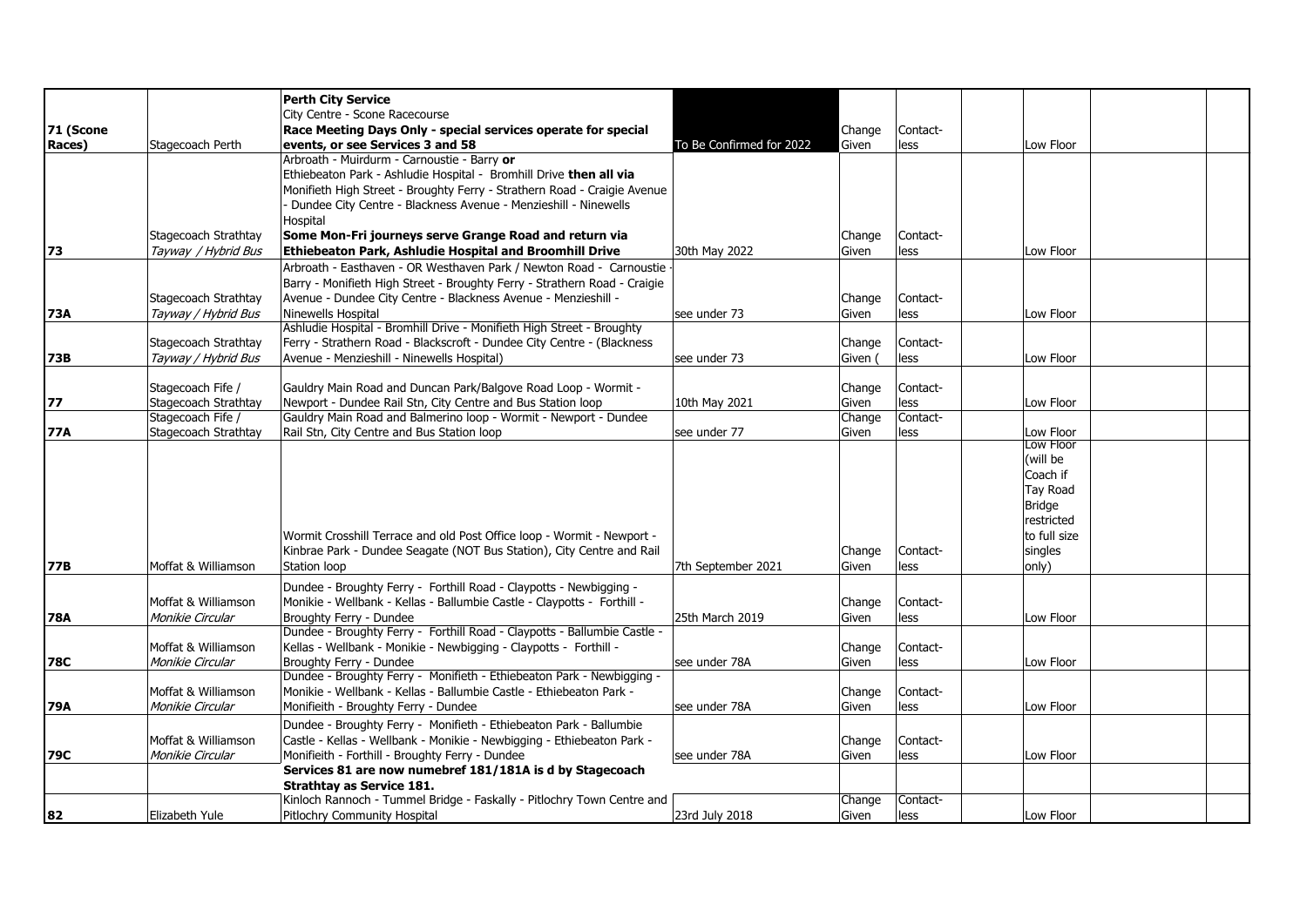|            |                      | <b>Perth City Service</b>                                                                        |                          |                 |          |                                  |              |  |
|------------|----------------------|--------------------------------------------------------------------------------------------------|--------------------------|-----------------|----------|----------------------------------|--------------|--|
|            |                      | City Centre - Scone Racecourse                                                                   |                          |                 |          |                                  |              |  |
| 71 (Scone  |                      | Race Meeting Days Only - special services operate for special                                    |                          | Change          | Contact- |                                  |              |  |
| Races)     | Stagecoach Perth     | events, or see Services 3 and 58                                                                 | To Be Confirmed for 2022 | Given           | less     |                                  | Low Floor    |  |
|            |                      | Arbroath - Muirdurm - Carnoustie - Barry or                                                      |                          |                 |          |                                  |              |  |
|            |                      | Ethiebeaton Park - Ashludie Hospital - Bromhill Drive then all via                               |                          |                 |          |                                  |              |  |
|            |                      | Monifieth High Street - Broughty Ferry - Strathern Road - Craigie Avenue                         |                          |                 |          |                                  |              |  |
|            |                      | Dundee City Centre - Blackness Avenue - Menzieshill - Ninewells                                  |                          |                 |          |                                  |              |  |
|            |                      | Hospital                                                                                         |                          |                 |          |                                  |              |  |
|            | Stagecoach Strathtay | Some Mon-Fri journeys serve Grange Road and return via                                           |                          | Change          | Contact- |                                  |              |  |
| 73         | Tayway / Hybrid Bus  | Ethiebeaton Park, Ashludie Hospital and Broomhill Drive                                          | 30th May 2022            | Given           | less     |                                  | Low Floor    |  |
|            |                      | Arbroath - Easthaven - OR Westhaven Park / Newton Road - Carnoustie                              |                          |                 |          |                                  |              |  |
|            |                      | Barry - Monifieth High Street - Broughty Ferry - Strathern Road - Craigie                        |                          |                 |          |                                  |              |  |
|            | Stagecoach Strathtay | Avenue - Dundee City Centre - Blackness Avenue - Menzieshill -                                   |                          | Change          | Contact- |                                  |              |  |
| 73A        | Tayway / Hybrid Bus  | Ninewells Hospital                                                                               | lsee under 73            | Given           | less     |                                  | Low Floor    |  |
|            |                      | Ashludie Hospital - Bromhill Drive - Monifieth High Street - Broughty                            |                          |                 |          |                                  |              |  |
|            | Stagecoach Strathtay | Ferry - Strathern Road - Blackscroft - Dundee City Centre - (Blackness                           |                          | Change          | Contact- |                                  |              |  |
| 73B        | Tayway / Hybrid Bus  | Avenue - Menzieshill - Ninewells Hospital)                                                       | see under 73             | Given (         | less     |                                  | Low Floor    |  |
|            |                      |                                                                                                  |                          |                 |          |                                  |              |  |
|            | Stagecoach Fife /    | Gauldry Main Road and Duncan Park/Balgove Road Loop - Wormit -                                   |                          | Change          | Contact- |                                  |              |  |
| 77         | Stagecoach Strathtay | Newport - Dundee Rail Stn, City Centre and Bus Station loop                                      | 10th May 2021            | Given           | less     |                                  | Low Floor    |  |
|            | Stagecoach Fife /    | Gauldry Main Road and Balmerino loop - Wormit - Newport - Dundee                                 |                          | Change          | Contact- |                                  |              |  |
| 77A        | Stagecoach Strathtay | Rail Stn, City Centre and Bus Station loop                                                       | see under 77             | Given           | less     | Low Floor                        | Low Floor    |  |
|            |                      |                                                                                                  |                          |                 |          | (will be                         |              |  |
|            |                      |                                                                                                  |                          |                 |          | Coach if                         |              |  |
|            |                      |                                                                                                  |                          |                 |          |                                  |              |  |
|            |                      |                                                                                                  |                          |                 |          | <b>Tay Road</b><br><b>Bridge</b> |              |  |
|            |                      |                                                                                                  |                          |                 |          | restricted                       |              |  |
|            |                      | Wormit Crosshill Terrace and old Post Office loop - Wormit - Newport -                           |                          |                 |          |                                  | to full size |  |
|            |                      | Kinbrae Park - Dundee Seagate (NOT Bus Station), City Centre and Rail                            |                          |                 | Contact- | singles                          |              |  |
| <b>77B</b> | Moffat & Williamson  | Station loop                                                                                     | 7th September 2021       | Change<br>Given | less     | only)                            |              |  |
|            |                      |                                                                                                  |                          |                 |          |                                  |              |  |
|            |                      | Dundee - Broughty Ferry - Forthill Road - Claypotts - Newbigging -                               |                          |                 |          |                                  |              |  |
|            | Moffat & Williamson  | Monikie - Wellbank - Kellas - Ballumbie Castle - Claypotts - Forthill -                          |                          | Change          | Contact- |                                  |              |  |
| 78A        | Monikie Circular     | Broughty Ferry - Dundee                                                                          | 25th March 2019          | Given           | less     |                                  | Low Floor    |  |
|            |                      | Dundee - Broughty Ferry - Forthill Road - Claypotts - Ballumbie Castle -                         |                          |                 |          |                                  |              |  |
|            | Moffat & Williamson  | Kellas - Wellbank - Monikie - Newbigging - Claypotts - Forthill -                                |                          | Change          | Contact- |                                  |              |  |
| 78C        | Monikie Circular     | Broughty Ferry - Dundee<br>Dundee - Broughty Ferry - Monifieth - Ethiebeaton Park - Newbigging - | see under 78A            | Given           | less     |                                  | Low Floor    |  |
|            | Moffat & Williamson  | Monikie - Wellbank - Kellas - Ballumbie Castle - Ethiebeaton Park -                              |                          | Change          | Contact- |                                  |              |  |
| 79A        | Monikie Circular     | Monifieith - Broughty Ferry - Dundee                                                             | see under 78A            | Given           | less     | Low Floor                        |              |  |
|            |                      |                                                                                                  |                          |                 |          |                                  |              |  |
|            |                      | Dundee - Broughty Ferry - Monifieth - Ethiebeaton Park - Ballumbie                               |                          |                 |          |                                  |              |  |
|            | Moffat & Williamson  | Castle - Kellas - Wellbank - Monikie - Newbigging - Ethiebeaton Park -                           |                          | Change          | Contact- |                                  |              |  |
| 79C        | Monikie Circular     | Monifieith - Forthill - Broughty Ferry - Dundee                                                  | see under 78A            | Given           | less     |                                  | Low Floor    |  |
|            |                      | Services 81 are now numebref 181/181A is d by Stagecoach<br><b>Strathtay as Service 181.</b>     |                          |                 |          |                                  |              |  |
|            |                      | Kinloch Rannoch - Tummel Bridge - Faskally - Pitlochry Town Centre and                           |                          | Change          | Contact- |                                  |              |  |
| 82         | Elizabeth Yule       | Pitlochry Community Hospital                                                                     | 23rd July 2018           | Given           | less     |                                  | Low Floor    |  |
|            |                      |                                                                                                  |                          |                 |          |                                  |              |  |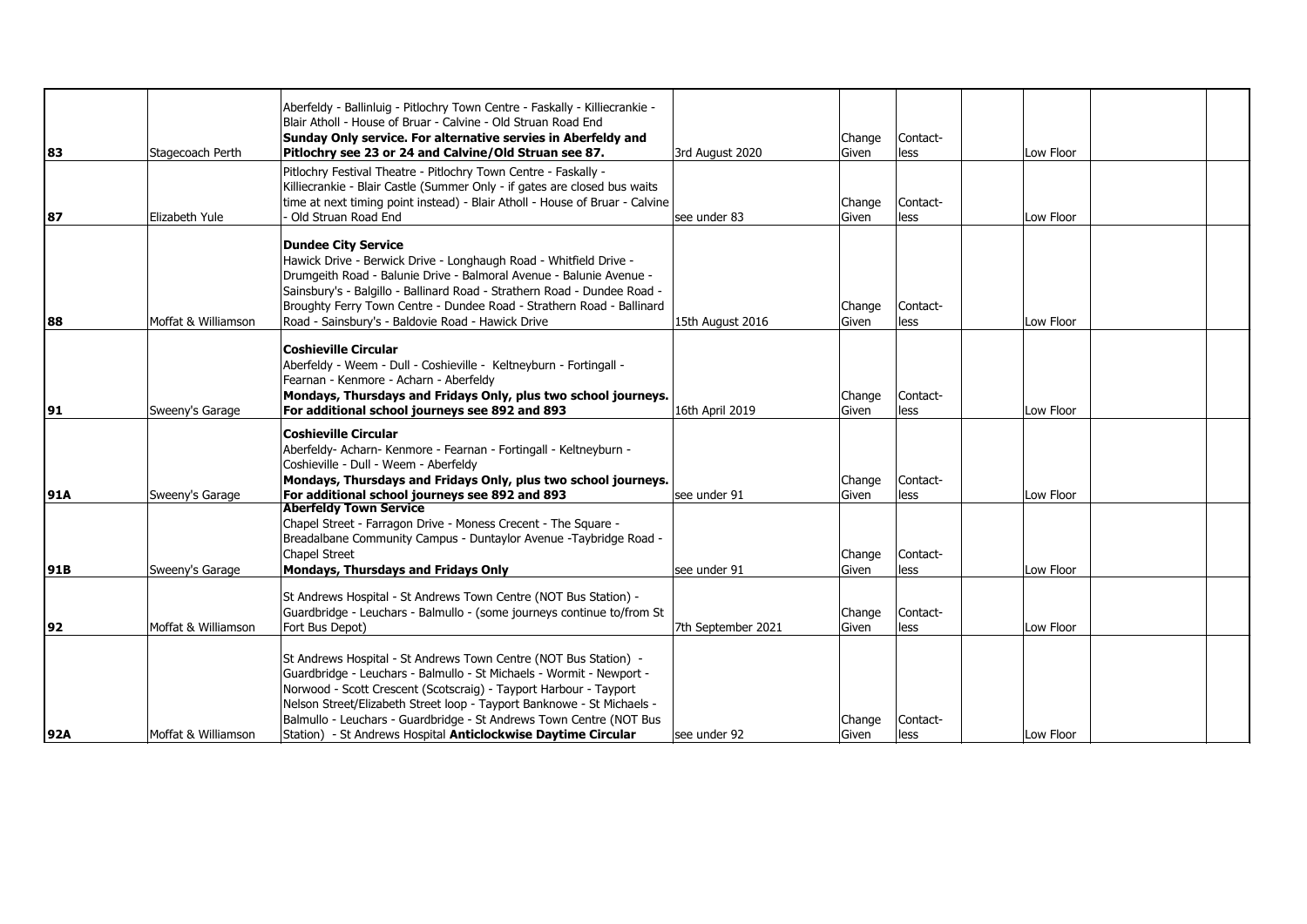| 83         | Stagecoach Perth    | Aberfeldy - Ballinluig - Pitlochry Town Centre - Faskally - Killiecrankie -<br>Blair Atholl - House of Bruar - Calvine - Old Struan Road End<br>Sunday Only service. For alternative servies in Aberfeldy and<br>Pitlochry see 23 or 24 and Calvine/Old Struan see 87.                                                                                                                                                          | 3rd August 2020    | Change<br>Given | Contact-<br>less | Low Floor |  |
|------------|---------------------|---------------------------------------------------------------------------------------------------------------------------------------------------------------------------------------------------------------------------------------------------------------------------------------------------------------------------------------------------------------------------------------------------------------------------------|--------------------|-----------------|------------------|-----------|--|
| 87         | Elizabeth Yule      | Pitlochry Festival Theatre - Pitlochry Town Centre - Faskally -<br>Killiecrankie - Blair Castle (Summer Only - if gates are closed bus waits<br>time at next timing point instead) - Blair Atholl - House of Bruar - Calvine<br>Old Struan Road End                                                                                                                                                                             | see under 83       | Change<br>Given | Contact-<br>less | Low Floor |  |
| 88         | Moffat & Williamson | <b>Dundee City Service</b><br>Hawick Drive - Berwick Drive - Longhaugh Road - Whitfield Drive -<br>Drumgeith Road - Balunie Drive - Balmoral Avenue - Balunie Avenue -<br>Sainsbury's - Balgillo - Ballinard Road - Strathern Road - Dundee Road -<br>Broughty Ferry Town Centre - Dundee Road - Strathern Road - Ballinard<br>Road - Sainsbury's - Baldovie Road - Hawick Drive                                                | 15th August 2016   | Change<br>Given | Contact-<br>less | Low Floor |  |
| 91         | Sweeny's Garage     | <b>Coshieville Circular</b><br>Aberfeldy - Weem - Dull - Coshieville - Keltneyburn - Fortingall -<br>Fearnan - Kenmore - Acharn - Aberfeldy<br>Mondays, Thursdays and Fridays Only, plus two school journeys.<br>For additional school journeys see 892 and 893                                                                                                                                                                 | 16th April 2019    | Change<br>Given | Contact-<br>less | Low Floor |  |
| <b>91A</b> | Sweeny's Garage     | <b>Coshieville Circular</b><br>Aberfeldy- Acharn- Kenmore - Fearnan - Fortingall - Keltneyburn -<br>Coshieville - Dull - Weem - Aberfeldy<br>Mondays, Thursdays and Fridays Only, plus two school journeys.<br>For additional school journeys see 892 and 893                                                                                                                                                                   | see under 91       | Change<br>Given | Contact-<br>less | Low Floor |  |
| 91B        | Sweeny's Garage     | <b>Aberfeldy Town Service</b><br>Chapel Street - Farragon Drive - Moness Crecent - The Square -<br>Breadalbane Community Campus - Duntaylor Avenue -Taybridge Road -<br>Chapel Street<br>Mondays, Thursdays and Fridays Only                                                                                                                                                                                                    | see under 91       | Change<br>Given | Contact-<br>less | Low Floor |  |
| 92         | Moffat & Williamson | St Andrews Hospital - St Andrews Town Centre (NOT Bus Station) -<br>Guardbridge - Leuchars - Balmullo - (some journeys continue to/from St<br>Fort Bus Depot)                                                                                                                                                                                                                                                                   | 7th September 2021 | Change<br>Given | Contact-<br>less | Low Floor |  |
| 92A        | Moffat & Williamson | St Andrews Hospital - St Andrews Town Centre (NOT Bus Station) -<br>Guardbridge - Leuchars - Balmullo - St Michaels - Wormit - Newport -<br>Norwood - Scott Crescent (Scotscraig) - Tayport Harbour - Tayport<br>Nelson Street/Elizabeth Street loop - Tayport Banknowe - St Michaels -<br>Balmullo - Leuchars - Guardbridge - St Andrews Town Centre (NOT Bus<br>Station) - St Andrews Hospital Anticlockwise Daytime Circular | see under 92       | Change<br>Given | Contact-<br>less | Low Floor |  |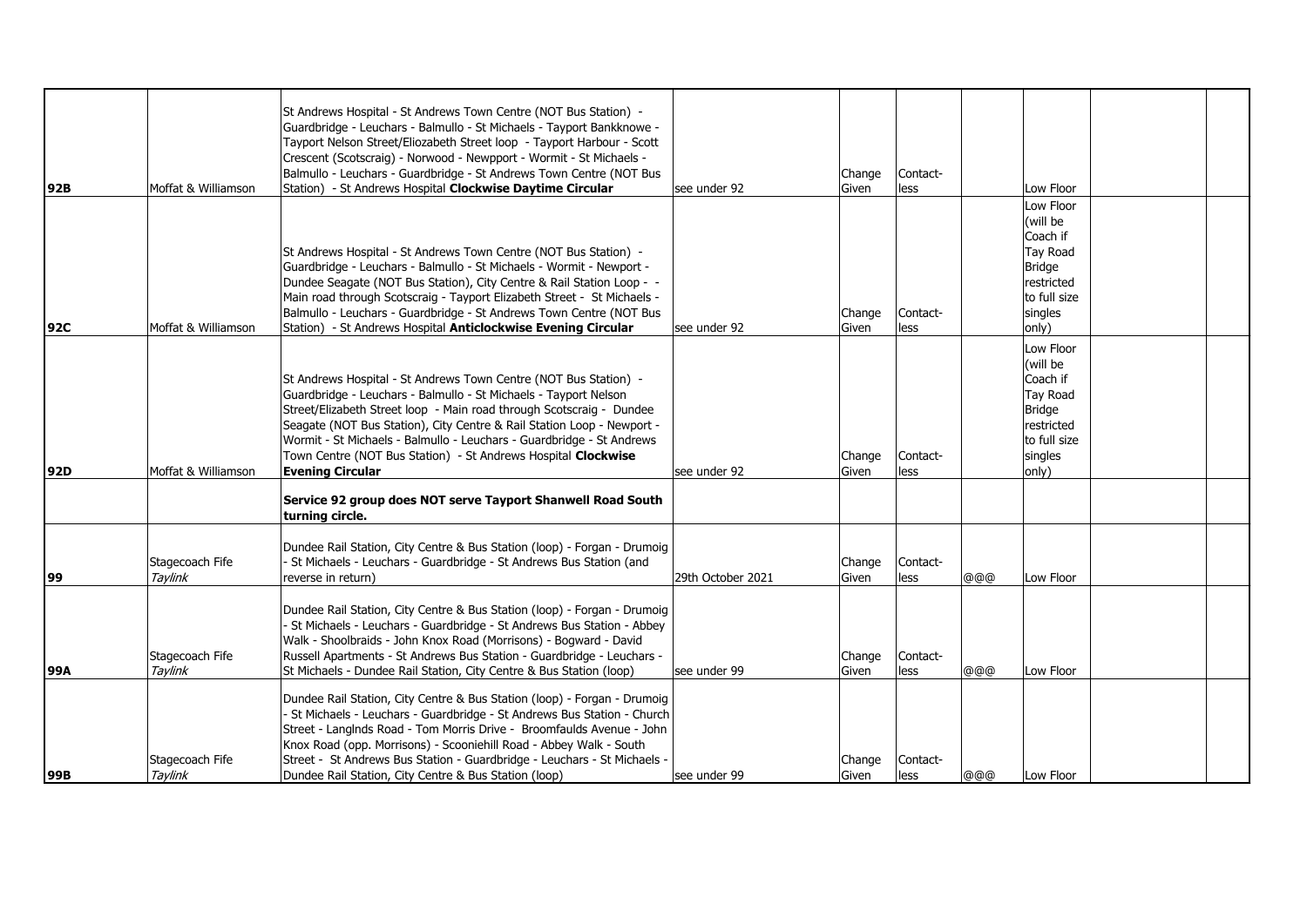|     |                     | St Andrews Hospital - St Andrews Town Centre (NOT Bus Station) -         |                   |        |          |     |               |  |
|-----|---------------------|--------------------------------------------------------------------------|-------------------|--------|----------|-----|---------------|--|
|     |                     |                                                                          |                   |        |          |     |               |  |
|     |                     | Guardbridge - Leuchars - Balmullo - St Michaels - Tayport Bankknowe -    |                   |        |          |     |               |  |
|     |                     | Tayport Nelson Street/Eliozabeth Street loop - Tayport Harbour - Scott   |                   |        |          |     |               |  |
|     |                     | Crescent (Scotscraig) - Norwood - Newpport - Wormit - St Michaels -      |                   |        |          |     |               |  |
|     |                     | Balmullo - Leuchars - Guardbridge - St Andrews Town Centre (NOT Bus      |                   | Change | Contact- |     |               |  |
| 92B | Moffat & Williamson | Station) - St Andrews Hospital Clockwise Daytime Circular                | see under 92      | Given  | less     |     | Low Floor     |  |
|     |                     |                                                                          |                   |        |          |     | Low Floor     |  |
|     |                     |                                                                          |                   |        |          |     | (will be      |  |
|     |                     |                                                                          |                   |        |          |     | Coach if      |  |
|     |                     | St Andrews Hospital - St Andrews Town Centre (NOT Bus Station) -         |                   |        |          |     | Tay Road      |  |
|     |                     | Guardbridge - Leuchars - Balmullo - St Michaels - Wormit - Newport -     |                   |        |          |     | <b>Bridge</b> |  |
|     |                     | Dundee Seagate (NOT Bus Station), City Centre & Rail Station Loop - -    |                   |        |          |     | restricted    |  |
|     |                     | Main road through Scotscraig - Tayport Elizabeth Street - St Michaels -  |                   |        |          |     | to full size  |  |
|     |                     |                                                                          |                   |        | Contact- |     | singles       |  |
|     |                     | Balmullo - Leuchars - Guardbridge - St Andrews Town Centre (NOT Bus      |                   | Change |          |     |               |  |
| 92C | Moffat & Williamson | Station) - St Andrews Hospital Anticlockwise Evening Circular            | see under 92      | Given  | less     |     | only)         |  |
|     |                     |                                                                          |                   |        |          |     | Low Floor     |  |
|     |                     |                                                                          |                   |        |          |     | (will be      |  |
|     |                     | St Andrews Hospital - St Andrews Town Centre (NOT Bus Station) -         |                   |        |          |     | Coach if      |  |
|     |                     | Guardbridge - Leuchars - Balmullo - St Michaels - Tayport Nelson         |                   |        |          |     | Tay Road      |  |
|     |                     | Street/Elizabeth Street loop - Main road through Scotscraig - Dundee     |                   |        |          |     | <b>Bridge</b> |  |
|     |                     | Seagate (NOT Bus Station), City Centre & Rail Station Loop - Newport -   |                   |        |          |     | restricted    |  |
|     |                     | Wormit - St Michaels - Balmullo - Leuchars - Guardbridge - St Andrews    |                   |        |          |     | to full size  |  |
|     |                     | Town Centre (NOT Bus Station) - St Andrews Hospital Clockwise            |                   | Change | Contact- |     | singles       |  |
| 92D | Moffat & Williamson | <b>Evening Circular</b>                                                  | see under 92      | Given  | less     |     | only)         |  |
|     |                     |                                                                          |                   |        |          |     |               |  |
|     |                     | Service 92 group does NOT serve Tayport Shanwell Road South              |                   |        |          |     |               |  |
|     |                     | turning circle.                                                          |                   |        |          |     |               |  |
|     |                     |                                                                          |                   |        |          |     |               |  |
|     |                     | Dundee Rail Station, City Centre & Bus Station (loop) - Forgan - Drumoig |                   |        |          |     |               |  |
|     | Stagecoach Fife     | St Michaels - Leuchars - Guardbridge - St Andrews Bus Station (and       |                   | Change | Contact- |     |               |  |
| 99  | Taylink             | reverse in return)                                                       | 29th October 2021 | Given  | less     | @@@ | Low Floor     |  |
|     |                     |                                                                          |                   |        |          |     |               |  |
|     |                     | Dundee Rail Station, City Centre & Bus Station (loop) - Forgan - Drumoig |                   |        |          |     |               |  |
|     |                     | St Michaels - Leuchars - Guardbridge - St Andrews Bus Station - Abbey    |                   |        |          |     |               |  |
|     |                     | Walk - Shoolbraids - John Knox Road (Morrisons) - Bogward - David        |                   |        |          |     |               |  |
|     |                     |                                                                          |                   |        |          |     |               |  |
|     | Stagecoach Fife     | Russell Apartments - St Andrews Bus Station - Guardbridge - Leuchars -   |                   | Change | Contact- |     |               |  |
| 99A | Taylink             | St Michaels - Dundee Rail Station, City Centre & Bus Station (loop)      | see under 99      | Given  | less     | @@@ | Low Floor     |  |
|     |                     | Dundee Rail Station, City Centre & Bus Station (loop) - Forgan - Drumoig |                   |        |          |     |               |  |
|     |                     |                                                                          |                   |        |          |     |               |  |
|     |                     | - St Michaels - Leuchars - Guardbridge - St Andrews Bus Station - Church |                   |        |          |     |               |  |
|     |                     | Street - LangInds Road - Tom Morris Drive - Broomfaulds Avenue - John    |                   |        |          |     |               |  |
|     |                     | Knox Road (opp. Morrisons) - Scooniehill Road - Abbey Walk - South       |                   |        |          |     |               |  |
|     | Stagecoach Fife     | Street - St Andrews Bus Station - Guardbridge - Leuchars - St Michaels - |                   | Change | Contact- |     |               |  |
| 99B | Taylink             | Dundee Rail Station, City Centre & Bus Station (loop)                    | see under 99      | Given  | lless    | @@@ | Low Floor     |  |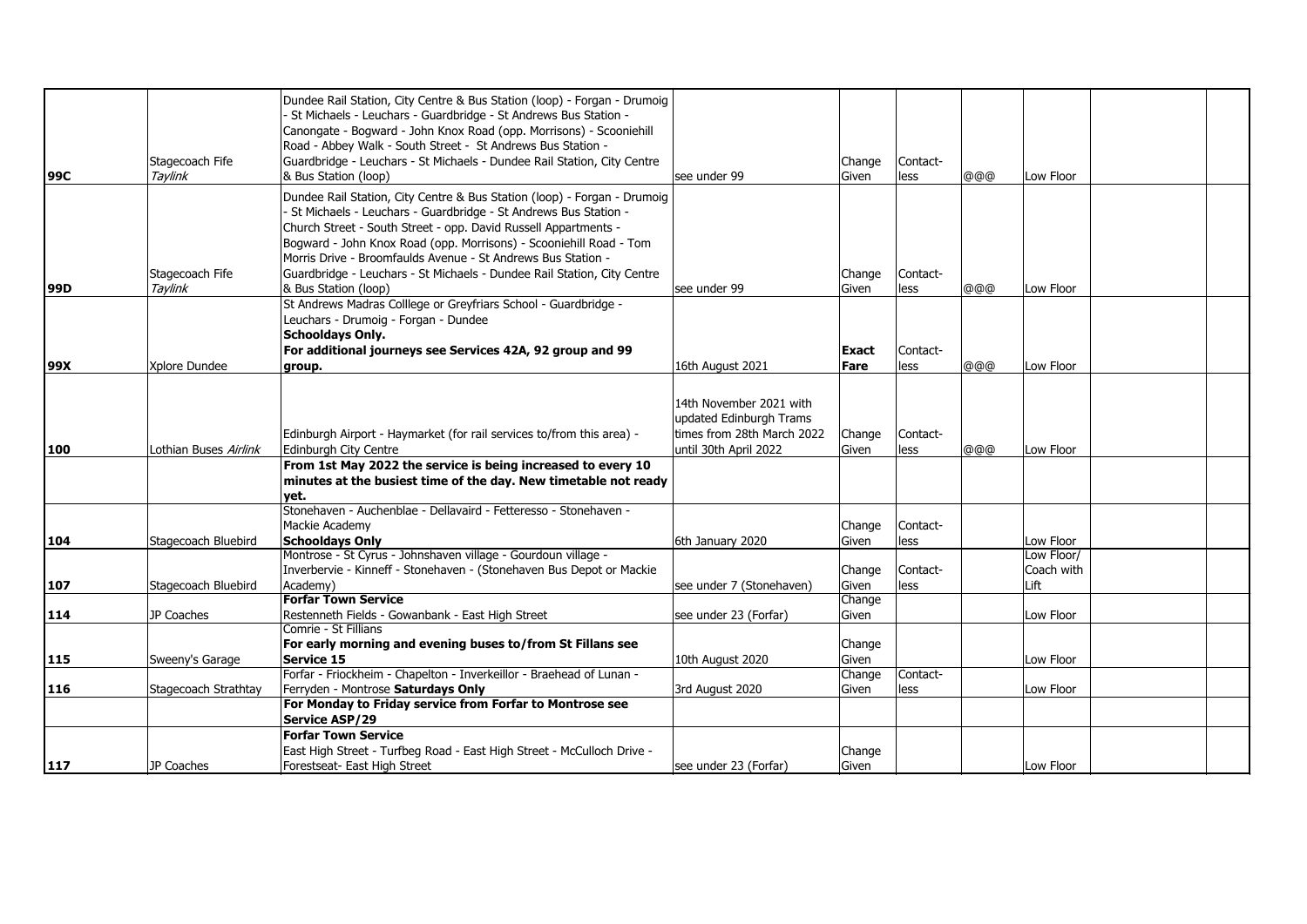| 99C | Stagecoach Fife<br>Tavlink   | Dundee Rail Station, City Centre & Bus Station (loop) - Forgan - Drumoig<br>St Michaels - Leuchars - Guardbridge - St Andrews Bus Station -<br>Canongate - Bogward - John Knox Road (opp. Morrisons) - Scooniehill<br>Road - Abbey Walk - South Street - St Andrews Bus Station -<br>Guardbridge - Leuchars - St Michaels - Dundee Rail Station, City Centre<br>& Bus Station (loop)                                                                    | lsee under 99                                                                                             | Change<br>Given | Contact-<br>less | @@@ | Low Floor                        |  |
|-----|------------------------------|---------------------------------------------------------------------------------------------------------------------------------------------------------------------------------------------------------------------------------------------------------------------------------------------------------------------------------------------------------------------------------------------------------------------------------------------------------|-----------------------------------------------------------------------------------------------------------|-----------------|------------------|-----|----------------------------------|--|
| 99D | Stagecoach Fife<br>Tavlink   | Dundee Rail Station, City Centre & Bus Station (loop) - Forgan - Drumoig<br>St Michaels - Leuchars - Guardbridge - St Andrews Bus Station -<br>Church Street - South Street - opp. David Russell Appartments -<br>Bogward - John Knox Road (opp. Morrisons) - Scooniehill Road - Tom<br>Morris Drive - Broomfaulds Avenue - St Andrews Bus Station -<br>Guardbridge - Leuchars - St Michaels - Dundee Rail Station, City Centre<br>& Bus Station (loop) | see under 99                                                                                              | Change<br>Given | Contact-<br>less | @@@ | Low Floor                        |  |
|     |                              | St Andrews Madras Colllege or Greyfriars School - Guardbridge -<br>Leuchars - Drumoig - Forgan - Dundee<br><b>Schooldays Only.</b><br>For additional journeys see Services 42A, 92 group and 99                                                                                                                                                                                                                                                         |                                                                                                           | <b>Exact</b>    | Contact-         |     |                                  |  |
| 99X | Xplore Dundee                | group.                                                                                                                                                                                                                                                                                                                                                                                                                                                  | 16th August 2021                                                                                          | Fare            | less             | @@@ | Low Floor                        |  |
| 100 | Lothian Buses <i>Airlink</i> | Edinburgh Airport - Haymarket (for rail services to/from this area) -<br>Edinburgh City Centre<br>From 1st May 2022 the service is being increased to every 10<br>minutes at the busiest time of the day. New timetable not ready                                                                                                                                                                                                                       | 14th November 2021 with<br>updated Edinburgh Trams<br>times from 28th March 2022<br>until 30th April 2022 | Change<br>Given | Contact-<br>less | @@@ | Low Floor                        |  |
|     |                              | vet.                                                                                                                                                                                                                                                                                                                                                                                                                                                    |                                                                                                           |                 |                  |     |                                  |  |
| 104 | Stagecoach Bluebird          | Stonehaven - Auchenblae - Dellavaird - Fetteresso - Stonehaven -<br>Mackie Academy<br><b>Schooldays Only</b>                                                                                                                                                                                                                                                                                                                                            | 6th January 2020                                                                                          | Change<br>Given | Contact-<br>less |     | Low Floor                        |  |
| 107 | Stagecoach Bluebird          | Montrose - St Cyrus - Johnshaven village - Gourdoun village -<br>Inverbervie - Kinneff - Stonehaven - (Stonehaven Bus Depot or Mackie<br>Academy)                                                                                                                                                                                                                                                                                                       | see under 7 (Stonehaven)                                                                                  | Change<br>Given | Contact-<br>less |     | Low Floor/<br>Coach with<br>Lift |  |
|     |                              | <b>Forfar Town Service</b>                                                                                                                                                                                                                                                                                                                                                                                                                              |                                                                                                           | Change          |                  |     |                                  |  |
| 114 | JP Coaches                   | Restenneth Fields - Gowanbank - East High Street                                                                                                                                                                                                                                                                                                                                                                                                        | see under 23 (Forfar)                                                                                     | Given           |                  |     | Low Floor                        |  |
| 115 | Sweeny's Garage              | Comrie - St Fillians<br>For early morning and evening buses to/from St Fillans see<br>Service 15<br>Forfar - Friockheim - Chapelton - Inverkeillor - Braehead of Lunan -                                                                                                                                                                                                                                                                                | 10th August 2020                                                                                          | Change<br>Given | Contact-         |     | Low Floor                        |  |
|     |                              |                                                                                                                                                                                                                                                                                                                                                                                                                                                         |                                                                                                           | Change          |                  |     |                                  |  |
| 116 | Stagecoach Strathtay         | Ferryden - Montrose Saturdays Only<br>For Monday to Friday service from Forfar to Montrose see<br>Service ASP/29                                                                                                                                                                                                                                                                                                                                        | 3rd August 2020                                                                                           | Given           | less             |     | Low Floor                        |  |
|     |                              | <b>Forfar Town Service</b><br>East High Street - Turfbeg Road - East High Street - McCulloch Drive -                                                                                                                                                                                                                                                                                                                                                    |                                                                                                           | Change          |                  |     |                                  |  |
| 117 | JP Coaches                   | Forestseat- East High Street                                                                                                                                                                                                                                                                                                                                                                                                                            | see under 23 (Forfar)                                                                                     | Given           |                  |     | Low Floor                        |  |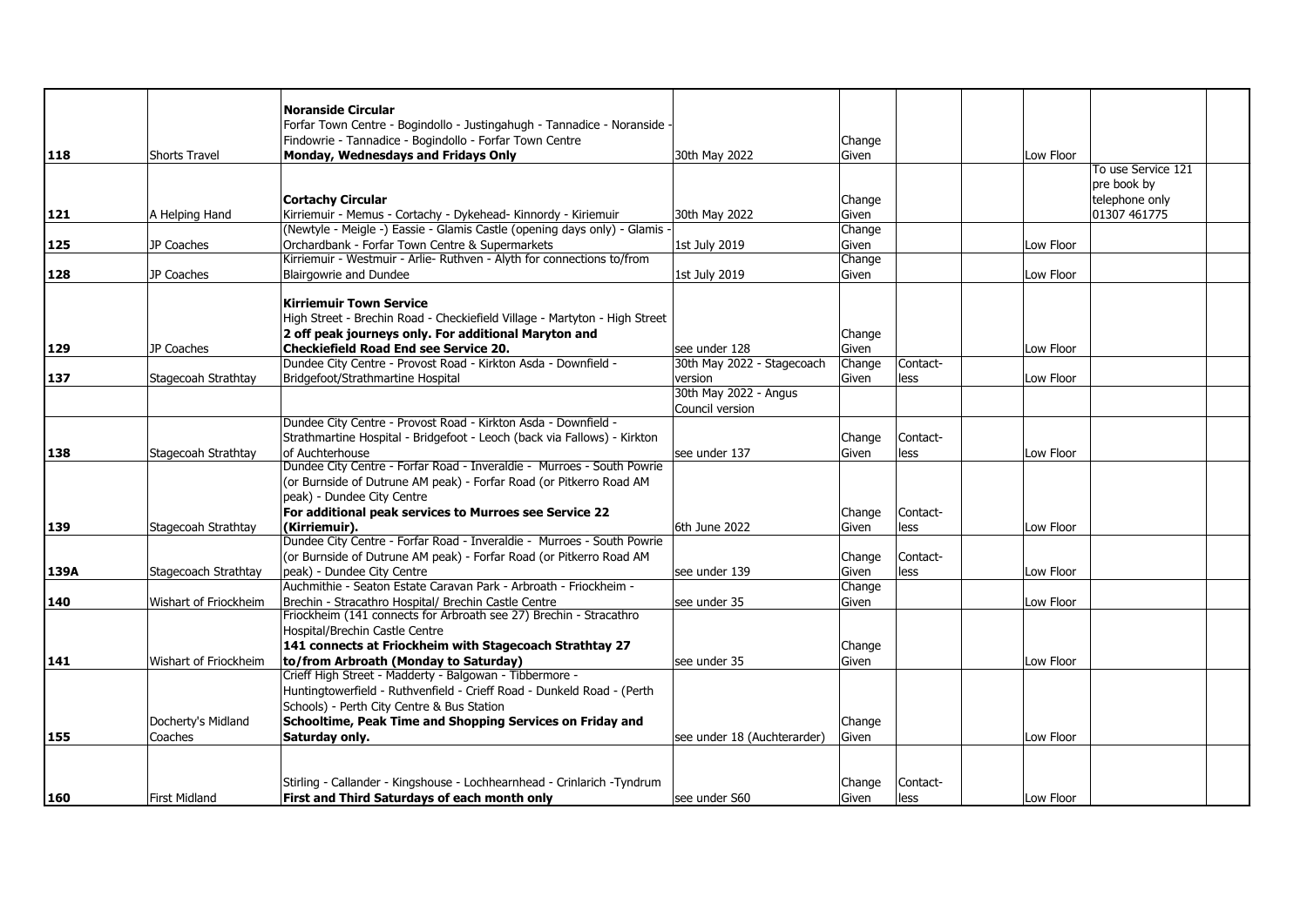|      |                       | <b>Noranside Circular</b>                                                  |                             |        |          |           |                    |  |
|------|-----------------------|----------------------------------------------------------------------------|-----------------------------|--------|----------|-----------|--------------------|--|
|      |                       | Forfar Town Centre - Bogindollo - Justingahugh - Tannadice - Noranside -   |                             |        |          |           |                    |  |
|      |                       | Findowrie - Tannadice - Bogindollo - Forfar Town Centre                    |                             | Change |          |           |                    |  |
| 118  | <b>Shorts Travel</b>  | Monday, Wednesdays and Fridays Only                                        | 30th May 2022               | Given  |          | Low Floor |                    |  |
|      |                       |                                                                            |                             |        |          |           | To use Service 121 |  |
|      |                       |                                                                            |                             |        |          |           | pre book by        |  |
|      |                       | <b>Cortachy Circular</b>                                                   |                             | Change |          |           | telephone only     |  |
| 121  |                       | Kirriemuir - Memus - Cortachy - Dykehead- Kinnordy - Kiriemuir             | 30th May 2022               | Given  |          |           | 01307 461775       |  |
|      | A Helping Hand        | (Newtyle - Meigle -) Eassie - Glamis Castle (opening days only) - Glamis   |                             | Change |          |           |                    |  |
| 125  | JP Coaches            | Orchardbank - Forfar Town Centre & Supermarkets                            | 1st July 2019               | Given  |          | Low Floor |                    |  |
|      |                       | Kirriemuir - Westmuir - Arlie- Ruthven - Alyth for connections to/from     |                             | Change |          |           |                    |  |
| 128  | JP Coaches            | Blairgowrie and Dundee                                                     |                             | Given  |          | Low Floor |                    |  |
|      |                       |                                                                            | 1st July 2019               |        |          |           |                    |  |
|      |                       | <b>Kirriemuir Town Service</b>                                             |                             |        |          |           |                    |  |
|      |                       | High Street - Brechin Road - Checkiefield Village - Martyton - High Street |                             |        |          |           |                    |  |
|      |                       | 2 off peak journeys only. For additional Maryton and                       |                             |        |          |           |                    |  |
|      | JP Coaches            | <b>Checkiefield Road End see Service 20.</b>                               | see under 128               | Change |          | Low Floor |                    |  |
| 129  |                       | Dundee City Centre - Provost Road - Kirkton Asda - Downfield -             | 30th May 2022 - Stagecoach  | Given  | Contact- |           |                    |  |
|      |                       |                                                                            |                             | Change |          |           |                    |  |
| 137  | Stagecoah Strathtay   | Bridgefoot/Strathmartine Hospital                                          | version                     | Given  | less     | Low Floor |                    |  |
|      |                       |                                                                            | 30th May 2022 - Angus       |        |          |           |                    |  |
|      |                       |                                                                            | Council version             |        |          |           |                    |  |
|      |                       | Dundee City Centre - Provost Road - Kirkton Asda - Downfield -             |                             |        |          |           |                    |  |
|      |                       | Strathmartine Hospital - Bridgefoot - Leoch (back via Fallows) - Kirkton   |                             | Change | Contact- |           |                    |  |
| 138  | Stagecoah Strathtay   | of Auchterhouse                                                            | see under 137               | Given  | less     | Low Floor |                    |  |
|      |                       | Dundee City Centre - Forfar Road - Inveraldie - Murroes - South Powrie     |                             |        |          |           |                    |  |
|      |                       | (or Burnside of Dutrune AM peak) - Forfar Road (or Pitkerro Road AM        |                             |        |          |           |                    |  |
|      |                       | peak) - Dundee City Centre                                                 |                             |        |          |           |                    |  |
|      |                       | For additional peak services to Murroes see Service 22                     |                             | Change | Contact- |           |                    |  |
| 139  | Stagecoah Strathtay   | (Kirriemuir).                                                              | 6th June 2022               | Given  | less     | Low Floor |                    |  |
|      |                       | Dundee City Centre - Forfar Road - Inveraldie - Murroes - South Powrie     |                             |        |          |           |                    |  |
|      |                       | (or Burnside of Dutrune AM peak) - Forfar Road (or Pitkerro Road AM        |                             | Change | Contact- |           |                    |  |
| 139A | Stagecoach Strathtay  | peak) - Dundee City Centre                                                 | lsee under 139              | Given  | less     | Low Floor |                    |  |
|      |                       | Auchmithie - Seaton Estate Caravan Park - Arbroath - Friockheim -          |                             | Change |          |           |                    |  |
| 140  | Wishart of Friockheim | Brechin - Stracathro Hospital/ Brechin Castle Centre                       | see under 35                | Given  |          | Low Floor |                    |  |
|      |                       | Friockheim (141 connects for Arbroath see 27) Brechin - Stracathro         |                             |        |          |           |                    |  |
|      |                       | Hospital/Brechin Castle Centre                                             |                             |        |          |           |                    |  |
|      |                       | 141 connects at Friockheim with Stagecoach Strathtay 27                    |                             | Change |          |           |                    |  |
| 141  | Wishart of Friockheim | to/from Arbroath (Monday to Saturday)                                      | see under 35                | Given  |          | Low Floor |                    |  |
|      |                       | Crieff High Street - Madderty - Balgowan - Tibbermore -                    |                             |        |          |           |                    |  |
|      |                       | Huntingtowerfield - Ruthvenfield - Crieff Road - Dunkeld Road - (Perth     |                             |        |          |           |                    |  |
|      |                       | Schools) - Perth City Centre & Bus Station                                 |                             |        |          |           |                    |  |
|      | Docherty's Midland    | Schooltime, Peak Time and Shopping Services on Friday and                  |                             | Change |          |           |                    |  |
| 155  | Coaches               | Saturday only.                                                             | see under 18 (Auchterarder) | Given  |          | Low Floor |                    |  |
|      |                       |                                                                            |                             |        |          |           |                    |  |
|      |                       |                                                                            |                             |        |          |           |                    |  |
|      |                       | Stirling - Callander - Kingshouse - Lochhearnhead - Crinlarich -Tyndrum    |                             | Change | Contact- |           |                    |  |
| 160  | <b>First Midland</b>  | First and Third Saturdays of each month only                               | see under S60               | Given  | less     | Low Floor |                    |  |
|      |                       |                                                                            |                             |        |          |           |                    |  |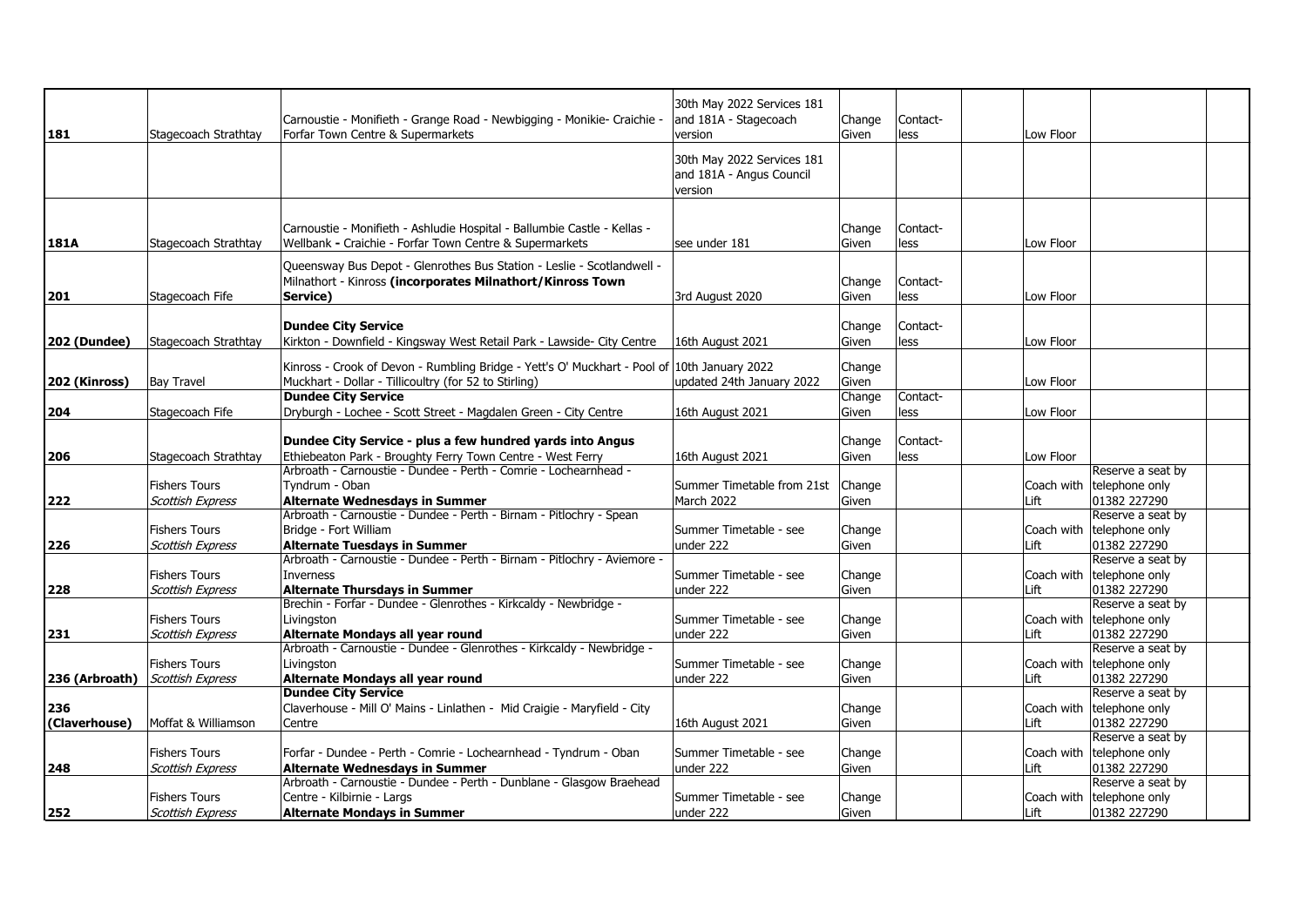|                     |                         |                                                                                             | 30th May 2022 Services 181 |        |          |           |                                           |  |
|---------------------|-------------------------|---------------------------------------------------------------------------------------------|----------------------------|--------|----------|-----------|-------------------------------------------|--|
|                     |                         |                                                                                             |                            |        |          |           |                                           |  |
|                     |                         | Carnoustie - Monifieth - Grange Road - Newbigging - Monikie- Craichie ·                     | and 181A - Stagecoach      | Change | Contact- |           |                                           |  |
| 181                 | Stagecoach Strathtay    | Forfar Town Centre & Supermarkets                                                           | version                    | Given  | less     | Low Floor |                                           |  |
|                     |                         |                                                                                             | 30th May 2022 Services 181 |        |          |           |                                           |  |
|                     |                         |                                                                                             | and 181A - Angus Council   |        |          |           |                                           |  |
|                     |                         |                                                                                             | version                    |        |          |           |                                           |  |
|                     |                         |                                                                                             |                            |        |          |           |                                           |  |
|                     |                         |                                                                                             |                            |        |          |           |                                           |  |
|                     |                         | Carnoustie - Monifieth - Ashludie Hospital - Ballumbie Castle - Kellas -                    |                            | Change | Contact- |           |                                           |  |
| 181A                | Stagecoach Strathtay    | Wellbank - Craichie - Forfar Town Centre & Supermarkets                                     | see under 181              | Given  | less     | Low Floor |                                           |  |
|                     |                         | Queensway Bus Depot - Glenrothes Bus Station - Leslie - Scotlandwell -                      |                            |        |          |           |                                           |  |
|                     |                         | Milnathort - Kinross (incorporates Milnathort/Kinross Town                                  |                            | Change | Contact- |           |                                           |  |
| 201                 | Stagecoach Fife         | Service)                                                                                    | 3rd August 2020            | Given  | less     | Low Floor |                                           |  |
|                     |                         |                                                                                             |                            |        |          |           |                                           |  |
|                     |                         | <b>Dundee City Service</b>                                                                  |                            | Change | Contact- |           |                                           |  |
| <b>202 (Dundee)</b> | Stagecoach Strathtay    | Kirkton - Downfield - Kingsway West Retail Park - Lawside- City Centre                      | 16th August 2021           | Given  | less     | Low Floor |                                           |  |
|                     |                         |                                                                                             |                            |        |          |           |                                           |  |
|                     |                         | Kinross - Crook of Devon - Rumbling Bridge - Yett's O' Muckhart - Pool of 10th January 2022 |                            | Change |          |           |                                           |  |
| 202 (Kinross)       | <b>Bay Travel</b>       | Muckhart - Dollar - Tillicoultry (for 52 to Stirling)                                       | updated 24th January 2022  | Given  |          | Low Floor |                                           |  |
|                     |                         | <b>Dundee City Service</b>                                                                  |                            | Change | Contact- |           |                                           |  |
| 204                 | Stagecoach Fife         | Dryburgh - Lochee - Scott Street - Magdalen Green - City Centre                             | 16th August 2021           | Given  | less     | Low Floor |                                           |  |
|                     |                         |                                                                                             |                            |        |          |           |                                           |  |
|                     |                         | Dundee City Service - plus a few hundred yards into Angus                                   |                            | Change | Contact- |           |                                           |  |
| 206                 | Stagecoach Strathtay    | Ethiebeaton Park - Broughty Ferry Town Centre - West Ferry                                  | 16th August 2021           | Given  | less     | Low Floor |                                           |  |
|                     |                         | Arbroath - Carnoustie - Dundee - Perth - Comrie - Lochearnhead -                            |                            |        |          |           | Reserve a seat by                         |  |
|                     | <b>Fishers Tours</b>    | Tvndrum - Oban                                                                              | Summer Timetable from 21st | Change |          |           | Coach with telephone only                 |  |
| 222                 | <b>Scottish Express</b> | <b>Alternate Wednesdays in Summer</b>                                                       | March 2022                 | Given  |          | Lift      | 01382 227290                              |  |
|                     |                         | Arbroath - Carnoustie - Dundee - Perth - Birnam - Pitlochry - Spean                         |                            |        |          |           | Reserve a seat by                         |  |
|                     | <b>Fishers Tours</b>    | Bridge - Fort William                                                                       | Summer Timetable - see     | Change |          |           | Coach with telephone only                 |  |
| 226                 | <b>Scottish Express</b> | <b>Alternate Tuesdays in Summer</b>                                                         | lunder 222                 | Given  |          | Lift      | 01382 227290                              |  |
|                     |                         | Arbroath - Carnoustie - Dundee - Perth - Birnam - Pitlochry - Aviemore -                    |                            |        |          |           | Reserve a seat by                         |  |
|                     | <b>Fishers Tours</b>    | Inverness                                                                                   | Summer Timetable - see     | Change |          |           | Coach with telephone only                 |  |
| 228                 | <b>Scottish Express</b> | <b>Alternate Thursdays in Summer</b>                                                        | under 222                  | Given  |          | Lift      | 01382 227290                              |  |
|                     |                         | Brechin - Forfar - Dundee - Glenrothes - Kirkcaldy - Newbridge -                            |                            |        |          |           | Reserve a seat by                         |  |
|                     | <b>Fishers Tours</b>    | Livingston                                                                                  | Summer Timetable - see     | Change |          |           | Coach with telephone only                 |  |
| 231                 | <b>Scottish Express</b> | Alternate Mondays all year round                                                            | under 222                  | Given  |          | Lift      | 01382 227290                              |  |
|                     |                         | Arbroath - Carnoustie - Dundee - Glenrothes - Kirkcaldy - Newbridge -                       |                            |        |          |           | Reserve a seat by                         |  |
|                     | <b>Fishers Tours</b>    | Livingston                                                                                  | Summer Timetable - see     | Change |          |           | Coach with telephone only                 |  |
| 236 (Arbroath)      | <b>Scottish Express</b> | Alternate Mondays all year round                                                            | under 222                  | Given  |          | Lift      | 01382 227290                              |  |
| 236                 |                         | <b>Dundee City Service</b>                                                                  |                            |        |          |           | Reserve a seat by                         |  |
| (Claverhouse)       | Moffat & Williamson     | Claverhouse - Mill O' Mains - Linlathen - Mid Craigie - Maryfield - City<br>Centre          |                            | Change |          |           | Coach with telephone only<br>01382 227290 |  |
|                     |                         |                                                                                             | 16th August 2021           | Given  |          | Lift      | Reserve a seat by                         |  |
|                     | <b>Fishers Tours</b>    | Forfar - Dundee - Perth - Comrie - Lochearnhead - Tyndrum - Oban                            | Summer Timetable - see     | Change |          |           | Coach with telephone only                 |  |
| 248                 | <b>Scottish Express</b> | <b>Alternate Wednesdays in Summer</b>                                                       | under 222                  | Given  |          | Lift      | 01382 227290                              |  |
|                     |                         | Arbroath - Carnoustie - Dundee - Perth - Dunblane - Glasgow Braehead                        |                            |        |          |           | Reserve a seat by                         |  |
|                     | <b>Fishers Tours</b>    | Centre - Kilbirnie - Largs                                                                  | Summer Timetable - see     | Change |          |           | Coach with telephone only                 |  |
| 252                 | <b>Scottish Express</b> | <b>Alternate Mondays in Summer</b>                                                          | under 222                  | Given  |          | Lift      | 01382 227290                              |  |
|                     |                         |                                                                                             |                            |        |          |           |                                           |  |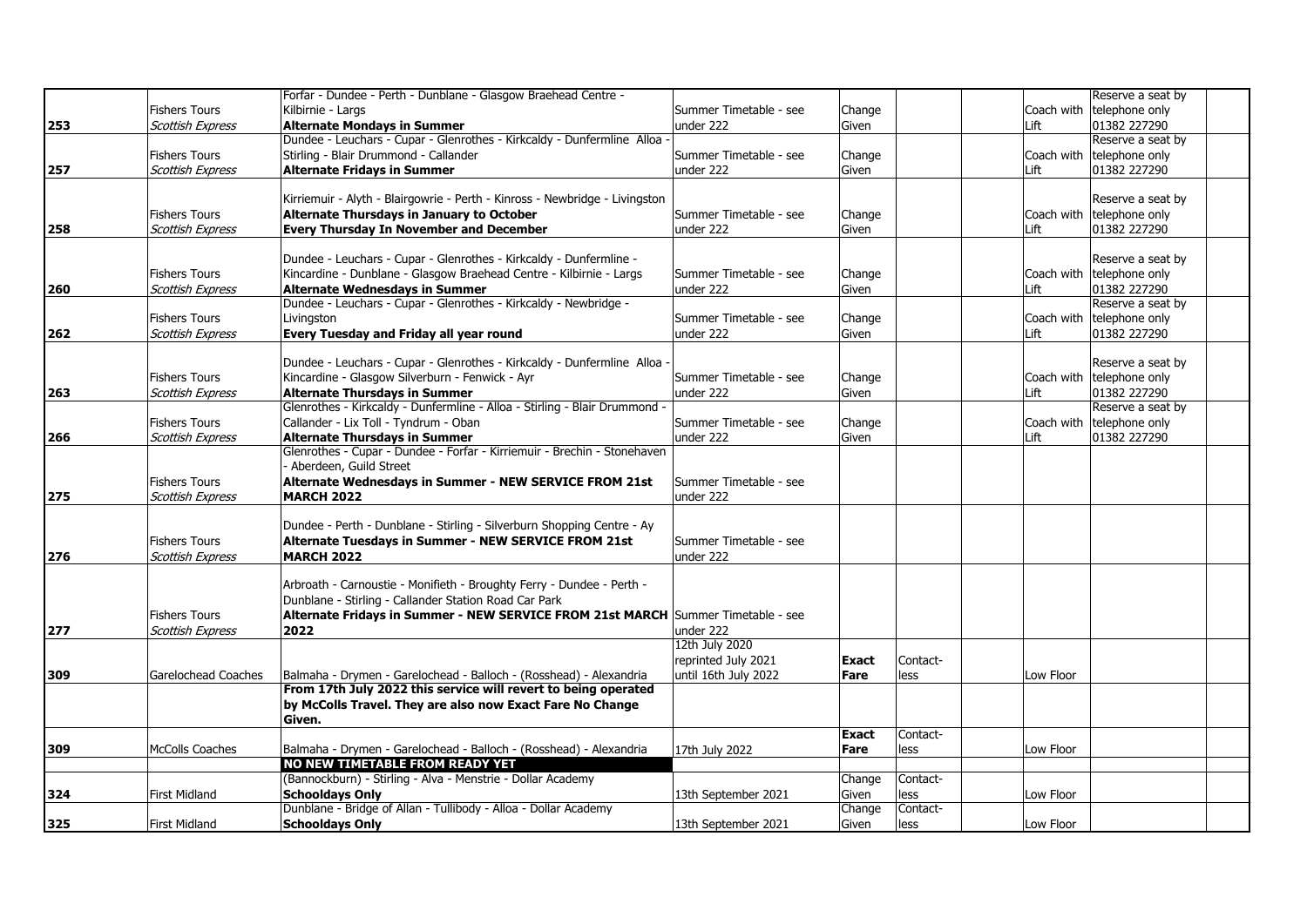|     |                         | Forfar - Dundee - Perth - Dunblane - Glasgow Braehead Centre -                                                   |                        |              |          |            | Reserve a seat by         |  |
|-----|-------------------------|------------------------------------------------------------------------------------------------------------------|------------------------|--------------|----------|------------|---------------------------|--|
|     | <b>Fishers Tours</b>    | Kilbirnie - Largs                                                                                                | Summer Timetable - see | Change       |          |            | Coach with telephone only |  |
| 253 | <b>Scottish Express</b> | <b>Alternate Mondays in Summer</b>                                                                               | under 222              | Given        |          | Lift       | 01382 227290              |  |
|     |                         | Dundee - Leuchars - Cupar - Glenrothes - Kirkcaldy - Dunfermline Alloa -                                         |                        |              |          |            | Reserve a seat by         |  |
|     | <b>Fishers Tours</b>    | Stirling - Blair Drummond - Callander                                                                            | Summer Timetable - see | Change       |          |            | Coach with telephone only |  |
| 257 | <b>Scottish Express</b> | <b>Alternate Fridays in Summer</b>                                                                               | under 222              | Given        |          | Lift       | 01382 227290              |  |
|     |                         |                                                                                                                  |                        |              |          |            |                           |  |
|     |                         | Kirriemuir - Alyth - Blairgowrie - Perth - Kinross - Newbridge - Livingston                                      |                        |              |          |            | Reserve a seat by         |  |
|     | <b>Fishers Tours</b>    | Alternate Thursdays in January to October                                                                        | Summer Timetable - see | Change       |          |            | Coach with telephone only |  |
| 258 | <b>Scottish Express</b> | <b>Every Thursday In November and December</b>                                                                   | under 222              | Given        |          | Lift       | 01382 227290              |  |
|     |                         |                                                                                                                  |                        |              |          |            |                           |  |
|     |                         | Dundee - Leuchars - Cupar - Glenrothes - Kirkcaldy - Dunfermline -                                               |                        |              |          |            | Reserve a seat by         |  |
|     | <b>Fishers Tours</b>    | Kincardine - Dunblane - Glasgow Braehead Centre - Kilbirnie - Largs                                              | Summer Timetable - see | Change       |          |            | Coach with telephone only |  |
| 260 | <b>Scottish Express</b> | <b>Alternate Wednesdays in Summer</b>                                                                            | under 222              | Given        |          | Lift       | 01382 227290              |  |
|     |                         | Dundee - Leuchars - Cupar - Glenrothes - Kirkcaldy - Newbridge -                                                 |                        |              |          |            | Reserve a seat by         |  |
|     | <b>Fishers Tours</b>    | Livinaston                                                                                                       | Summer Timetable - see | Change       |          | Coach with | telephone only            |  |
| 262 | <b>Scottish Express</b> | Every Tuesday and Friday all year round                                                                          | under 222              | Given        |          | Lift       | 01382 227290              |  |
|     |                         |                                                                                                                  |                        |              |          |            |                           |  |
|     |                         | Dundee - Leuchars - Cupar - Glenrothes - Kirkcaldy - Dunfermline Alloa -                                         |                        |              |          |            | Reserve a seat by         |  |
|     | <b>Fishers Tours</b>    | Kincardine - Glasgow Silverburn - Fenwick - Ayr                                                                  | Summer Timetable - see | Change       |          |            | Coach with telephone only |  |
| 263 | <b>Scottish Express</b> | <b>Alternate Thursdays in Summer</b>                                                                             | under 222              | Given        |          | Lift       | 01382 227290              |  |
|     |                         | Glenrothes - Kirkcaldy - Dunfermline - Alloa - Stirling - Blair Drummond -                                       |                        |              |          |            | Reserve a seat by         |  |
|     | <b>Fishers Tours</b>    | Callander - Lix Toll - Tyndrum - Oban                                                                            | Summer Timetable - see |              |          |            | telephone only            |  |
|     |                         |                                                                                                                  |                        | Change       |          | Coach with |                           |  |
| 266 | <b>Scottish Express</b> | <b>Alternate Thursdays in Summer</b><br>Glenrothes - Cupar - Dundee - Forfar - Kirriemuir - Brechin - Stonehaven | under 222              | Given        |          | Lift       | 01382 227290              |  |
|     |                         |                                                                                                                  |                        |              |          |            |                           |  |
|     |                         | Aberdeen, Guild Street                                                                                           |                        |              |          |            |                           |  |
|     | <b>Fishers Tours</b>    | Alternate Wednesdays in Summer - NEW SERVICE FROM 21st                                                           | Summer Timetable - see |              |          |            |                           |  |
| 275 | <b>Scottish Express</b> | <b>MARCH 2022</b>                                                                                                | under 222              |              |          |            |                           |  |
|     |                         |                                                                                                                  |                        |              |          |            |                           |  |
|     |                         | Dundee - Perth - Dunblane - Stirling - Silverburn Shopping Centre - Ay                                           |                        |              |          |            |                           |  |
|     | <b>Fishers Tours</b>    | Alternate Tuesdays in Summer - NEW SERVICE FROM 21st                                                             | Summer Timetable - see |              |          |            |                           |  |
| 276 | <b>Scottish Express</b> | <b>MARCH 2022</b>                                                                                                | under 222              |              |          |            |                           |  |
|     |                         |                                                                                                                  |                        |              |          |            |                           |  |
|     |                         | Arbroath - Carnoustie - Monifieth - Broughty Ferry - Dundee - Perth -                                            |                        |              |          |            |                           |  |
|     |                         | Dunblane - Stirling - Callander Station Road Car Park                                                            |                        |              |          |            |                           |  |
|     | <b>Fishers Tours</b>    | Alternate Fridays in Summer - NEW SERVICE FROM 21st MARCH Summer Timetable - see                                 |                        |              |          |            |                           |  |
| 277 | <b>Scottish Express</b> | 2022                                                                                                             | under 222              |              |          |            |                           |  |
|     |                         |                                                                                                                  | 12th July 2020         |              |          |            |                           |  |
|     |                         |                                                                                                                  | reprinted July 2021    | <b>Exact</b> | Contact- |            |                           |  |
| 309 | Garelochead Coaches     | Balmaha - Drymen - Garelochead - Balloch - (Rosshead) - Alexandria                                               | until 16th July 2022   | Fare         | less     | Low Floor  |                           |  |
|     |                         | From 17th July 2022 this service will revert to being operated                                                   |                        |              |          |            |                           |  |
|     |                         | by McColls Travel. They are also now Exact Fare No Change                                                        |                        |              |          |            |                           |  |
|     |                         | Given.                                                                                                           |                        |              |          |            |                           |  |
|     |                         |                                                                                                                  |                        | <b>Exact</b> | Contact- |            |                           |  |
| 309 | <b>McColls Coaches</b>  | Balmaha - Drymen - Garelochead - Balloch - (Rosshead) - Alexandria                                               | 17th July 2022         | Fare         | less     | Low Floor  |                           |  |
|     |                         | NO NEW TIMETABLE FROM READY YET                                                                                  |                        |              |          |            |                           |  |
|     |                         | (Bannockburn) - Stirling - Alva - Menstrie - Dollar Academy                                                      |                        | Change       | Contact- |            |                           |  |
| 324 | <b>First Midland</b>    | <b>Schooldays Only</b>                                                                                           | 13th September 2021    | Given        | less     | Low Floor  |                           |  |
|     |                         | Dunblane - Bridge of Allan - Tullibody - Alloa - Dollar Academy                                                  |                        | Change       | Contact- |            |                           |  |
| 325 | <b>First Midland</b>    | <b>Schooldays Only</b>                                                                                           | 13th September 2021    | Given        | less     | Low Floor  |                           |  |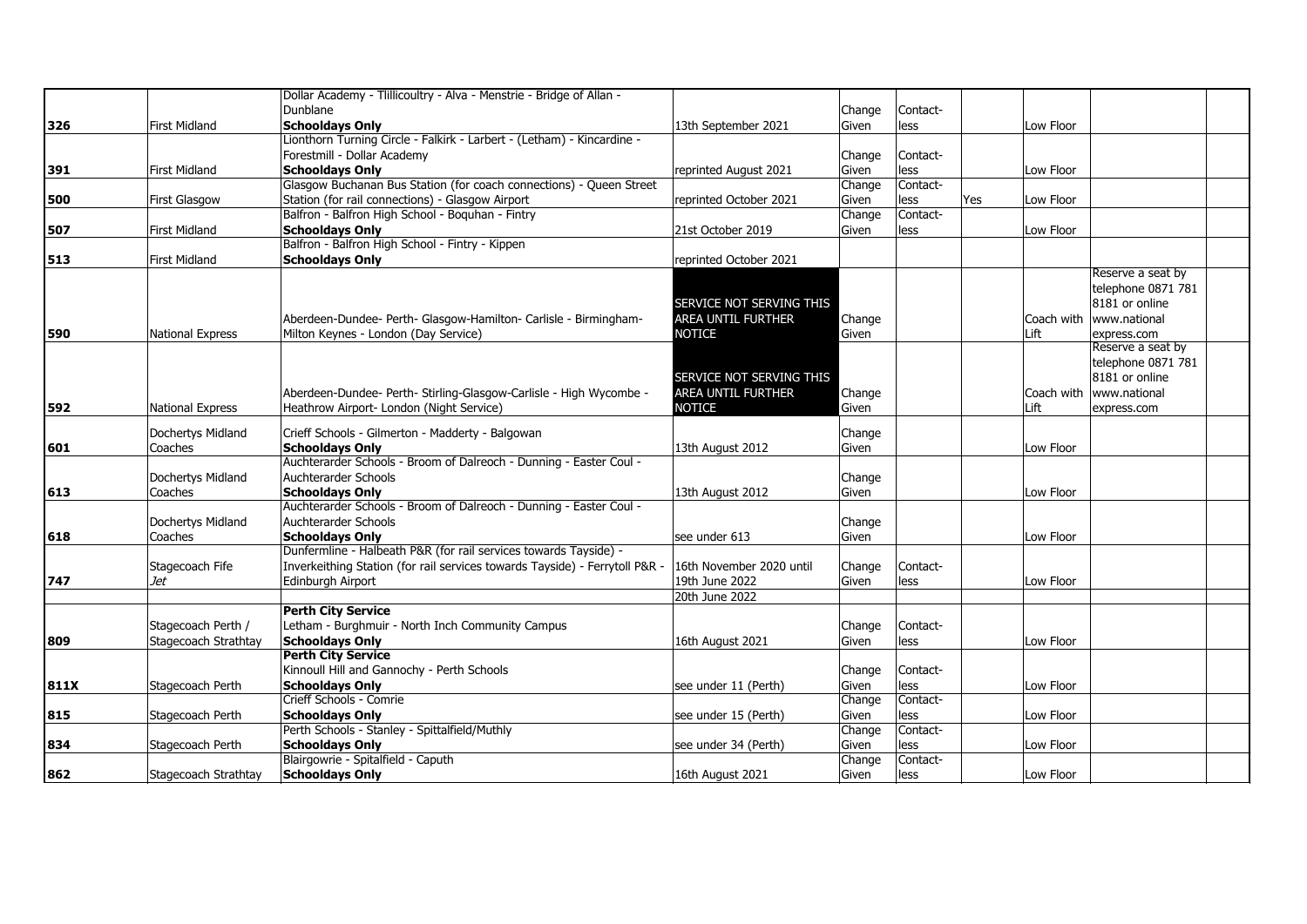| Dunblane<br>Contact-<br>Change<br>326<br><b>First Midland</b><br><b>Schooldays Only</b><br>Low Floor<br>13th September 2021<br>less<br>Given<br>Lionthorn Turning Circle - Falkirk - Larbert - (Letham) - Kincardine -<br>Forestmill - Dollar Academy<br>Contact-<br>Change<br><b>Schooldays Only</b><br>less<br>391<br><b>First Midland</b><br>reprinted August 2021<br>Given<br>Low Floor<br>Glasgow Buchanan Bus Station (for coach connections) - Queen Street<br>Contact-<br>Change<br>Station (for rail connections) - Glasgow Airport<br>Low Floor<br>500<br><b>First Glasgow</b><br>reprinted October 2021<br>less<br>Yes<br>Given<br>Contact-<br>Balfron - Balfron High School - Boquhan - Fintry<br>Change<br>507<br><b>First Midland</b><br><b>Schooldays Only</b><br>21st October 2019<br>Low Floor<br>Given<br>less<br>Balfron - Balfron High School - Fintry - Kippen<br><b>Schooldays Only</b><br>513<br><b>First Midland</b><br>reprinted October 2021<br>Reserve a seat by<br>telephone 0871 781<br>8181 or online<br>SERVICE NOT SERVING THIS<br>Aberdeen-Dundee- Perth- Glasgow-Hamilton- Carlisle - Birmingham-<br>AREA UNTIL FURTHER<br>Coach with   www.national<br>Change<br>Milton Keynes - London (Day Service)<br><b>NOTICE</b><br>Given<br>Lift<br>National Express<br>express.com<br>Reserve a seat by<br>telephone 0871 781<br>8181 or online<br>SERVICE NOT SERVING THIS<br>Aberdeen-Dundee- Perth- Stirling-Glasgow-Carlisle - High Wycombe -<br>AREA UNTIL FURTHER<br>Coach with   www.national<br>Change<br>592<br>Heathrow Airport- London (Night Service)<br><b>NOTICE</b><br>Lift<br>National Express<br>Given<br>express.com<br>Dochertys Midland<br>Crieff Schools - Gilmerton - Madderty - Balgowan<br>Change<br>Coaches<br><b>Schooldays Only</b><br>13th August 2012<br>601<br>Given<br>Low Floor<br>Auchterarder Schools - Broom of Dalreoch - Dunning - Easter Coul -<br>Auchterarder Schools<br>Dochertys Midland<br>Change<br><b>Schooldays Only</b><br>613<br>Coaches<br>13th August 2012<br>Given<br>Low Floor<br>Auchterarder Schools - Broom of Dalreoch - Dunning - Easter Coul -<br>Auchterarder Schools<br>Dochertys Midland<br>Change<br>Coaches<br><b>Schooldays Only</b><br>618<br>lsee under 613<br>Given<br>Low Floor<br>Dunfermline - Halbeath P&R (for rail services towards Tayside) -<br>Inverkeithing Station (for rail services towards Tayside) - Ferrytoll P&R<br>Stagecoach Fife<br>16th November 2020 until<br>Contact-<br>Change<br>747<br>Jet<br>Edinburgh Airport<br>19th June 2022<br>Low Floor<br>less<br>Given<br>20th June 2022<br><b>Perth City Service</b><br>Stagecoach Perth /<br>Letham - Burghmuir - North Inch Community Campus<br>Contact-<br>Change<br>Stagecoach Strathtay<br><b>Schooldays Only</b><br>809<br>less<br>Low Floor<br>16th August 2021<br>Given<br><b>Perth City Service</b><br>Kinnoull Hill and Gannochy - Perth Schools<br>Contact-<br>Change<br><b>Schooldays Only</b><br>811X<br>Stagecoach Perth<br>less<br>Low Floor<br>see under 11 (Perth)<br>Given<br>Crieff Schools - Comrie<br>Contact-<br>Change<br><b>Schooldays Only</b><br>Stagecoach Perth<br>less<br>Low Floor<br>815<br>see under 15 (Perth)<br>Given |     | Dollar Academy - Tlillicoultry - Alva - Menstrie - Bridge of Allan - |        |          |  |  |
|----------------------------------------------------------------------------------------------------------------------------------------------------------------------------------------------------------------------------------------------------------------------------------------------------------------------------------------------------------------------------------------------------------------------------------------------------------------------------------------------------------------------------------------------------------------------------------------------------------------------------------------------------------------------------------------------------------------------------------------------------------------------------------------------------------------------------------------------------------------------------------------------------------------------------------------------------------------------------------------------------------------------------------------------------------------------------------------------------------------------------------------------------------------------------------------------------------------------------------------------------------------------------------------------------------------------------------------------------------------------------------------------------------------------------------------------------------------------------------------------------------------------------------------------------------------------------------------------------------------------------------------------------------------------------------------------------------------------------------------------------------------------------------------------------------------------------------------------------------------------------------------------------------------------------------------------------------------------------------------------------------------------------------------------------------------------------------------------------------------------------------------------------------------------------------------------------------------------------------------------------------------------------------------------------------------------------------------------------------------------------------------------------------------------------------------------------------------------------------------------------------------------------------------------------------------------------------------------------------------------------------------------------------------------------------------------------------------------------------------------------------------------------------------------------------------------------------------------------------------------------------------------------------------------------------------------------------------------------------------------------------------------------------------------------------------------------------------------------------------------------------------------------------------------------------------------------------------------------|-----|----------------------------------------------------------------------|--------|----------|--|--|
|                                                                                                                                                                                                                                                                                                                                                                                                                                                                                                                                                                                                                                                                                                                                                                                                                                                                                                                                                                                                                                                                                                                                                                                                                                                                                                                                                                                                                                                                                                                                                                                                                                                                                                                                                                                                                                                                                                                                                                                                                                                                                                                                                                                                                                                                                                                                                                                                                                                                                                                                                                                                                                                                                                                                                                                                                                                                                                                                                                                                                                                                                                                                                                                                                            |     |                                                                      |        |          |  |  |
|                                                                                                                                                                                                                                                                                                                                                                                                                                                                                                                                                                                                                                                                                                                                                                                                                                                                                                                                                                                                                                                                                                                                                                                                                                                                                                                                                                                                                                                                                                                                                                                                                                                                                                                                                                                                                                                                                                                                                                                                                                                                                                                                                                                                                                                                                                                                                                                                                                                                                                                                                                                                                                                                                                                                                                                                                                                                                                                                                                                                                                                                                                                                                                                                                            |     |                                                                      |        |          |  |  |
|                                                                                                                                                                                                                                                                                                                                                                                                                                                                                                                                                                                                                                                                                                                                                                                                                                                                                                                                                                                                                                                                                                                                                                                                                                                                                                                                                                                                                                                                                                                                                                                                                                                                                                                                                                                                                                                                                                                                                                                                                                                                                                                                                                                                                                                                                                                                                                                                                                                                                                                                                                                                                                                                                                                                                                                                                                                                                                                                                                                                                                                                                                                                                                                                                            |     |                                                                      |        |          |  |  |
|                                                                                                                                                                                                                                                                                                                                                                                                                                                                                                                                                                                                                                                                                                                                                                                                                                                                                                                                                                                                                                                                                                                                                                                                                                                                                                                                                                                                                                                                                                                                                                                                                                                                                                                                                                                                                                                                                                                                                                                                                                                                                                                                                                                                                                                                                                                                                                                                                                                                                                                                                                                                                                                                                                                                                                                                                                                                                                                                                                                                                                                                                                                                                                                                                            |     |                                                                      |        |          |  |  |
|                                                                                                                                                                                                                                                                                                                                                                                                                                                                                                                                                                                                                                                                                                                                                                                                                                                                                                                                                                                                                                                                                                                                                                                                                                                                                                                                                                                                                                                                                                                                                                                                                                                                                                                                                                                                                                                                                                                                                                                                                                                                                                                                                                                                                                                                                                                                                                                                                                                                                                                                                                                                                                                                                                                                                                                                                                                                                                                                                                                                                                                                                                                                                                                                                            |     |                                                                      |        |          |  |  |
|                                                                                                                                                                                                                                                                                                                                                                                                                                                                                                                                                                                                                                                                                                                                                                                                                                                                                                                                                                                                                                                                                                                                                                                                                                                                                                                                                                                                                                                                                                                                                                                                                                                                                                                                                                                                                                                                                                                                                                                                                                                                                                                                                                                                                                                                                                                                                                                                                                                                                                                                                                                                                                                                                                                                                                                                                                                                                                                                                                                                                                                                                                                                                                                                                            |     |                                                                      |        |          |  |  |
|                                                                                                                                                                                                                                                                                                                                                                                                                                                                                                                                                                                                                                                                                                                                                                                                                                                                                                                                                                                                                                                                                                                                                                                                                                                                                                                                                                                                                                                                                                                                                                                                                                                                                                                                                                                                                                                                                                                                                                                                                                                                                                                                                                                                                                                                                                                                                                                                                                                                                                                                                                                                                                                                                                                                                                                                                                                                                                                                                                                                                                                                                                                                                                                                                            |     |                                                                      |        |          |  |  |
|                                                                                                                                                                                                                                                                                                                                                                                                                                                                                                                                                                                                                                                                                                                                                                                                                                                                                                                                                                                                                                                                                                                                                                                                                                                                                                                                                                                                                                                                                                                                                                                                                                                                                                                                                                                                                                                                                                                                                                                                                                                                                                                                                                                                                                                                                                                                                                                                                                                                                                                                                                                                                                                                                                                                                                                                                                                                                                                                                                                                                                                                                                                                                                                                                            |     |                                                                      |        |          |  |  |
|                                                                                                                                                                                                                                                                                                                                                                                                                                                                                                                                                                                                                                                                                                                                                                                                                                                                                                                                                                                                                                                                                                                                                                                                                                                                                                                                                                                                                                                                                                                                                                                                                                                                                                                                                                                                                                                                                                                                                                                                                                                                                                                                                                                                                                                                                                                                                                                                                                                                                                                                                                                                                                                                                                                                                                                                                                                                                                                                                                                                                                                                                                                                                                                                                            |     |                                                                      |        |          |  |  |
|                                                                                                                                                                                                                                                                                                                                                                                                                                                                                                                                                                                                                                                                                                                                                                                                                                                                                                                                                                                                                                                                                                                                                                                                                                                                                                                                                                                                                                                                                                                                                                                                                                                                                                                                                                                                                                                                                                                                                                                                                                                                                                                                                                                                                                                                                                                                                                                                                                                                                                                                                                                                                                                                                                                                                                                                                                                                                                                                                                                                                                                                                                                                                                                                                            |     |                                                                      |        |          |  |  |
|                                                                                                                                                                                                                                                                                                                                                                                                                                                                                                                                                                                                                                                                                                                                                                                                                                                                                                                                                                                                                                                                                                                                                                                                                                                                                                                                                                                                                                                                                                                                                                                                                                                                                                                                                                                                                                                                                                                                                                                                                                                                                                                                                                                                                                                                                                                                                                                                                                                                                                                                                                                                                                                                                                                                                                                                                                                                                                                                                                                                                                                                                                                                                                                                                            |     |                                                                      |        |          |  |  |
|                                                                                                                                                                                                                                                                                                                                                                                                                                                                                                                                                                                                                                                                                                                                                                                                                                                                                                                                                                                                                                                                                                                                                                                                                                                                                                                                                                                                                                                                                                                                                                                                                                                                                                                                                                                                                                                                                                                                                                                                                                                                                                                                                                                                                                                                                                                                                                                                                                                                                                                                                                                                                                                                                                                                                                                                                                                                                                                                                                                                                                                                                                                                                                                                                            |     |                                                                      |        |          |  |  |
|                                                                                                                                                                                                                                                                                                                                                                                                                                                                                                                                                                                                                                                                                                                                                                                                                                                                                                                                                                                                                                                                                                                                                                                                                                                                                                                                                                                                                                                                                                                                                                                                                                                                                                                                                                                                                                                                                                                                                                                                                                                                                                                                                                                                                                                                                                                                                                                                                                                                                                                                                                                                                                                                                                                                                                                                                                                                                                                                                                                                                                                                                                                                                                                                                            |     |                                                                      |        |          |  |  |
|                                                                                                                                                                                                                                                                                                                                                                                                                                                                                                                                                                                                                                                                                                                                                                                                                                                                                                                                                                                                                                                                                                                                                                                                                                                                                                                                                                                                                                                                                                                                                                                                                                                                                                                                                                                                                                                                                                                                                                                                                                                                                                                                                                                                                                                                                                                                                                                                                                                                                                                                                                                                                                                                                                                                                                                                                                                                                                                                                                                                                                                                                                                                                                                                                            |     |                                                                      |        |          |  |  |
|                                                                                                                                                                                                                                                                                                                                                                                                                                                                                                                                                                                                                                                                                                                                                                                                                                                                                                                                                                                                                                                                                                                                                                                                                                                                                                                                                                                                                                                                                                                                                                                                                                                                                                                                                                                                                                                                                                                                                                                                                                                                                                                                                                                                                                                                                                                                                                                                                                                                                                                                                                                                                                                                                                                                                                                                                                                                                                                                                                                                                                                                                                                                                                                                                            |     |                                                                      |        |          |  |  |
|                                                                                                                                                                                                                                                                                                                                                                                                                                                                                                                                                                                                                                                                                                                                                                                                                                                                                                                                                                                                                                                                                                                                                                                                                                                                                                                                                                                                                                                                                                                                                                                                                                                                                                                                                                                                                                                                                                                                                                                                                                                                                                                                                                                                                                                                                                                                                                                                                                                                                                                                                                                                                                                                                                                                                                                                                                                                                                                                                                                                                                                                                                                                                                                                                            | 590 |                                                                      |        |          |  |  |
|                                                                                                                                                                                                                                                                                                                                                                                                                                                                                                                                                                                                                                                                                                                                                                                                                                                                                                                                                                                                                                                                                                                                                                                                                                                                                                                                                                                                                                                                                                                                                                                                                                                                                                                                                                                                                                                                                                                                                                                                                                                                                                                                                                                                                                                                                                                                                                                                                                                                                                                                                                                                                                                                                                                                                                                                                                                                                                                                                                                                                                                                                                                                                                                                                            |     |                                                                      |        |          |  |  |
|                                                                                                                                                                                                                                                                                                                                                                                                                                                                                                                                                                                                                                                                                                                                                                                                                                                                                                                                                                                                                                                                                                                                                                                                                                                                                                                                                                                                                                                                                                                                                                                                                                                                                                                                                                                                                                                                                                                                                                                                                                                                                                                                                                                                                                                                                                                                                                                                                                                                                                                                                                                                                                                                                                                                                                                                                                                                                                                                                                                                                                                                                                                                                                                                                            |     |                                                                      |        |          |  |  |
|                                                                                                                                                                                                                                                                                                                                                                                                                                                                                                                                                                                                                                                                                                                                                                                                                                                                                                                                                                                                                                                                                                                                                                                                                                                                                                                                                                                                                                                                                                                                                                                                                                                                                                                                                                                                                                                                                                                                                                                                                                                                                                                                                                                                                                                                                                                                                                                                                                                                                                                                                                                                                                                                                                                                                                                                                                                                                                                                                                                                                                                                                                                                                                                                                            |     |                                                                      |        |          |  |  |
|                                                                                                                                                                                                                                                                                                                                                                                                                                                                                                                                                                                                                                                                                                                                                                                                                                                                                                                                                                                                                                                                                                                                                                                                                                                                                                                                                                                                                                                                                                                                                                                                                                                                                                                                                                                                                                                                                                                                                                                                                                                                                                                                                                                                                                                                                                                                                                                                                                                                                                                                                                                                                                                                                                                                                                                                                                                                                                                                                                                                                                                                                                                                                                                                                            |     |                                                                      |        |          |  |  |
|                                                                                                                                                                                                                                                                                                                                                                                                                                                                                                                                                                                                                                                                                                                                                                                                                                                                                                                                                                                                                                                                                                                                                                                                                                                                                                                                                                                                                                                                                                                                                                                                                                                                                                                                                                                                                                                                                                                                                                                                                                                                                                                                                                                                                                                                                                                                                                                                                                                                                                                                                                                                                                                                                                                                                                                                                                                                                                                                                                                                                                                                                                                                                                                                                            |     |                                                                      |        |          |  |  |
|                                                                                                                                                                                                                                                                                                                                                                                                                                                                                                                                                                                                                                                                                                                                                                                                                                                                                                                                                                                                                                                                                                                                                                                                                                                                                                                                                                                                                                                                                                                                                                                                                                                                                                                                                                                                                                                                                                                                                                                                                                                                                                                                                                                                                                                                                                                                                                                                                                                                                                                                                                                                                                                                                                                                                                                                                                                                                                                                                                                                                                                                                                                                                                                                                            |     |                                                                      |        |          |  |  |
|                                                                                                                                                                                                                                                                                                                                                                                                                                                                                                                                                                                                                                                                                                                                                                                                                                                                                                                                                                                                                                                                                                                                                                                                                                                                                                                                                                                                                                                                                                                                                                                                                                                                                                                                                                                                                                                                                                                                                                                                                                                                                                                                                                                                                                                                                                                                                                                                                                                                                                                                                                                                                                                                                                                                                                                                                                                                                                                                                                                                                                                                                                                                                                                                                            |     |                                                                      |        |          |  |  |
|                                                                                                                                                                                                                                                                                                                                                                                                                                                                                                                                                                                                                                                                                                                                                                                                                                                                                                                                                                                                                                                                                                                                                                                                                                                                                                                                                                                                                                                                                                                                                                                                                                                                                                                                                                                                                                                                                                                                                                                                                                                                                                                                                                                                                                                                                                                                                                                                                                                                                                                                                                                                                                                                                                                                                                                                                                                                                                                                                                                                                                                                                                                                                                                                                            |     |                                                                      |        |          |  |  |
|                                                                                                                                                                                                                                                                                                                                                                                                                                                                                                                                                                                                                                                                                                                                                                                                                                                                                                                                                                                                                                                                                                                                                                                                                                                                                                                                                                                                                                                                                                                                                                                                                                                                                                                                                                                                                                                                                                                                                                                                                                                                                                                                                                                                                                                                                                                                                                                                                                                                                                                                                                                                                                                                                                                                                                                                                                                                                                                                                                                                                                                                                                                                                                                                                            |     |                                                                      |        |          |  |  |
|                                                                                                                                                                                                                                                                                                                                                                                                                                                                                                                                                                                                                                                                                                                                                                                                                                                                                                                                                                                                                                                                                                                                                                                                                                                                                                                                                                                                                                                                                                                                                                                                                                                                                                                                                                                                                                                                                                                                                                                                                                                                                                                                                                                                                                                                                                                                                                                                                                                                                                                                                                                                                                                                                                                                                                                                                                                                                                                                                                                                                                                                                                                                                                                                                            |     |                                                                      |        |          |  |  |
|                                                                                                                                                                                                                                                                                                                                                                                                                                                                                                                                                                                                                                                                                                                                                                                                                                                                                                                                                                                                                                                                                                                                                                                                                                                                                                                                                                                                                                                                                                                                                                                                                                                                                                                                                                                                                                                                                                                                                                                                                                                                                                                                                                                                                                                                                                                                                                                                                                                                                                                                                                                                                                                                                                                                                                                                                                                                                                                                                                                                                                                                                                                                                                                                                            |     |                                                                      |        |          |  |  |
|                                                                                                                                                                                                                                                                                                                                                                                                                                                                                                                                                                                                                                                                                                                                                                                                                                                                                                                                                                                                                                                                                                                                                                                                                                                                                                                                                                                                                                                                                                                                                                                                                                                                                                                                                                                                                                                                                                                                                                                                                                                                                                                                                                                                                                                                                                                                                                                                                                                                                                                                                                                                                                                                                                                                                                                                                                                                                                                                                                                                                                                                                                                                                                                                                            |     |                                                                      |        |          |  |  |
|                                                                                                                                                                                                                                                                                                                                                                                                                                                                                                                                                                                                                                                                                                                                                                                                                                                                                                                                                                                                                                                                                                                                                                                                                                                                                                                                                                                                                                                                                                                                                                                                                                                                                                                                                                                                                                                                                                                                                                                                                                                                                                                                                                                                                                                                                                                                                                                                                                                                                                                                                                                                                                                                                                                                                                                                                                                                                                                                                                                                                                                                                                                                                                                                                            |     |                                                                      |        |          |  |  |
|                                                                                                                                                                                                                                                                                                                                                                                                                                                                                                                                                                                                                                                                                                                                                                                                                                                                                                                                                                                                                                                                                                                                                                                                                                                                                                                                                                                                                                                                                                                                                                                                                                                                                                                                                                                                                                                                                                                                                                                                                                                                                                                                                                                                                                                                                                                                                                                                                                                                                                                                                                                                                                                                                                                                                                                                                                                                                                                                                                                                                                                                                                                                                                                                                            |     |                                                                      |        |          |  |  |
|                                                                                                                                                                                                                                                                                                                                                                                                                                                                                                                                                                                                                                                                                                                                                                                                                                                                                                                                                                                                                                                                                                                                                                                                                                                                                                                                                                                                                                                                                                                                                                                                                                                                                                                                                                                                                                                                                                                                                                                                                                                                                                                                                                                                                                                                                                                                                                                                                                                                                                                                                                                                                                                                                                                                                                                                                                                                                                                                                                                                                                                                                                                                                                                                                            |     |                                                                      |        |          |  |  |
|                                                                                                                                                                                                                                                                                                                                                                                                                                                                                                                                                                                                                                                                                                                                                                                                                                                                                                                                                                                                                                                                                                                                                                                                                                                                                                                                                                                                                                                                                                                                                                                                                                                                                                                                                                                                                                                                                                                                                                                                                                                                                                                                                                                                                                                                                                                                                                                                                                                                                                                                                                                                                                                                                                                                                                                                                                                                                                                                                                                                                                                                                                                                                                                                                            |     |                                                                      |        |          |  |  |
|                                                                                                                                                                                                                                                                                                                                                                                                                                                                                                                                                                                                                                                                                                                                                                                                                                                                                                                                                                                                                                                                                                                                                                                                                                                                                                                                                                                                                                                                                                                                                                                                                                                                                                                                                                                                                                                                                                                                                                                                                                                                                                                                                                                                                                                                                                                                                                                                                                                                                                                                                                                                                                                                                                                                                                                                                                                                                                                                                                                                                                                                                                                                                                                                                            |     |                                                                      |        |          |  |  |
|                                                                                                                                                                                                                                                                                                                                                                                                                                                                                                                                                                                                                                                                                                                                                                                                                                                                                                                                                                                                                                                                                                                                                                                                                                                                                                                                                                                                                                                                                                                                                                                                                                                                                                                                                                                                                                                                                                                                                                                                                                                                                                                                                                                                                                                                                                                                                                                                                                                                                                                                                                                                                                                                                                                                                                                                                                                                                                                                                                                                                                                                                                                                                                                                                            |     |                                                                      |        |          |  |  |
|                                                                                                                                                                                                                                                                                                                                                                                                                                                                                                                                                                                                                                                                                                                                                                                                                                                                                                                                                                                                                                                                                                                                                                                                                                                                                                                                                                                                                                                                                                                                                                                                                                                                                                                                                                                                                                                                                                                                                                                                                                                                                                                                                                                                                                                                                                                                                                                                                                                                                                                                                                                                                                                                                                                                                                                                                                                                                                                                                                                                                                                                                                                                                                                                                            |     |                                                                      |        |          |  |  |
|                                                                                                                                                                                                                                                                                                                                                                                                                                                                                                                                                                                                                                                                                                                                                                                                                                                                                                                                                                                                                                                                                                                                                                                                                                                                                                                                                                                                                                                                                                                                                                                                                                                                                                                                                                                                                                                                                                                                                                                                                                                                                                                                                                                                                                                                                                                                                                                                                                                                                                                                                                                                                                                                                                                                                                                                                                                                                                                                                                                                                                                                                                                                                                                                                            |     |                                                                      |        |          |  |  |
|                                                                                                                                                                                                                                                                                                                                                                                                                                                                                                                                                                                                                                                                                                                                                                                                                                                                                                                                                                                                                                                                                                                                                                                                                                                                                                                                                                                                                                                                                                                                                                                                                                                                                                                                                                                                                                                                                                                                                                                                                                                                                                                                                                                                                                                                                                                                                                                                                                                                                                                                                                                                                                                                                                                                                                                                                                                                                                                                                                                                                                                                                                                                                                                                                            |     |                                                                      |        |          |  |  |
|                                                                                                                                                                                                                                                                                                                                                                                                                                                                                                                                                                                                                                                                                                                                                                                                                                                                                                                                                                                                                                                                                                                                                                                                                                                                                                                                                                                                                                                                                                                                                                                                                                                                                                                                                                                                                                                                                                                                                                                                                                                                                                                                                                                                                                                                                                                                                                                                                                                                                                                                                                                                                                                                                                                                                                                                                                                                                                                                                                                                                                                                                                                                                                                                                            |     |                                                                      |        |          |  |  |
|                                                                                                                                                                                                                                                                                                                                                                                                                                                                                                                                                                                                                                                                                                                                                                                                                                                                                                                                                                                                                                                                                                                                                                                                                                                                                                                                                                                                                                                                                                                                                                                                                                                                                                                                                                                                                                                                                                                                                                                                                                                                                                                                                                                                                                                                                                                                                                                                                                                                                                                                                                                                                                                                                                                                                                                                                                                                                                                                                                                                                                                                                                                                                                                                                            |     |                                                                      |        |          |  |  |
|                                                                                                                                                                                                                                                                                                                                                                                                                                                                                                                                                                                                                                                                                                                                                                                                                                                                                                                                                                                                                                                                                                                                                                                                                                                                                                                                                                                                                                                                                                                                                                                                                                                                                                                                                                                                                                                                                                                                                                                                                                                                                                                                                                                                                                                                                                                                                                                                                                                                                                                                                                                                                                                                                                                                                                                                                                                                                                                                                                                                                                                                                                                                                                                                                            |     |                                                                      |        |          |  |  |
|                                                                                                                                                                                                                                                                                                                                                                                                                                                                                                                                                                                                                                                                                                                                                                                                                                                                                                                                                                                                                                                                                                                                                                                                                                                                                                                                                                                                                                                                                                                                                                                                                                                                                                                                                                                                                                                                                                                                                                                                                                                                                                                                                                                                                                                                                                                                                                                                                                                                                                                                                                                                                                                                                                                                                                                                                                                                                                                                                                                                                                                                                                                                                                                                                            |     |                                                                      |        |          |  |  |
|                                                                                                                                                                                                                                                                                                                                                                                                                                                                                                                                                                                                                                                                                                                                                                                                                                                                                                                                                                                                                                                                                                                                                                                                                                                                                                                                                                                                                                                                                                                                                                                                                                                                                                                                                                                                                                                                                                                                                                                                                                                                                                                                                                                                                                                                                                                                                                                                                                                                                                                                                                                                                                                                                                                                                                                                                                                                                                                                                                                                                                                                                                                                                                                                                            |     | Perth Schools - Stanley - Spittalfield/Muthly                        | Change | Contact- |  |  |
| 834<br><b>Schooldays Only</b><br>less<br>Low Floor<br>Stagecoach Perth<br>see under 34 (Perth)<br>Given                                                                                                                                                                                                                                                                                                                                                                                                                                                                                                                                                                                                                                                                                                                                                                                                                                                                                                                                                                                                                                                                                                                                                                                                                                                                                                                                                                                                                                                                                                                                                                                                                                                                                                                                                                                                                                                                                                                                                                                                                                                                                                                                                                                                                                                                                                                                                                                                                                                                                                                                                                                                                                                                                                                                                                                                                                                                                                                                                                                                                                                                                                                    |     |                                                                      |        |          |  |  |
| Blairgowrie - Spitalfield - Caputh<br>Change<br>Contact-                                                                                                                                                                                                                                                                                                                                                                                                                                                                                                                                                                                                                                                                                                                                                                                                                                                                                                                                                                                                                                                                                                                                                                                                                                                                                                                                                                                                                                                                                                                                                                                                                                                                                                                                                                                                                                                                                                                                                                                                                                                                                                                                                                                                                                                                                                                                                                                                                                                                                                                                                                                                                                                                                                                                                                                                                                                                                                                                                                                                                                                                                                                                                                   |     |                                                                      |        |          |  |  |
| <b>Schooldays Only</b><br>862<br>Stagecoach Strathtay<br>16th August 2021<br>Given<br>less<br>Low Floor                                                                                                                                                                                                                                                                                                                                                                                                                                                                                                                                                                                                                                                                                                                                                                                                                                                                                                                                                                                                                                                                                                                                                                                                                                                                                                                                                                                                                                                                                                                                                                                                                                                                                                                                                                                                                                                                                                                                                                                                                                                                                                                                                                                                                                                                                                                                                                                                                                                                                                                                                                                                                                                                                                                                                                                                                                                                                                                                                                                                                                                                                                                    |     |                                                                      |        |          |  |  |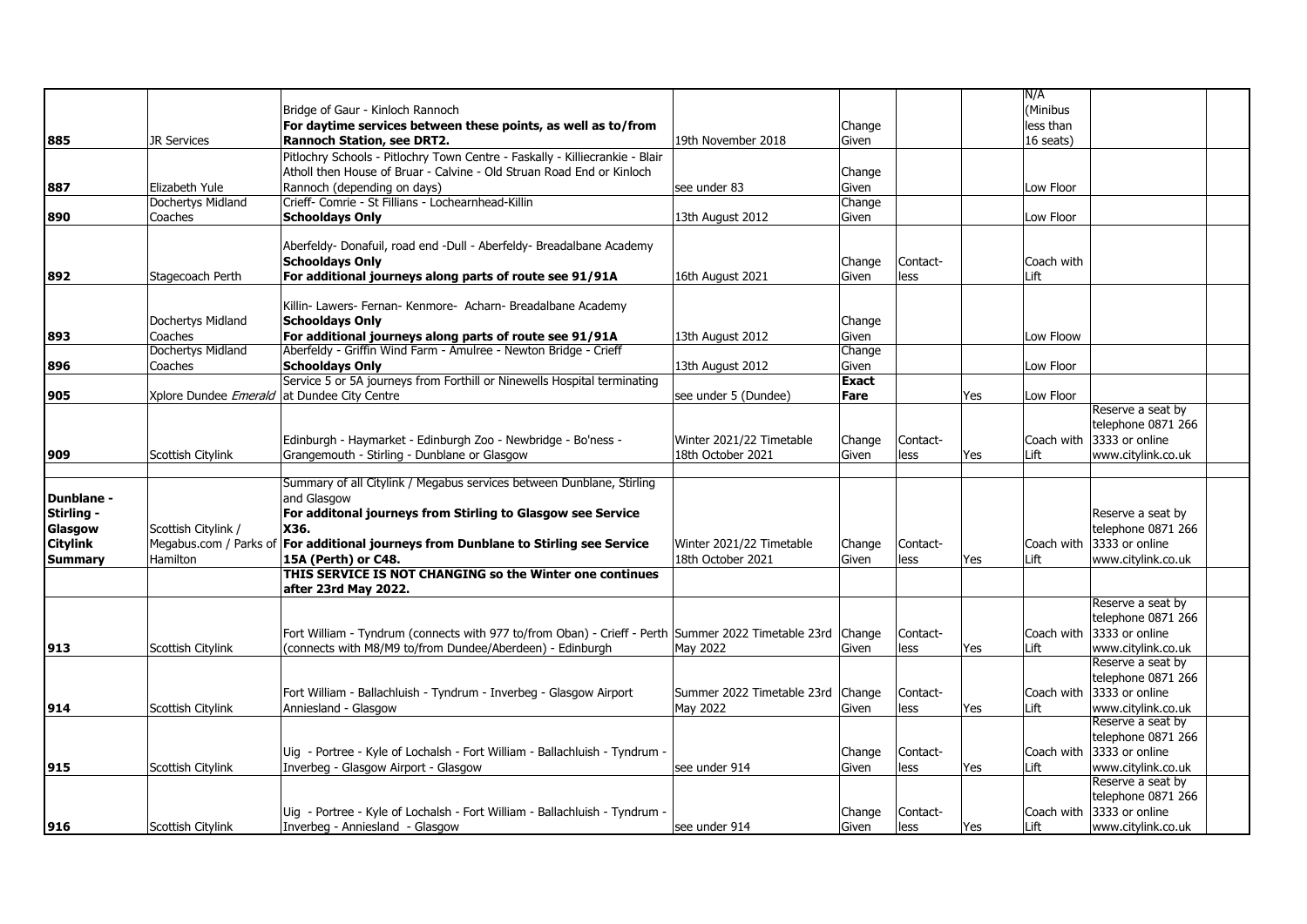|                   |                                                    |                                                                                                              |                            |              |          |            | N/A        |                            |  |
|-------------------|----------------------------------------------------|--------------------------------------------------------------------------------------------------------------|----------------------------|--------------|----------|------------|------------|----------------------------|--|
|                   |                                                    | Bridge of Gaur - Kinloch Rannoch                                                                             |                            |              |          |            | (Minibus   |                            |  |
|                   |                                                    | For daytime services between these points, as well as to/from                                                |                            | Change       |          |            | less than  |                            |  |
|                   |                                                    |                                                                                                              |                            |              |          |            |            |                            |  |
| 885               | <b>JR Services</b>                                 | <b>Rannoch Station, see DRT2.</b>                                                                            | 19th November 2018         | Given        |          |            | 16 seats)  |                            |  |
|                   |                                                    | Pitlochry Schools - Pitlochry Town Centre - Faskally - Killiecrankie - Blair                                 |                            |              |          |            |            |                            |  |
|                   |                                                    | Atholl then House of Bruar - Calvine - Old Struan Road End or Kinloch                                        |                            | Change       |          |            |            |                            |  |
| 887               | Elizabeth Yule                                     | Rannoch (depending on days)                                                                                  | see under 83               | Given        |          |            | Low Floor  |                            |  |
|                   | Dochertys Midland                                  | Crieff- Comrie - St Fillians - Lochearnhead-Killin                                                           |                            | Change       |          |            |            |                            |  |
| 890               | Coaches                                            | <b>Schooldays Only</b>                                                                                       | 13th August 2012           | Given        |          |            | Low Floor  |                            |  |
|                   |                                                    |                                                                                                              |                            |              |          |            |            |                            |  |
|                   |                                                    | Aberfeldy- Donafuil, road end -Dull - Aberfeldy- Breadalbane Academy                                         |                            |              |          |            |            |                            |  |
|                   |                                                    | <b>Schooldays Only</b>                                                                                       |                            | Change       | Contact- |            | Coach with |                            |  |
|                   |                                                    |                                                                                                              |                            |              |          |            |            |                            |  |
| 892               | Stagecoach Perth                                   | For additional journeys along parts of route see 91/91A                                                      | 16th August 2021           | Given        | less     |            | Lift       |                            |  |
|                   |                                                    |                                                                                                              |                            |              |          |            |            |                            |  |
|                   |                                                    | Killin- Lawers- Fernan- Kenmore- Acharn- Breadalbane Academy                                                 |                            |              |          |            |            |                            |  |
|                   | Dochertys Midland                                  | <b>Schooldays Only</b>                                                                                       |                            | Change       |          |            |            |                            |  |
| 893               | Coaches                                            | For additional journeys along parts of route see 91/91A                                                      | 13th August 2012           | Given        |          |            | Low Floow  |                            |  |
|                   | Dochertys Midland                                  | Aberfeldy - Griffin Wind Farm - Amulree - Newton Bridge - Crieff                                             |                            | Change       |          |            |            |                            |  |
| 896               | Coaches                                            | <b>Schooldays Only</b>                                                                                       | 13th August 2012           | Given        |          |            | Low Floor  |                            |  |
|                   |                                                    | Service 5 or 5A journeys from Forthill or Ninewells Hospital terminating                                     |                            | <b>Exact</b> |          |            |            |                            |  |
| 905               | Xplore Dundee <i>Emerald</i> at Dundee City Centre |                                                                                                              | see under 5 (Dundee)       | Fare         |          | Yes        | Low Floor  |                            |  |
|                   |                                                    |                                                                                                              |                            |              |          |            |            | Reserve a seat by          |  |
|                   |                                                    |                                                                                                              |                            |              |          |            |            | telephone 0871 266         |  |
|                   |                                                    |                                                                                                              |                            |              |          |            |            | Coach with 3333 or online  |  |
|                   |                                                    | Edinburgh - Haymarket - Edinburgh Zoo - Newbridge - Bo'ness -                                                | Winter 2021/22 Timetable   | Change       | Contact- |            |            |                            |  |
| 909               | Scottish Citylink                                  | Grangemouth - Stirling - Dunblane or Glasgow                                                                 | 18th October 2021          | Given        | less     | Yes        | Lift       | www.citylink.co.uk         |  |
|                   |                                                    |                                                                                                              |                            |              |          |            |            |                            |  |
|                   |                                                    | Summary of all Citylink / Megabus services between Dunblane, Stirling                                        |                            |              |          |            |            |                            |  |
| <b>Dunblane -</b> |                                                    | and Glasgow                                                                                                  |                            |              |          |            |            |                            |  |
| Stirling -        |                                                    | For additonal journeys from Stirling to Glasgow see Service                                                  |                            |              |          |            |            | Reserve a seat by          |  |
| Glasgow           | Scottish Citylink /                                | X36.                                                                                                         |                            |              |          |            |            | telephone 0871 266         |  |
| <b>Citylink</b>   | Megabus.com / Parks of                             | For additional journeys from Dunblane to Stirling see Service                                                | Winter 2021/22 Timetable   | Change       | Contact- |            |            | Coach with 13333 or online |  |
| <b>Summary</b>    | Hamilton                                           | 15A (Perth) or C48.                                                                                          | 18th October 2021          | Given        | less     | Yes        | Lift       | www.citylink.co.uk         |  |
|                   |                                                    | THIS SERVICE IS NOT CHANGING so the Winter one continues                                                     |                            |              |          |            |            |                            |  |
|                   |                                                    |                                                                                                              |                            |              |          |            |            |                            |  |
|                   |                                                    | after 23rd May 2022.                                                                                         |                            |              |          |            |            | Reserve a seat by          |  |
|                   |                                                    |                                                                                                              |                            |              |          |            |            |                            |  |
|                   |                                                    |                                                                                                              |                            |              |          |            |            | telephone 0871 266         |  |
|                   |                                                    | Fort William - Tyndrum (connects with 977 to/from Oban) - Crieff - Perth Summer 2022 Timetable 23rd   Change |                            |              | Contact- |            |            | Coach with 3333 or online  |  |
| 913               | Scottish Citylink                                  | (connects with M8/M9 to/from Dundee/Aberdeen) - Edinburgh                                                    | May 2022                   | Given        | less     | Yes        | Lift       | www.citylink.co.uk         |  |
|                   |                                                    |                                                                                                              |                            |              |          |            |            | Reserve a seat by          |  |
|                   |                                                    |                                                                                                              |                            |              |          |            |            | telephone 0871 266         |  |
|                   |                                                    | Fort William - Ballachluish - Tyndrum - Inverbeg - Glasgow Airport                                           | Summer 2022 Timetable 23rd | Change       | Contact- |            |            | Coach with 3333 or online  |  |
| 914               | Scottish Citylink                                  | Anniesland - Glasgow                                                                                         | May 2022                   | Given        | less     | Yes        | Lift       | www.citylink.co.uk         |  |
|                   |                                                    |                                                                                                              |                            |              |          |            |            | Reserve a seat by          |  |
|                   |                                                    |                                                                                                              |                            |              |          |            |            | telephone 0871 266         |  |
|                   |                                                    | Uig - Portree - Kyle of Lochalsh - Fort William - Ballachluish - Tyndrum                                     |                            | Change       | Contact- |            |            | Coach with 3333 or online  |  |
| 915               | Scottish Citylink                                  | Inverbeg - Glasgow Airport - Glasgow                                                                         | see under 914              | Given        | less     | Yes        | Lift       | www.citylink.co.uk         |  |
|                   |                                                    |                                                                                                              |                            |              |          |            |            | Reserve a seat by          |  |
|                   |                                                    |                                                                                                              |                            |              |          |            |            |                            |  |
|                   |                                                    |                                                                                                              |                            |              |          |            |            | telephone 0871 266         |  |
|                   |                                                    | Uig - Portree - Kyle of Lochalsh - Fort William - Ballachluish - Tyndrum -                                   |                            | Change       | Contact- |            |            | Coach with 3333 or online  |  |
| 916               | Scottish Citylink                                  | Inverbeg - Anniesland - Glasgow                                                                              | see under 914              | Given        | less     | <b>Yes</b> | Lift       | www.citylink.co.uk         |  |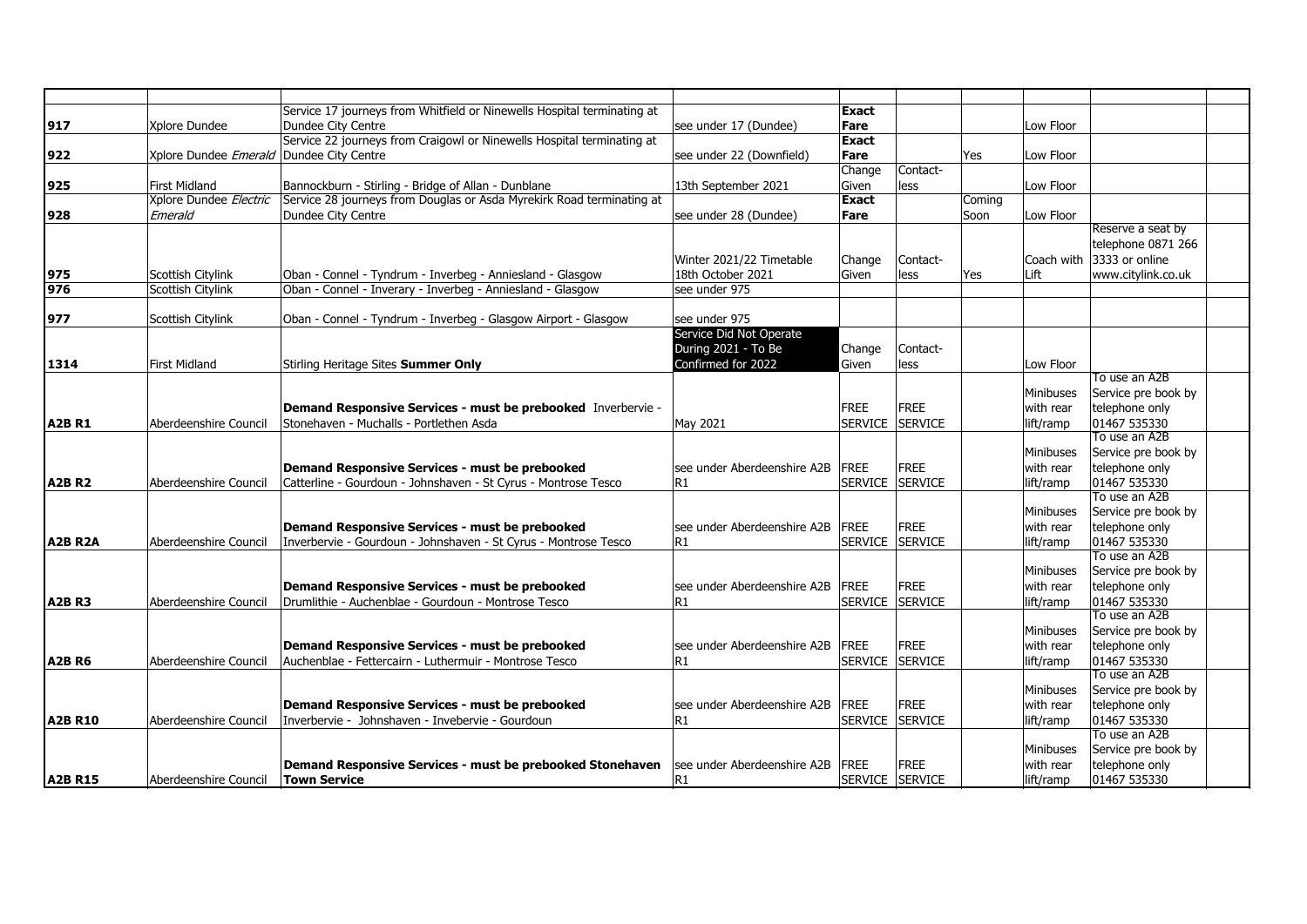|                |                                                 | Service 17 journeys from Whitfield or Ninewells Hospital terminating at |                              | Exact          |                 |        |           |                               |  |
|----------------|-------------------------------------------------|-------------------------------------------------------------------------|------------------------------|----------------|-----------------|--------|-----------|-------------------------------|--|
| 917            | Xplore Dundee                                   | Dundee City Centre                                                      | see under 17 (Dundee)        | Fare           |                 |        | Low Floor |                               |  |
|                |                                                 | Service 22 journeys from Craigowl or Ninewells Hospital terminating at  |                              | <b>Exact</b>   |                 |        |           |                               |  |
| 922            | Xplore Dundee <i>Emerald</i> Dundee City Centre |                                                                         | see under 22 (Downfield)     | Fare           |                 | Yes    | Low Floor |                               |  |
|                |                                                 |                                                                         |                              | Change         | Contact-        |        |           |                               |  |
| 925            | <b>First Midland</b>                            | Bannockburn - Stirling - Bridge of Allan - Dunblane                     | 13th September 2021          | Given          | less            |        | Low Floor |                               |  |
|                | Xplore Dundee Electric                          | Service 28 journeys from Douglas or Asda Myrekirk Road terminating at   |                              | Exact          |                 | Coming |           |                               |  |
| 928            | Emerald                                         | Dundee City Centre                                                      | see under 28 (Dundee)        | Fare           |                 | Soon   | Low Floor |                               |  |
|                |                                                 |                                                                         |                              |                |                 |        |           | Reserve a seat by             |  |
|                |                                                 |                                                                         |                              |                |                 |        |           | telephone 0871 266            |  |
|                |                                                 |                                                                         | Winter 2021/22 Timetable     | Change         | Contact-        |        |           | Coach with 3333 or online     |  |
| 975            | Scottish Citylink                               | Oban - Connel - Tyndrum - Inverbeg - Anniesland - Glasgow               | 18th October 2021            | Given          | less            | Yes    | Lift      | www.citylink.co.uk            |  |
| 976            | Scottish Citylink                               | Oban - Connel - Inverary - Inverbeg - Anniesland - Glasgow              | see under 975                |                |                 |        |           |                               |  |
|                |                                                 |                                                                         |                              |                |                 |        |           |                               |  |
| 977            | Scottish Citylink                               | Oban - Connel - Tyndrum - Inverbeg - Glasgow Airport - Glasgow          | see under 975                |                |                 |        |           |                               |  |
|                |                                                 |                                                                         | Service Did Not Operate      |                |                 |        |           |                               |  |
|                |                                                 |                                                                         | During 2021 - To Be          | Change         | Contact-        |        |           |                               |  |
| 1314           | First Midland                                   | Stirling Heritage Sites Summer Only                                     | Confirmed for 2022           | Given          | less            |        | Low Floor |                               |  |
|                |                                                 |                                                                         |                              |                |                 |        |           | To use an A2B                 |  |
|                |                                                 |                                                                         |                              |                |                 |        | Minibuses | Service pre book by           |  |
|                |                                                 | Demand Responsive Services - must be prebooked Inverbervie -            |                              | <b>FREE</b>    | FREE            |        | with rear | telephone only                |  |
| <b>A2BR1</b>   | Aberdeenshire Council                           | Stonehaven - Muchalls - Portlethen Asda                                 | May 2021                     |                | SERVICE SERVICE |        | lift/ramp | 01467 535330                  |  |
|                |                                                 |                                                                         |                              |                |                 |        |           | To use an A2B                 |  |
|                |                                                 |                                                                         |                              |                |                 |        | Minibuses | Service pre book by           |  |
|                |                                                 | Demand Responsive Services - must be prebooked                          | lsee under Aberdeenshire A2B | FREE           | FREE            |        | with rear | telephone only                |  |
| <b>A2B R2</b>  | Aberdeenshire Council                           | Catterline - Gourdoun - Johnshaven - St Cyrus - Montrose Tesco          | R1                           | <b>SERVICE</b> | SERVICE         |        | lift/ramp | 01467 535330                  |  |
|                |                                                 |                                                                         |                              |                |                 |        |           | To use an A2B                 |  |
|                |                                                 |                                                                         |                              |                |                 |        | Minibuses | Service pre book by           |  |
|                |                                                 | Demand Responsive Services - must be prebooked                          | see under Aberdeenshire A2B  | FREE           | FREE            |        | with rear | telephone only                |  |
| A2B R2A        | Aberdeenshire Council                           | Inverbervie - Gourdoun - Johnshaven - St Cyrus - Montrose Tesco         | lR1                          | <b>SERVICE</b> | <b>SERVICE</b>  |        | lift/ramp | 01467 535330                  |  |
|                |                                                 |                                                                         |                              |                |                 |        |           | To use an A2B                 |  |
|                |                                                 |                                                                         |                              |                |                 |        | Minibuses | Service pre book by           |  |
|                |                                                 | Demand Responsive Services - must be prebooked                          | see under Aberdeenshire A2B  | FREE           | FREE            |        | with rear | telephone only                |  |
| A2BR3          | Aberdeenshire Council                           | Drumlithie - Auchenblae - Gourdoun - Montrose Tesco                     | R1                           | <b>SERVICE</b> | SERVICE         |        | lift/ramp | 01467 535330<br>To use an A2B |  |
|                |                                                 |                                                                         |                              |                |                 |        |           |                               |  |
|                |                                                 |                                                                         |                              |                |                 |        | Minibuses | Service pre book by           |  |
|                |                                                 | Demand Responsive Services - must be prebooked                          | lsee under Aberdeenshire A2B | <b>FREE</b>    | FREE            |        | with rear | telephone only                |  |
| <b>A2B R6</b>  | Aberdeenshire Council                           | Auchenblae - Fettercairn - Luthermuir - Montrose Tesco                  | R1                           |                | SERVICE SERVICE |        | lift/ramp | 01467 535330<br>To use an A2B |  |
|                |                                                 |                                                                         |                              |                |                 |        | Minibuses | Service pre book by           |  |
|                |                                                 | Demand Responsive Services - must be prebooked                          | see under Aberdeenshire A2B  | <b>FREE</b>    | FREE            |        | with rear | telephone only                |  |
| <b>A2B R10</b> |                                                 | Inverbervie - Johnshaven - Invebervie - Gourdoun                        | R1                           | <b>SERVICE</b> | <b>SERVICE</b>  |        |           | 01467 535330                  |  |
|                | Aberdeenshire Council                           |                                                                         |                              |                |                 |        | lift/ramp | To use an A2B                 |  |
|                |                                                 |                                                                         |                              |                |                 |        | Minibuses | Service pre book by           |  |
|                |                                                 | Demand Responsive Services - must be prebooked Stonehaven               | lsee under Aberdeenshire A2B | <b>FREE</b>    | FREE            |        | with rear | telephone only                |  |
| <b>A2B R15</b> | Aberdeenshire Council                           | <b>Town Service</b>                                                     | lR1                          |                | SERVICE SERVICE |        | lift/ramp | 01467 535330                  |  |
|                |                                                 |                                                                         |                              |                |                 |        |           |                               |  |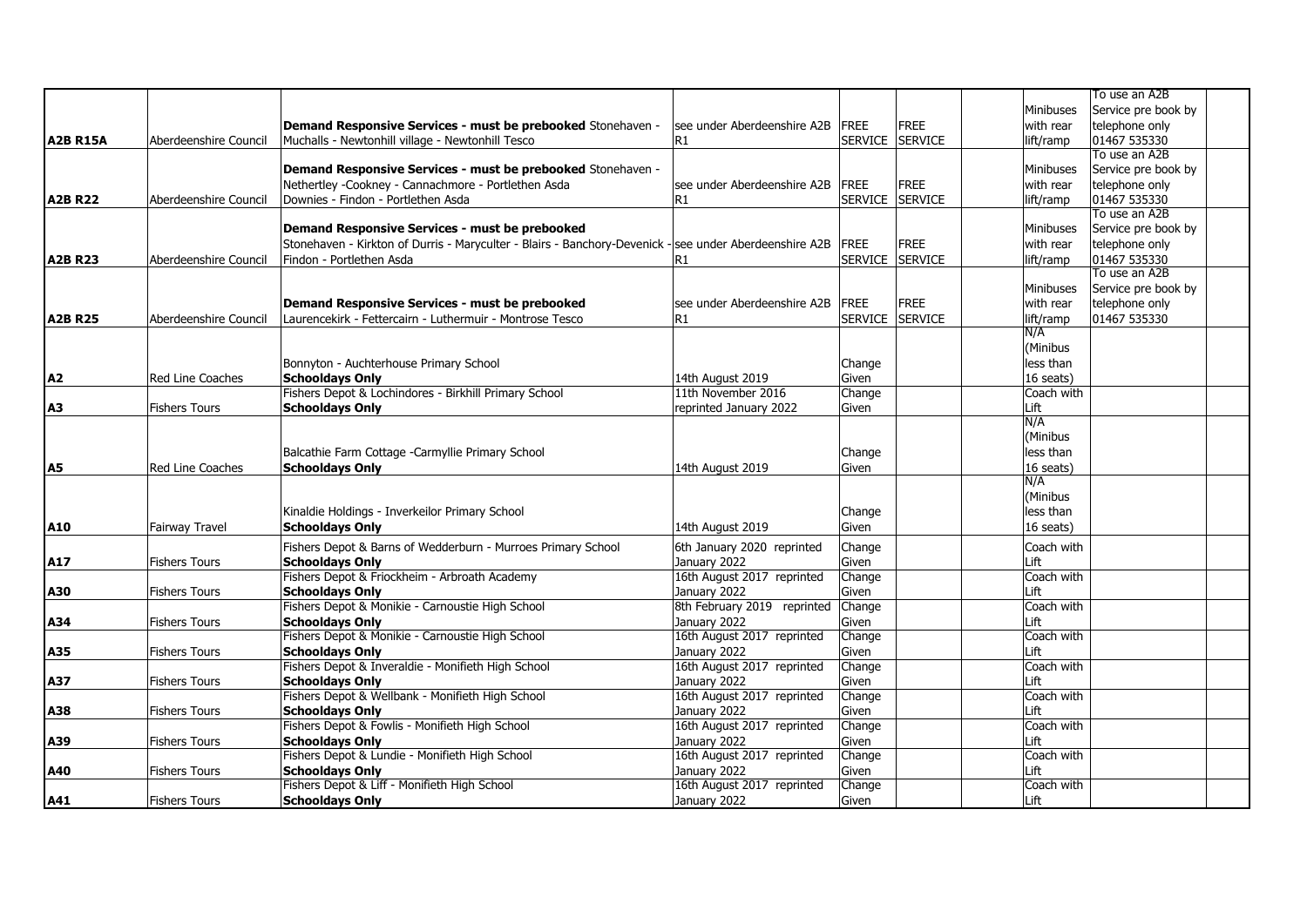|                 |                       |                                                                                                        |                             |                |                |                  | To use an A2B       |  |
|-----------------|-----------------------|--------------------------------------------------------------------------------------------------------|-----------------------------|----------------|----------------|------------------|---------------------|--|
|                 |                       |                                                                                                        |                             |                |                | <b>Minibuses</b> | Service pre book by |  |
|                 |                       | Demand Responsive Services - must be prebooked Stonehaven -                                            | see under Aberdeenshire A2B | <b>FREE</b>    | <b>FREE</b>    | with rear        | telephone only      |  |
| <b>A2B R15A</b> | Aberdeenshire Council | Muchalls - Newtonhill village - Newtonhill Tesco                                                       | R1                          | <b>SERVICE</b> | <b>SERVICE</b> | lift/ramp        | 01467 535330        |  |
|                 |                       |                                                                                                        |                             |                |                |                  | To use an A2B       |  |
|                 |                       | Demand Responsive Services - must be prebooked Stonehaven -                                            |                             |                |                | Minibuses        | Service pre book by |  |
|                 |                       | Nethertley -Cookney - Cannachmore - Portlethen Asda                                                    | see under Aberdeenshire A2B | FREE           | <b>FREE</b>    | with rear        | telephone only      |  |
| <b>A2B R22</b>  | Aberdeenshire Council | Downies - Findon - Portlethen Asda                                                                     | IR1                         | <b>SERVICE</b> | <b>SERVICE</b> | lift/ramp        | 01467 535330        |  |
|                 |                       |                                                                                                        |                             |                |                |                  | To use an A2B       |  |
|                 |                       | Demand Responsive Services - must be prebooked                                                         |                             |                |                | Minibuses        | Service pre book by |  |
|                 |                       | Stonehaven - Kirkton of Durris - Maryculter - Blairs - Banchory-Devenick - see under Aberdeenshire A2B |                             | <b>FREE</b>    | <b>FREE</b>    | with rear        | telephone only      |  |
| <b>A2B R23</b>  | Aberdeenshire Council | Findon - Portlethen Asda                                                                               | R1                          | <b>SERVICE</b> | <b>SERVICE</b> | lift/ramp        | 01467 535330        |  |
|                 |                       |                                                                                                        |                             |                |                |                  | To use an A2B       |  |
|                 |                       |                                                                                                        |                             |                |                | Minibuses        | Service pre book by |  |
|                 |                       | Demand Responsive Services - must be prebooked                                                         | see under Aberdeenshire A2B | <b>FREE</b>    | <b>FREE</b>    | with rear        | telephone only      |  |
| <b>A2B R25</b>  | Aberdeenshire Council | Laurencekirk - Fettercairn - Luthermuir - Montrose Tesco                                               | R1                          | <b>SERVICE</b> | SERVICE        | lift/ramp        | 01467 535330        |  |
|                 |                       |                                                                                                        |                             |                |                | N/A              |                     |  |
|                 |                       |                                                                                                        |                             |                |                | (Minibus         |                     |  |
|                 |                       | Bonnyton - Auchterhouse Primary School                                                                 |                             | Change         |                | less than        |                     |  |
| A2              | Red Line Coaches      | <b>Schooldays Only</b>                                                                                 | 14th August 2019            | Given          |                | 16 seats)        |                     |  |
|                 |                       | Fishers Depot & Lochindores - Birkhill Primary School                                                  | 11th November 2016          | Change         |                | Coach with       |                     |  |
| A <sub>3</sub>  | <b>Fishers Tours</b>  | <b>Schooldays Only</b>                                                                                 | reprinted January 2022      | Given          |                | Lift             |                     |  |
|                 |                       |                                                                                                        |                             |                |                | N/A              |                     |  |
|                 |                       |                                                                                                        |                             |                |                | (Minibus         |                     |  |
|                 |                       | Balcathie Farm Cottage -Carmyllie Primary School                                                       |                             | Change         |                | less than        |                     |  |
| A <sub>5</sub>  | Red Line Coaches      | <b>Schooldays Only</b>                                                                                 | 14th August 2019            | Given          |                | 16 seats)        |                     |  |
|                 |                       |                                                                                                        |                             |                |                | N/A              |                     |  |
|                 |                       |                                                                                                        |                             |                |                | (Minibus         |                     |  |
|                 |                       | Kinaldie Holdings - Inverkeilor Primary School                                                         |                             | Change         |                | less than        |                     |  |
| A10             | Fairway Travel        | <b>Schooldays Only</b>                                                                                 | 14th August 2019            | Given          |                | 16 seats)        |                     |  |
|                 |                       | Fishers Depot & Barns of Wedderburn - Murroes Primary School                                           | 6th January 2020 reprinted  | Change         |                | Coach with       |                     |  |
| A17             | <b>Fishers Tours</b>  | <b>Schooldays Only</b>                                                                                 | January 2022                | Given          |                | Lift             |                     |  |
|                 |                       | Fishers Depot & Friockheim - Arbroath Academy                                                          | 16th August 2017 reprinted  | Change         |                | Coach with       |                     |  |
| A30             | <b>Fishers Tours</b>  | <b>Schooldays Only</b>                                                                                 | January 2022                | Given          |                | Lift             |                     |  |
|                 |                       | Fishers Depot & Monikie - Carnoustie High School                                                       | 8th February 2019 reprinted | Change         |                | Coach with       |                     |  |
| A34             | <b>Fishers Tours</b>  | <b>Schooldays Only</b>                                                                                 | January 2022                | Given          |                | Lift             |                     |  |
|                 |                       | Fishers Depot & Monikie - Carnoustie High School                                                       | 16th August 2017 reprinted  | Change         |                | Coach with       |                     |  |
| A35             | <b>Fishers Tours</b>  | <b>Schooldays Only</b>                                                                                 | January 2022                | Given          |                | Lift             |                     |  |
|                 |                       | Fishers Depot & Inveraldie - Monifieth High School                                                     | 16th August 2017 reprinted  | Change         |                | Coach with       |                     |  |
| A37             | <b>Fishers Tours</b>  | <b>Schooldays Only</b>                                                                                 | January 2022                | Given          |                | Lift             |                     |  |
|                 |                       | Fishers Depot & Wellbank - Monifieth High School                                                       | 16th August 2017 reprinted  | Change         |                | Coach with       |                     |  |
| A38             | <b>Fishers Tours</b>  | <b>Schooldays Only</b>                                                                                 | January 2022                | Given          |                | Lift             |                     |  |
|                 |                       | Fishers Depot & Fowlis - Monifieth High School                                                         | 16th August 2017 reprinted  | Change         |                | Coach with       |                     |  |
| A39             | <b>Fishers Tours</b>  | <b>Schooldays Only</b>                                                                                 | January 2022                | Given          |                | Lift             |                     |  |
|                 |                       | Fishers Depot & Lundie - Monifieth High School                                                         | 16th August 2017 reprinted  | Change         |                | Coach with       |                     |  |
| A40             | <b>Fishers Tours</b>  | <b>Schooldays Only</b>                                                                                 | January 2022                | Given          |                | Lift             |                     |  |
|                 |                       | Fishers Depot & Liff - Monifieth High School                                                           | 16th August 2017 reprinted  | Change         |                | Coach with       |                     |  |
| <b>A41</b>      | <b>Fishers Tours</b>  | <b>Schooldays Only</b>                                                                                 | January 2022                | Given          |                | Lift             |                     |  |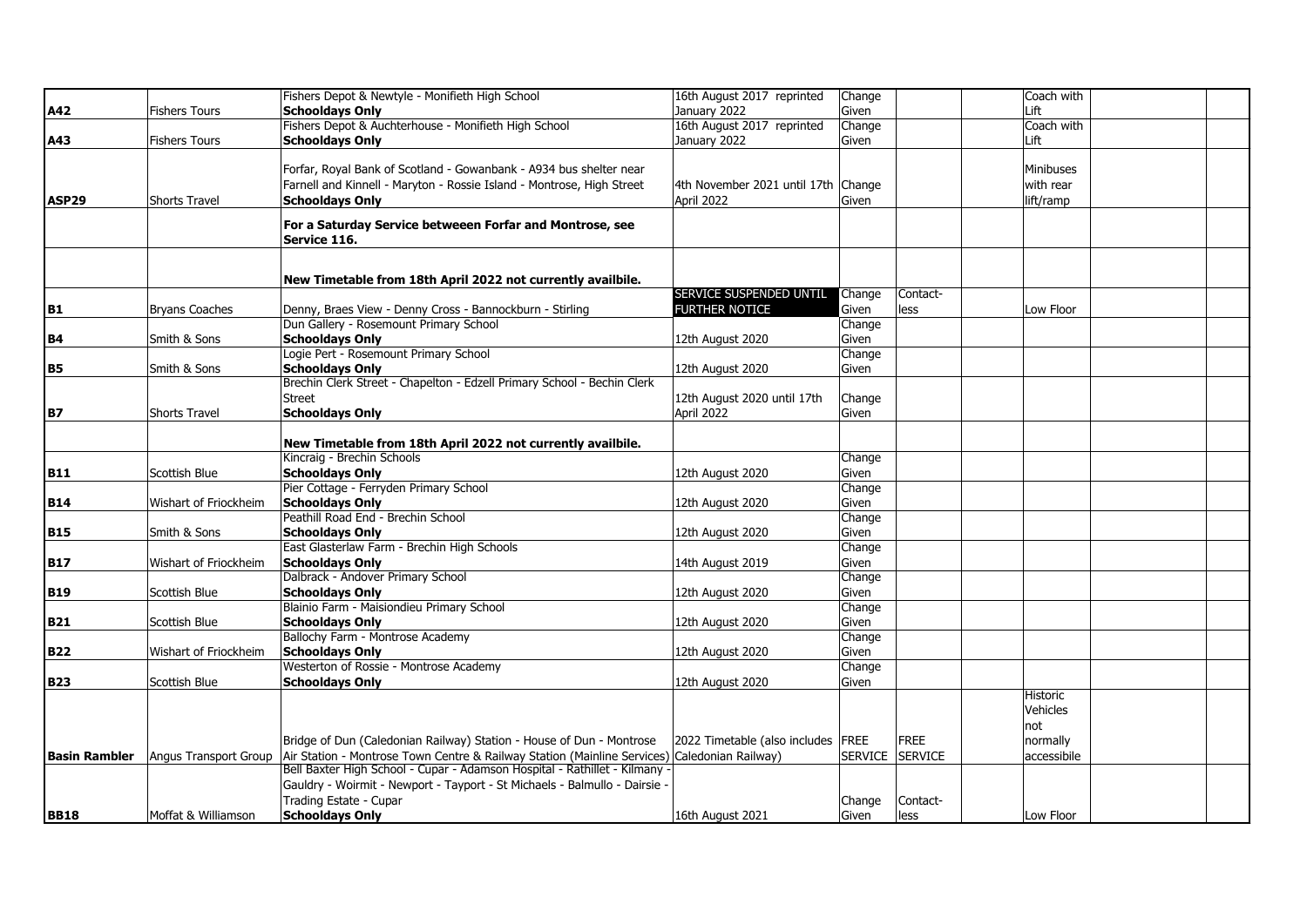|                      |                       | Fishers Depot & Newtyle - Monifieth High School                                              | 16th August 2017 reprinted           | Change          |             | Coach with  |  |
|----------------------|-----------------------|----------------------------------------------------------------------------------------------|--------------------------------------|-----------------|-------------|-------------|--|
| A42                  | <b>Fishers Tours</b>  | <b>Schooldays Only</b>                                                                       | January 2022                         | Given           |             | Lift        |  |
|                      |                       | Fishers Depot & Auchterhouse - Monifieth High School                                         | 16th August 2017 reprinted           | Change          |             | Coach with  |  |
| A43                  | <b>Fishers Tours</b>  | <b>Schooldays Only</b>                                                                       | January 2022                         | Given           |             | Lift        |  |
|                      |                       |                                                                                              |                                      |                 |             |             |  |
|                      |                       | Forfar, Royal Bank of Scotland - Gowanbank - A934 bus shelter near                           |                                      |                 |             | Minibuses   |  |
|                      |                       | Farnell and Kinnell - Maryton - Rossie Island - Montrose, High Street                        | 4th November 2021 until 17th Change  |                 |             | with rear   |  |
| ASP29                | <b>Shorts Travel</b>  | <b>Schooldays Only</b>                                                                       | April 2022                           | Given           |             | lift/ramp   |  |
|                      |                       |                                                                                              |                                      |                 |             |             |  |
|                      |                       | For a Saturday Service betweeen Forfar and Montrose, see                                     |                                      |                 |             |             |  |
|                      |                       | Service 116.                                                                                 |                                      |                 |             |             |  |
|                      |                       |                                                                                              |                                      |                 |             |             |  |
|                      |                       | New Timetable from 18th April 2022 not currently availbile.                                  |                                      |                 |             |             |  |
|                      |                       |                                                                                              | SERVICE SUSPENDED UNTIL Change       |                 | Contact-    |             |  |
| B1                   | <b>Bryans Coaches</b> | Denny, Braes View - Denny Cross - Bannockburn - Stirling                                     | FURTHER NOTICE                       | Given           | less        | Low Floor   |  |
|                      |                       | Dun Gallery - Rosemount Primary School                                                       |                                      | Change          |             |             |  |
| <b>B4</b>            | Smith & Sons          | <b>Schooldays Only</b>                                                                       | 12th August 2020                     | Given           |             |             |  |
|                      |                       | Logie Pert - Rosemount Primary School                                                        |                                      | Change          |             |             |  |
| B <sub>5</sub>       | Smith & Sons          | <b>Schooldays Only</b>                                                                       | 12th August 2020                     | Given           |             |             |  |
|                      |                       | Brechin Clerk Street - Chapelton - Edzell Primary School - Bechin Clerk                      |                                      |                 |             |             |  |
|                      |                       | Street                                                                                       | 12th August 2020 until 17th          | Change          |             |             |  |
| <b>B7</b>            | <b>Shorts Travel</b>  | <b>Schooldays Only</b>                                                                       | April 2022                           | Given           |             |             |  |
|                      |                       |                                                                                              |                                      |                 |             |             |  |
|                      |                       | New Timetable from 18th April 2022 not currently availbile.                                  |                                      |                 |             |             |  |
|                      |                       | Kincraig - Brechin Schools                                                                   |                                      | Change          |             |             |  |
| <b>B11</b>           | Scottish Blue         | <b>Schooldays Only</b>                                                                       | 12th August 2020                     | Given           |             |             |  |
|                      |                       | Pier Cottage - Ferryden Primary School                                                       |                                      | Change          |             |             |  |
| <b>B14</b>           | Wishart of Friockheim | <b>Schooldays Only</b>                                                                       | 12th August 2020                     | Given           |             |             |  |
|                      |                       | Peathill Road End - Brechin School                                                           |                                      | Change          |             |             |  |
| <b>B15</b>           | Smith & Sons          | <b>Schooldays Only</b>                                                                       | 12th August 2020                     | Given           |             |             |  |
|                      |                       | East Glasterlaw Farm - Brechin High Schools                                                  |                                      | Change          |             |             |  |
| <b>B17</b>           | Wishart of Friockheim | <b>Schooldays Only</b>                                                                       | 14th August 2019                     | Given           |             |             |  |
|                      |                       | Dalbrack - Andover Primary School                                                            |                                      | Change          |             |             |  |
| <b>B19</b>           | Scottish Blue         | <b>Schooldays Only</b>                                                                       | 12th August 2020                     | Given           |             |             |  |
|                      |                       | Blainio Farm - Maisiondieu Primary School                                                    |                                      | Change          |             |             |  |
| <b>B21</b>           | Scottish Blue         | <b>Schooldays Only</b>                                                                       | 12th August 2020                     | Given           |             |             |  |
|                      |                       | Ballochy Farm - Montrose Academy                                                             |                                      | Change          |             |             |  |
| <b>B22</b>           | Wishart of Friockheim | <b>Schooldays Only</b>                                                                       | 12th August 2020                     | Given           |             |             |  |
|                      |                       | Westerton of Rossie - Montrose Academy                                                       |                                      | Change          |             |             |  |
| <b>B23</b>           | Scottish Blue         | <b>Schooldays Only</b>                                                                       | 12th August 2020                     | Given           |             |             |  |
|                      |                       |                                                                                              |                                      |                 |             | Historic    |  |
|                      |                       |                                                                                              |                                      |                 |             | Vehicles    |  |
|                      |                       |                                                                                              |                                      |                 |             | not         |  |
|                      |                       | Bridge of Dun (Caledonian Railway) Station - House of Dun - Montrose                         | 2022 Timetable (also includes   FREE |                 | <b>FREE</b> | normally    |  |
| <b>Basin Rambler</b> | Angus Transport Group | Air Station - Montrose Town Centre & Railway Station (Mainline Services) Caledonian Railway) |                                      | SERVICE SERVICE |             | accessibile |  |
|                      |                       | Bell Baxter High School - Cupar - Adamson Hospital - Rathillet - Kilmany -                   |                                      |                 |             |             |  |
|                      |                       | Gauldry - Woirmit - Newport - Tayport - St Michaels - Balmullo - Dairsie -                   |                                      |                 |             |             |  |
|                      |                       | Trading Estate - Cupar                                                                       |                                      | Change          | Contact-    |             |  |
| <b>BB18</b>          | Moffat & Williamson   | <b>Schooldays Only</b>                                                                       | 16th August 2021                     | Given           | less        | Low Floor   |  |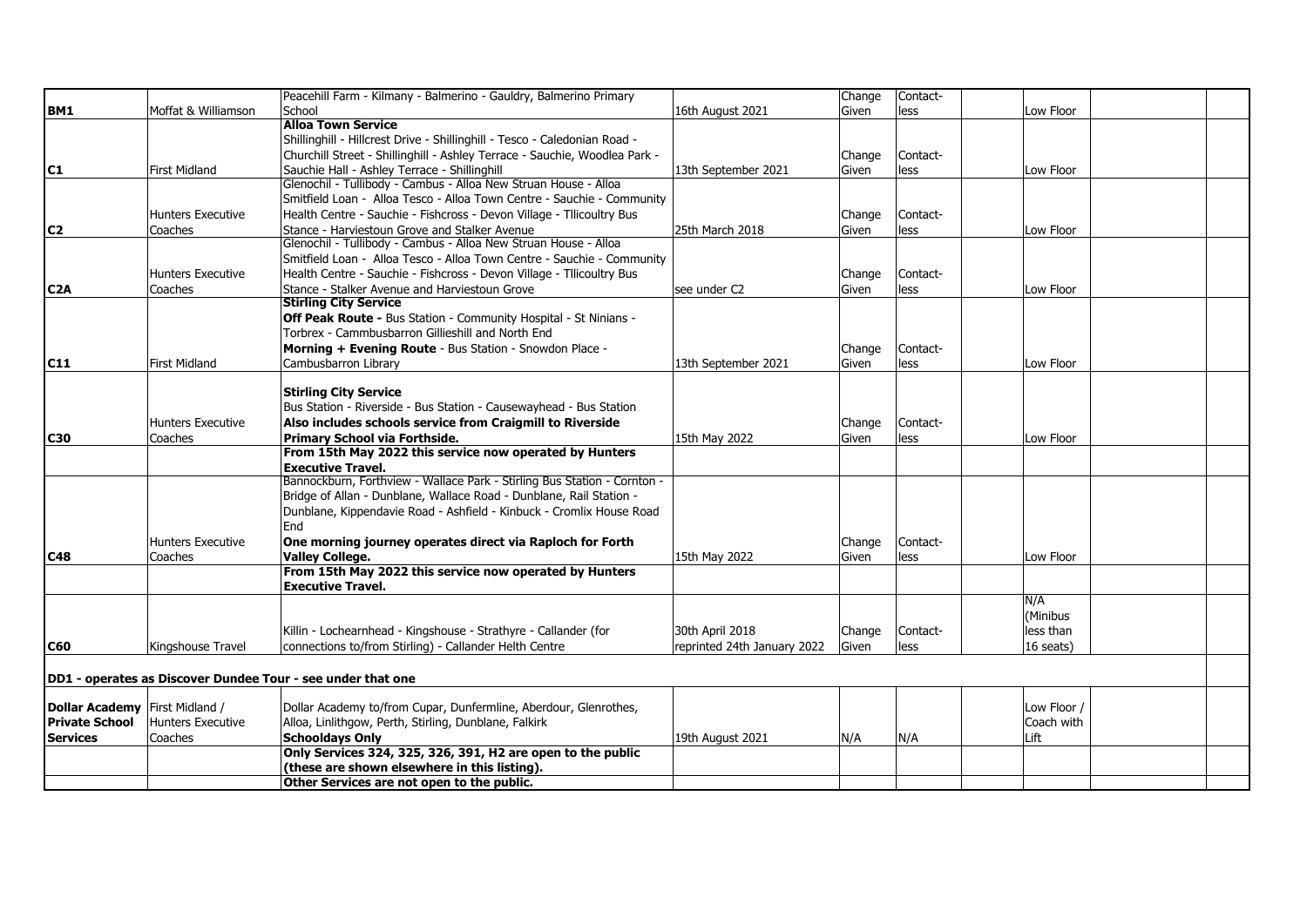|                                |                      | Peacehill Farm - Kilmany - Balmerino - Gauldry, Balmerino Primary          |                             | Change       | Contact- |             |  |
|--------------------------------|----------------------|----------------------------------------------------------------------------|-----------------------------|--------------|----------|-------------|--|
| BM1                            | Moffat & Williamson  | School                                                                     | 16th August 2021            | Given        | less     | Low Floor   |  |
|                                |                      | <b>Alloa Town Service</b>                                                  |                             |              |          |             |  |
|                                |                      | Shillinghill - Hillcrest Drive - Shillinghill - Tesco - Caledonian Road -  |                             |              |          |             |  |
|                                |                      | Churchill Street - Shillinghill - Ashley Terrace - Sauchie, Woodlea Park - |                             | Change       | Contact- |             |  |
| C <sub>1</sub>                 | <b>First Midland</b> | Sauchie Hall - Ashley Terrace - Shillinghill                               | 13th September 2021         | Given        | less     | Low Floor   |  |
|                                |                      | Glenochil - Tullibody - Cambus - Alloa New Struan House - Alloa            |                             |              |          |             |  |
|                                |                      | Smitfield Loan - Alloa Tesco - Alloa Town Centre - Sauchie - Community     |                             |              |          |             |  |
|                                | Hunters Executive    | Health Centre - Sauchie - Fishcross - Devon Village - Tllicoultry Bus      |                             | Change       | Contact- |             |  |
| C <sub>2</sub>                 | Coaches              | Stance - Harviestoun Grove and Stalker Avenue                              | 25th March 2018             | Given        | less     | Low Floor   |  |
|                                |                      | Glenochil - Tullibody - Cambus - Alloa New Struan House - Alloa            |                             |              |          |             |  |
|                                |                      | Smitfield Loan - Alloa Tesco - Alloa Town Centre - Sauchie - Community     |                             |              |          |             |  |
|                                | Hunters Executive    | Health Centre - Sauchie - Fishcross - Devon Village - Tllicoultry Bus      |                             | Change       | Contact- |             |  |
| C <sub>2</sub> A               | Coaches              | Stance - Stalker Avenue and Harviestoun Grove                              | see under C <sub>2</sub>    | Given        | less     | Low Floor   |  |
|                                |                      | <b>Stirling City Service</b>                                               |                             |              |          |             |  |
|                                |                      | Off Peak Route - Bus Station - Community Hospital - St Ninians -           |                             |              |          |             |  |
|                                |                      | Torbrex - Cammbusbarron Gillieshill and North End                          |                             |              |          |             |  |
|                                |                      | Morning + Evening Route - Bus Station - Snowdon Place -                    |                             | Change       | Contact- |             |  |
| C <sub>11</sub>                | First Midland        | Cambusbarron Library                                                       | 13th September 2021         | Given        | less     | Low Floor   |  |
|                                |                      |                                                                            |                             |              |          |             |  |
|                                |                      | <b>Stirling City Service</b>                                               |                             |              |          |             |  |
|                                |                      | Bus Station - Riverside - Bus Station - Causewayhead - Bus Station         |                             |              |          |             |  |
|                                | Hunters Executive    | Also includes schools service from Craigmill to Riverside                  |                             | Change       | Contact- |             |  |
| <b>C30</b>                     | Coaches              | Primary School via Forthside.                                              | 15th May 2022               | Given        | less     | Low Floor   |  |
|                                |                      | From 15th May 2022 this service now operated by Hunters                    |                             |              |          |             |  |
|                                |                      | <b>Executive Travel.</b>                                                   |                             |              |          |             |  |
|                                |                      | Bannockburn, Forthview - Wallace Park - Stirling Bus Station - Cornton -   |                             |              |          |             |  |
|                                |                      | Bridge of Allan - Dunblane, Wallace Road - Dunblane, Rail Station -        |                             |              |          |             |  |
|                                |                      | Dunblane, Kippendavie Road - Ashfield - Kinbuck - Cromlix House Road       |                             |              |          |             |  |
|                                |                      | End                                                                        |                             |              |          |             |  |
|                                | Hunters Executive    | One morning journey operates direct via Raploch for Forth                  |                             | Change       | Contact- |             |  |
| <b>C48</b>                     | Coaches              | <b>Valley College.</b>                                                     | 15th May 2022               | Given        | less     | Low Floor   |  |
|                                |                      | From 15th May 2022 this service now operated by Hunters                    |                             |              |          |             |  |
|                                |                      | <b>Executive Travel.</b>                                                   |                             |              |          | N/A         |  |
|                                |                      |                                                                            |                             |              |          | (Minibus    |  |
|                                |                      | Killin - Lochearnhead - Kingshouse - Strathyre - Callander (for            | 30th April 2018             | Change       | Contact- | less than   |  |
| <b>C60</b>                     | Kingshouse Travel    | connections to/from Stirling) - Callander Helth Centre                     | reprinted 24th January 2022 | <b>Given</b> | less     | 16 seats)   |  |
|                                |                      |                                                                            |                             |              |          |             |  |
|                                |                      |                                                                            |                             |              |          |             |  |
|                                |                      | DD1 - operates as Discover Dundee Tour - see under that one                |                             |              |          |             |  |
| Dollar Academy First Midland / |                      | Dollar Academy to/from Cupar, Dunfermline, Aberdour, Glenrothes,           |                             |              |          | Low Floor / |  |
| <b>Private School</b>          | Hunters Executive    | Alloa, Linlithgow, Perth, Stirling, Dunblane, Falkirk                      |                             |              |          | Coach with  |  |
| <b>Services</b>                | Coaches              | <b>Schooldays Only</b>                                                     | 19th August 2021            | N/A          | N/A      | Lift        |  |
|                                |                      | Only Services 324, 325, 326, 391, H2 are open to the public                |                             |              |          |             |  |
|                                |                      | (these are shown elsewhere in this listing).                               |                             |              |          |             |  |
|                                |                      | Other Services are not open to the public.                                 |                             |              |          |             |  |
|                                |                      |                                                                            |                             |              |          |             |  |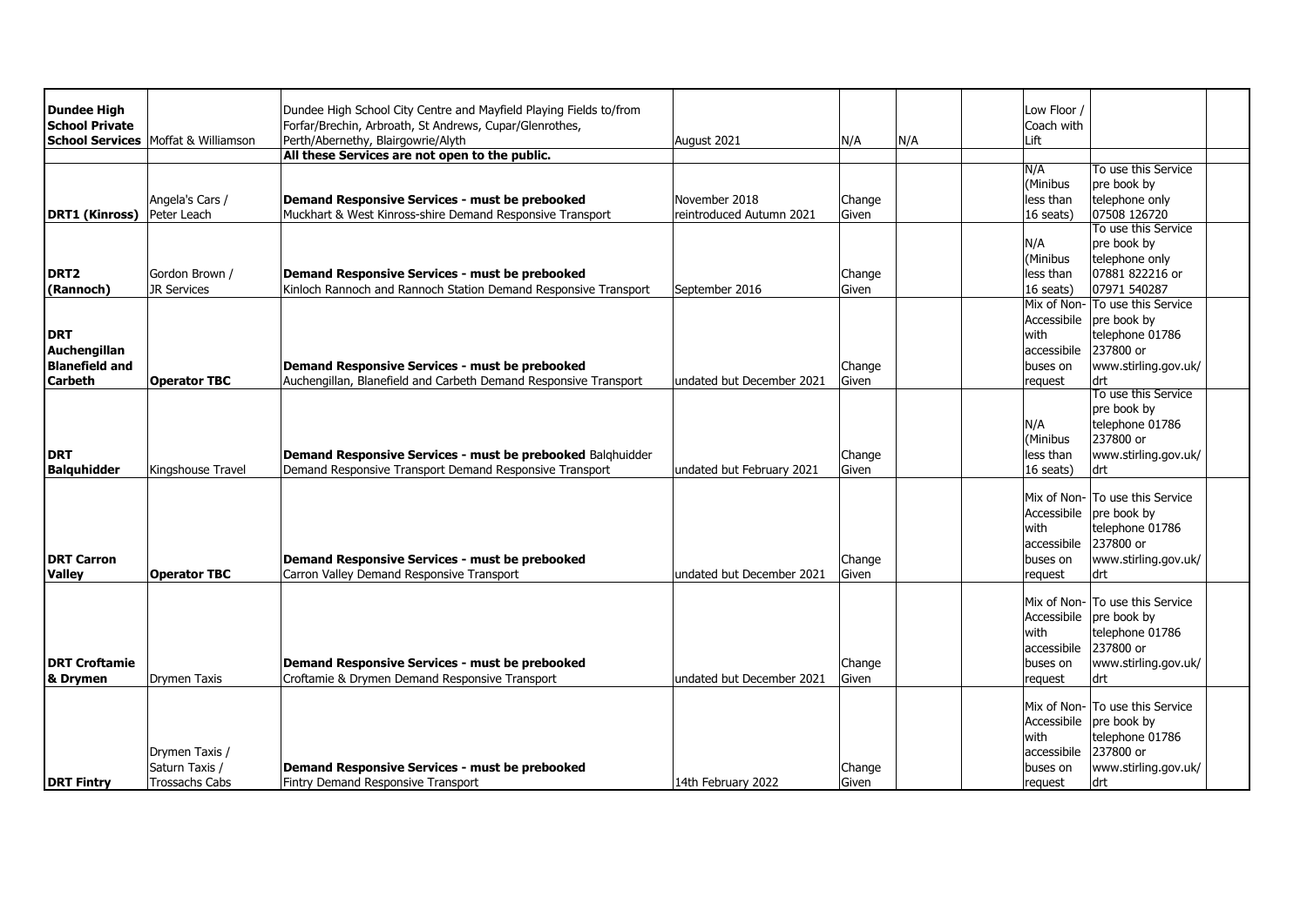| <b>Dundee High</b>    |                                            | Dundee High School City Centre and Mayfield Playing Fields to/from |                           |        |     | Low Floor / |                                 |  |
|-----------------------|--------------------------------------------|--------------------------------------------------------------------|---------------------------|--------|-----|-------------|---------------------------------|--|
|                       |                                            |                                                                    |                           |        |     |             |                                 |  |
| <b>School Private</b> |                                            | Forfar/Brechin, Arbroath, St Andrews, Cupar/Glenrothes,            |                           |        |     | Coach with  |                                 |  |
|                       | <b>School Services</b> Moffat & Williamson | Perth/Abernethy, Blairgowrie/Alyth                                 | August 2021               | N/A    | N/A | Lift        |                                 |  |
|                       |                                            | All these Services are not open to the public.                     |                           |        |     |             |                                 |  |
|                       |                                            |                                                                    |                           |        |     | N/A         | To use this Service             |  |
|                       |                                            |                                                                    |                           |        |     | (Minibus    | pre book by                     |  |
|                       | Angela's Cars /                            | Demand Responsive Services - must be prebooked                     | November 2018             | Change |     | less than   | telephone only                  |  |
| <b>DRT1 (Kinross)</b> | Peter Leach                                | Muckhart & West Kinross-shire Demand Responsive Transport          | reintroduced Autumn 2021  | Given  |     | 16 seats)   | 07508 126720                    |  |
|                       |                                            |                                                                    |                           |        |     |             | To use this Service             |  |
|                       |                                            |                                                                    |                           |        |     | N/A         | pre book by                     |  |
|                       |                                            |                                                                    |                           |        |     | (Minibus    | telephone only                  |  |
| DRT <sub>2</sub>      | Gordon Brown /                             | Demand Responsive Services - must be prebooked                     |                           | Change |     | less than   | 07881 822216 or                 |  |
| (Rannoch)             | <b>JR Services</b>                         | Kinloch Rannoch and Rannoch Station Demand Responsive Transport    | September 2016            | Given  |     | 16 seats)   | 07971 540287                    |  |
|                       |                                            |                                                                    |                           |        |     |             | Mix of Non- To use this Service |  |
|                       |                                            |                                                                    |                           |        |     | Accessibile | pre book by                     |  |
| <b>DRT</b>            |                                            |                                                                    |                           |        |     | with        | telephone 01786                 |  |
| Auchengillan          |                                            |                                                                    |                           |        |     | accessibile | 237800 or                       |  |
| <b>Blanefield and</b> |                                            | Demand Responsive Services - must be prebooked                     |                           | Change |     | buses on    | www.stirling.gov.uk/            |  |
| <b>Carbeth</b>        | <b>Operator TBC</b>                        | Auchengillan, Blanefield and Carbeth Demand Responsive Transport   | undated but December 2021 | Given  |     | request     | ldrt                            |  |
|                       |                                            |                                                                    |                           |        |     |             | To use this Service             |  |
|                       |                                            |                                                                    |                           |        |     |             | pre book by                     |  |
|                       |                                            |                                                                    |                           |        |     | N/A         | telephone 01786                 |  |
|                       |                                            |                                                                    |                           |        |     | (Minibus    | 237800 or                       |  |
|                       |                                            |                                                                    |                           |        |     |             |                                 |  |
| <b>DRT</b>            |                                            | Demand Responsive Services - must be prebooked Balghuidder         |                           | Change |     | less than   | www.stirling.gov.uk/            |  |
| <b>Balguhidder</b>    | Kingshouse Travel                          | Demand Responsive Transport Demand Responsive Transport            | undated but February 2021 | Given  |     | 16 seats)   | drt                             |  |
|                       |                                            |                                                                    |                           |        |     |             | Mix of Non- To use this Service |  |
|                       |                                            |                                                                    |                           |        |     | Accessibile |                                 |  |
|                       |                                            |                                                                    |                           |        |     |             | pre book by                     |  |
|                       |                                            |                                                                    |                           |        |     | with        | telephone 01786                 |  |
|                       |                                            |                                                                    |                           |        |     | accessibile | 237800 or                       |  |
| <b>DRT Carron</b>     |                                            | Demand Responsive Services - must be prebooked                     |                           | Change |     | buses on    | www.stirling.gov.uk/            |  |
| <b>Valley</b>         | <b>Operator TBC</b>                        | Carron Valley Demand Responsive Transport                          | undated but December 2021 | Given  |     | request     | drt                             |  |
|                       |                                            |                                                                    |                           |        |     |             |                                 |  |
|                       |                                            |                                                                    |                           |        |     |             | Mix of Non- To use this Service |  |
|                       |                                            |                                                                    |                           |        |     |             | Accessibile pre book by         |  |
|                       |                                            |                                                                    |                           |        |     | with        | telephone 01786                 |  |
|                       |                                            |                                                                    |                           |        |     | accessibile | 237800 or                       |  |
| <b>DRT Croftamie</b>  |                                            | Demand Responsive Services - must be prebooked                     |                           | Change |     | buses on    | www.stirling.gov.uk/            |  |
| & Drymen              | Drymen Taxis                               | Croftamie & Drymen Demand Responsive Transport                     | undated but December 2021 | Given  |     | request     | drt                             |  |
|                       |                                            |                                                                    |                           |        |     |             |                                 |  |
|                       |                                            |                                                                    |                           |        |     |             | Mix of Non- To use this Service |  |
|                       |                                            |                                                                    |                           |        |     | Accessibile | pre book by                     |  |
|                       |                                            |                                                                    |                           |        |     | with        | telephone 01786                 |  |
|                       | Drymen Taxis /                             |                                                                    |                           |        |     | accessibile | 237800 or                       |  |
|                       | Saturn Taxis /                             | Demand Responsive Services - must be prebooked                     |                           | Change |     | buses on    | www.stirling.gov.uk/            |  |
| <b>DRT Fintry</b>     | <b>Trossachs Cabs</b>                      | Fintry Demand Responsive Transport                                 | 14th February 2022        | Given  |     | request     | drt                             |  |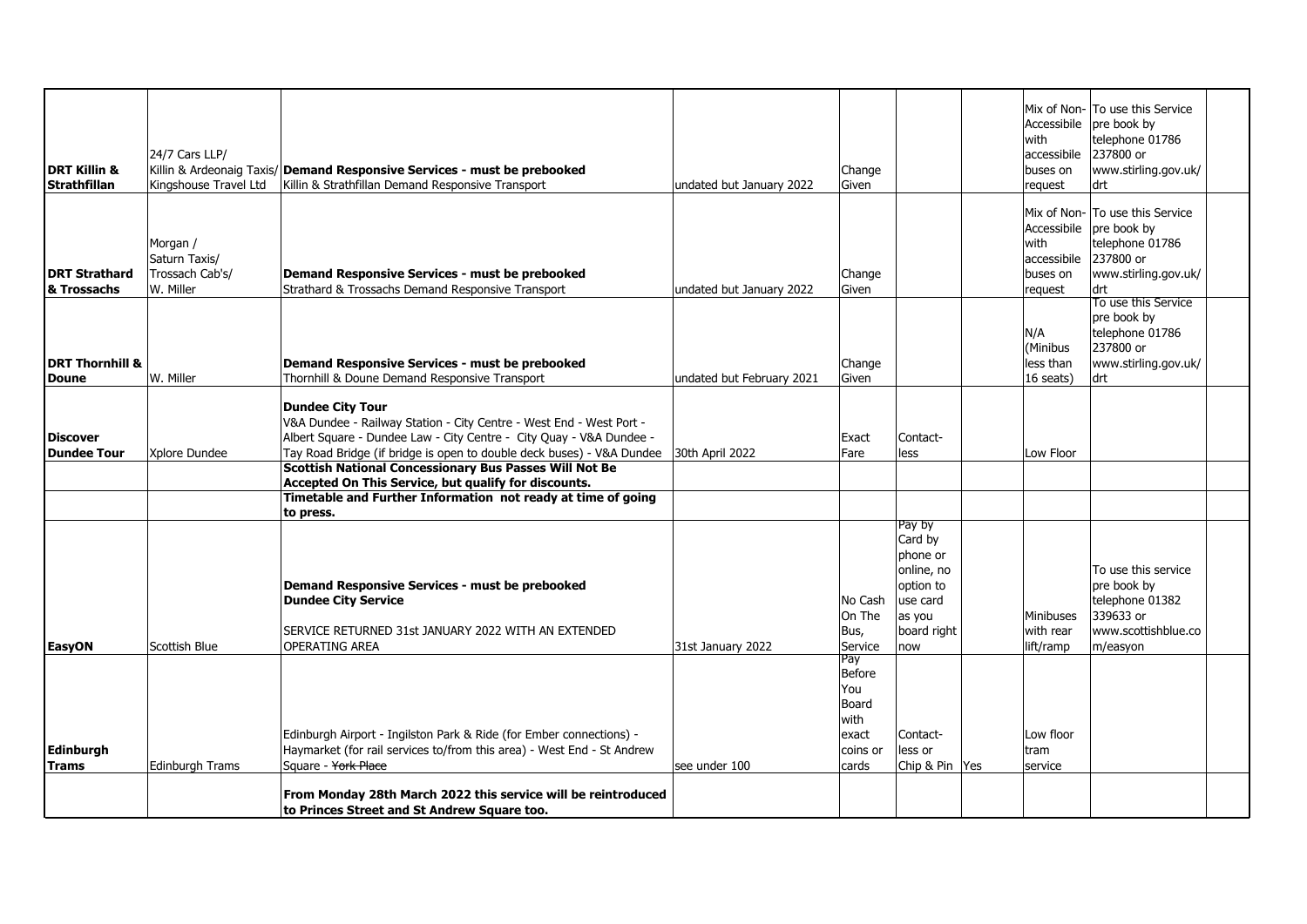|                            |                       |                                                                           |                           |          |                         | Accessibile             | Mix of Non- To use this Service<br>pre book by |  |
|----------------------------|-----------------------|---------------------------------------------------------------------------|---------------------------|----------|-------------------------|-------------------------|------------------------------------------------|--|
|                            |                       |                                                                           |                           |          |                         | with                    | telephone 01786                                |  |
| <b>DRT Killin &amp;</b>    | 24/7 Cars LLP/        | Killin & Ardeonaig Taxis/ Demand Responsive Services - must be prebooked  |                           | Change   |                         | accessibile<br>buses on | 237800 or<br>www.stirling.gov.uk/              |  |
| <b>Strathfillan</b>        | Kingshouse Travel Ltd | Killin & Strathfillan Demand Responsive Transport                         | undated but January 2022  | Given    |                         | request                 | drt                                            |  |
|                            |                       |                                                                           |                           |          |                         |                         |                                                |  |
|                            |                       |                                                                           |                           |          |                         |                         | Mix of Non- To use this Service                |  |
|                            |                       |                                                                           |                           |          |                         | Accessibile             | pre book by                                    |  |
|                            | Morgan /              |                                                                           |                           |          |                         | with                    | telephone 01786                                |  |
|                            | Saturn Taxis/         |                                                                           |                           |          |                         | accessibile             | 237800 or                                      |  |
| <b>DRT Strathard</b>       | Trossach Cab's/       | Demand Responsive Services - must be prebooked                            |                           | Change   |                         | buses on                | www.stirling.gov.uk/                           |  |
| & Trossachs                | W. Miller             | Strathard & Trossachs Demand Responsive Transport                         | undated but January 2022  | Given    |                         | request                 | drt                                            |  |
|                            |                       |                                                                           |                           |          |                         |                         | To use this Service                            |  |
|                            |                       |                                                                           |                           |          |                         | N/A                     | pre book by<br>telephone 01786                 |  |
|                            |                       |                                                                           |                           |          |                         | (Minibus                | 237800 or                                      |  |
| <b>DRT Thornhill &amp;</b> |                       | Demand Responsive Services - must be prebooked                            |                           | Change   |                         | less than               | www.stirling.gov.uk/                           |  |
| <b>Doune</b>               | W. Miller             | Thornhill & Doune Demand Responsive Transport                             | undated but February 2021 | Given    |                         | 16 seats)               | drt                                            |  |
|                            |                       |                                                                           |                           |          |                         |                         |                                                |  |
|                            |                       | <b>Dundee City Tour</b>                                                   |                           |          |                         |                         |                                                |  |
|                            |                       | V&A Dundee - Railway Station - City Centre - West End - West Port -       |                           |          |                         |                         |                                                |  |
| <b>Discover</b>            |                       | Albert Square - Dundee Law - City Centre - City Quay - V&A Dundee -       |                           | Exact    | Contact-                |                         |                                                |  |
| <b>Dundee Tour</b>         | Xplore Dundee         | Tay Road Bridge (if bridge is open to double deck buses) - V&A Dundee     | 30th April 2022           | Fare     | less                    | Low Floor               |                                                |  |
|                            |                       | <b>Scottish National Concessionary Bus Passes Will Not Be</b>             |                           |          |                         |                         |                                                |  |
|                            |                       | Accepted On This Service, but qualify for discounts.                      |                           |          |                         |                         |                                                |  |
|                            |                       | Timetable and Further Information not ready at time of going<br>to press. |                           |          |                         |                         |                                                |  |
|                            |                       |                                                                           |                           |          | Pay by                  |                         |                                                |  |
|                            |                       |                                                                           |                           |          | Card by                 |                         |                                                |  |
|                            |                       |                                                                           |                           |          | phone or                |                         |                                                |  |
|                            |                       | Demand Responsive Services - must be prebooked                            |                           |          | online, no<br>option to |                         | To use this service<br>pre book by             |  |
|                            |                       | <b>Dundee City Service</b>                                                |                           | No Cash  | use card                |                         | telephone 01382                                |  |
|                            |                       |                                                                           |                           | On The   | as you                  | Minibuses               | 339633 or                                      |  |
|                            |                       | SERVICE RETURNED 31st JANUARY 2022 WITH AN EXTENDED                       |                           | Bus,     | board right             | with rear               | www.scottishblue.co                            |  |
| <b>EasyON</b>              | Scottish Blue         | OPERATING AREA                                                            | 31st January 2022         | Service  | now                     | lift/ramp               | m/easyon                                       |  |
|                            |                       |                                                                           |                           | Pay      |                         |                         |                                                |  |
|                            |                       |                                                                           |                           | Before   |                         |                         |                                                |  |
|                            |                       |                                                                           |                           | You      |                         |                         |                                                |  |
|                            |                       |                                                                           |                           | Board    |                         |                         |                                                |  |
|                            |                       |                                                                           |                           | with     |                         |                         |                                                |  |
|                            |                       | Edinburgh Airport - Ingilston Park & Ride (for Ember connections) -       |                           | exact    | Contact-                | Low floor               |                                                |  |
| <b>Edinburgh</b>           |                       | Haymarket (for rail services to/from this area) - West End - St Andrew    |                           | coins or | less or                 | tram                    |                                                |  |
| Trams                      | Edinburgh Trams       | Square - York Place                                                       | lsee under 100            | cards    | Chip & Pin Yes          | service                 |                                                |  |
|                            |                       |                                                                           |                           |          |                         |                         |                                                |  |
|                            |                       | From Monday 28th March 2022 this service will be reintroduced             |                           |          |                         |                         |                                                |  |
|                            |                       | to Princes Street and St Andrew Square too.                               |                           |          |                         |                         |                                                |  |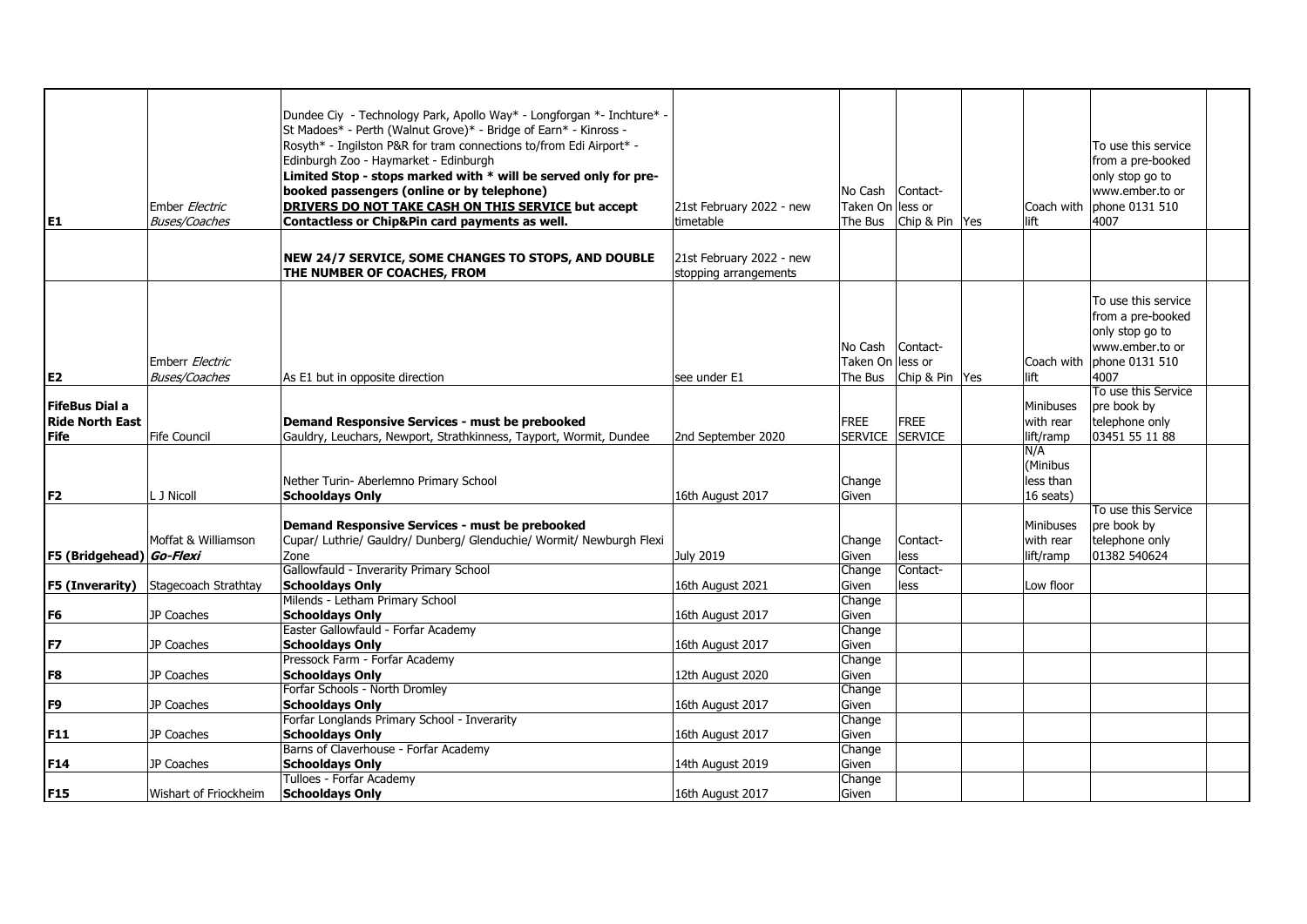| E1                                                             | Ember Electric<br><b>Buses/Coaches</b> | Dundee Ciy - Technology Park, Apollo Way* - Longforgan *- Inchture* -<br>St Madoes* - Perth (Walnut Grove)* - Bridge of Earn* - Kinross -<br>Rosyth* - Ingilston P&R for tram connections to/from Edi Airport* -<br>Edinburgh Zoo - Haymarket - Edinburgh<br>Limited Stop - stops marked with * will be served only for pre-<br>booked passengers (online or by telephone)<br>DRIVERS DO NOT TAKE CASH ON THIS SERVICE but accept<br>Contactless or Chip&Pin card payments as well.<br>NEW 24/7 SERVICE, SOME CHANGES TO STOPS, AND DOUBLE | 21st February 2022 - new<br>timetable<br>21st February 2022 - new | No Cash<br>Taken On less or<br>The Bus | Contact-<br>Chip & Pin Yes    | Coach with<br>lift                        | To use this service<br>from a pre-booked<br>only stop go to<br>www.ember.to or<br>phone 0131 510<br>4007 |  |
|----------------------------------------------------------------|----------------------------------------|--------------------------------------------------------------------------------------------------------------------------------------------------------------------------------------------------------------------------------------------------------------------------------------------------------------------------------------------------------------------------------------------------------------------------------------------------------------------------------------------------------------------------------------------|-------------------------------------------------------------------|----------------------------------------|-------------------------------|-------------------------------------------|----------------------------------------------------------------------------------------------------------|--|
|                                                                |                                        | THE NUMBER OF COACHES, FROM                                                                                                                                                                                                                                                                                                                                                                                                                                                                                                                | stopping arrangements                                             |                                        |                               |                                           |                                                                                                          |  |
|                                                                | Emberr Electric                        |                                                                                                                                                                                                                                                                                                                                                                                                                                                                                                                                            |                                                                   | No Cash<br>Taken On lless or           | Contact-                      | Coach with                                | To use this service<br>from a pre-booked<br>only stop go to<br>www.ember.to or<br>phone 0131 510         |  |
| E <sub>2</sub>                                                 | <b>Buses/Coaches</b>                   | As E1 but in opposite direction                                                                                                                                                                                                                                                                                                                                                                                                                                                                                                            | see under E1                                                      | The Bus                                | Chip & Pin Yes                | lift                                      | 4007                                                                                                     |  |
| <b>FifeBus Dial a</b><br><b>Ride North East</b><br><b>Fife</b> | Fife Council                           | Demand Responsive Services - must be prebooked<br>Gauldry, Leuchars, Newport, Strathkinness, Tayport, Wormit, Dundee                                                                                                                                                                                                                                                                                                                                                                                                                       | 2nd September 2020                                                | <b>FREE</b><br><b>SERVICE</b>          | <b>FREE</b><br><b>SERVICE</b> | Minibuses<br>with rear<br>lift/ramp       | To use this Service<br>pre book by<br>telephone only<br>03451 55 11 88                                   |  |
|                                                                |                                        |                                                                                                                                                                                                                                                                                                                                                                                                                                                                                                                                            |                                                                   |                                        |                               |                                           |                                                                                                          |  |
| F <sub>2</sub>                                                 | L J Nicoll                             | Nether Turin- Aberlemno Primary School<br><b>Schooldays Only</b>                                                                                                                                                                                                                                                                                                                                                                                                                                                                           | 16th August 2017                                                  | Change<br>Given                        |                               | N/A<br>(Minibus<br>less than<br>16 seats) | To use this Service                                                                                      |  |
|                                                                |                                        | Demand Responsive Services - must be prebooked                                                                                                                                                                                                                                                                                                                                                                                                                                                                                             |                                                                   |                                        |                               | Minibuses                                 | pre book by                                                                                              |  |
|                                                                | Moffat & Williamson                    | Cupar/ Luthrie/ Gauldry/ Dunberg/ Glenduchie/ Wormit/ Newburgh Flexi                                                                                                                                                                                                                                                                                                                                                                                                                                                                       |                                                                   | Change                                 | Contact-                      | with rear                                 | telephone only                                                                                           |  |
| F5 (Bridgehead) Go-Flexi                                       |                                        | Zone                                                                                                                                                                                                                                                                                                                                                                                                                                                                                                                                       | July 2019                                                         | Given                                  | less                          | lift/ramp                                 | 01382 540624                                                                                             |  |
|                                                                |                                        | Gallowfauld - Inverarity Primary School                                                                                                                                                                                                                                                                                                                                                                                                                                                                                                    |                                                                   | Change                                 | Contact-                      |                                           |                                                                                                          |  |
| F5 (Inverarity)                                                | Stagecoach Strathtay                   | <b>Schooldays Only</b>                                                                                                                                                                                                                                                                                                                                                                                                                                                                                                                     | 16th August 2021                                                  | Given                                  | less                          | Low floor                                 |                                                                                                          |  |
|                                                                |                                        | Milends - Letham Primary School                                                                                                                                                                                                                                                                                                                                                                                                                                                                                                            |                                                                   | Change                                 |                               |                                           |                                                                                                          |  |
| F <sub>6</sub>                                                 | JP Coaches                             | <b>Schooldays Only</b>                                                                                                                                                                                                                                                                                                                                                                                                                                                                                                                     | 16th August 2017                                                  | Given                                  |                               |                                           |                                                                                                          |  |
|                                                                |                                        | Easter Gallowfauld - Forfar Academy                                                                                                                                                                                                                                                                                                                                                                                                                                                                                                        |                                                                   | Change                                 |                               |                                           |                                                                                                          |  |
| F7                                                             | JP Coaches                             | <b>Schooldays Only</b>                                                                                                                                                                                                                                                                                                                                                                                                                                                                                                                     | 16th August 2017                                                  | Given                                  |                               |                                           |                                                                                                          |  |
|                                                                |                                        | Pressock Farm - Forfar Academy                                                                                                                                                                                                                                                                                                                                                                                                                                                                                                             |                                                                   | Change                                 |                               |                                           |                                                                                                          |  |
| F <sub>8</sub>                                                 | JP Coaches                             | <b>Schooldays Only</b>                                                                                                                                                                                                                                                                                                                                                                                                                                                                                                                     | 12th August 2020                                                  | Given                                  |                               |                                           |                                                                                                          |  |
|                                                                |                                        |                                                                                                                                                                                                                                                                                                                                                                                                                                                                                                                                            |                                                                   |                                        |                               |                                           |                                                                                                          |  |
|                                                                |                                        | Forfar Schools - North Dromley                                                                                                                                                                                                                                                                                                                                                                                                                                                                                                             |                                                                   | Change                                 |                               |                                           |                                                                                                          |  |
| F <sub>9</sub>                                                 | JP Coaches                             | <b>Schooldays Only</b>                                                                                                                                                                                                                                                                                                                                                                                                                                                                                                                     | 16th August 2017                                                  | Given                                  |                               |                                           |                                                                                                          |  |
|                                                                |                                        | Forfar Longlands Primary School - Inverarity                                                                                                                                                                                                                                                                                                                                                                                                                                                                                               |                                                                   | Change                                 |                               |                                           |                                                                                                          |  |
| <b>F11</b>                                                     | JP Coaches                             | <b>Schooldays Only</b>                                                                                                                                                                                                                                                                                                                                                                                                                                                                                                                     | 16th August 2017                                                  | Given                                  |                               |                                           |                                                                                                          |  |
|                                                                |                                        | Barns of Claverhouse - Forfar Academy                                                                                                                                                                                                                                                                                                                                                                                                                                                                                                      |                                                                   | Change                                 |                               |                                           |                                                                                                          |  |
| <b>F14</b>                                                     | JP Coaches                             | <b>Schooldays Only</b>                                                                                                                                                                                                                                                                                                                                                                                                                                                                                                                     | 14th August 2019                                                  | Given                                  |                               |                                           |                                                                                                          |  |
|                                                                |                                        | Tulloes - Forfar Academy                                                                                                                                                                                                                                                                                                                                                                                                                                                                                                                   |                                                                   | Change                                 |                               |                                           |                                                                                                          |  |
| F15                                                            | Wishart of Friockheim                  | <b>Schooldays Only</b>                                                                                                                                                                                                                                                                                                                                                                                                                                                                                                                     | 16th August 2017                                                  | Given                                  |                               |                                           |                                                                                                          |  |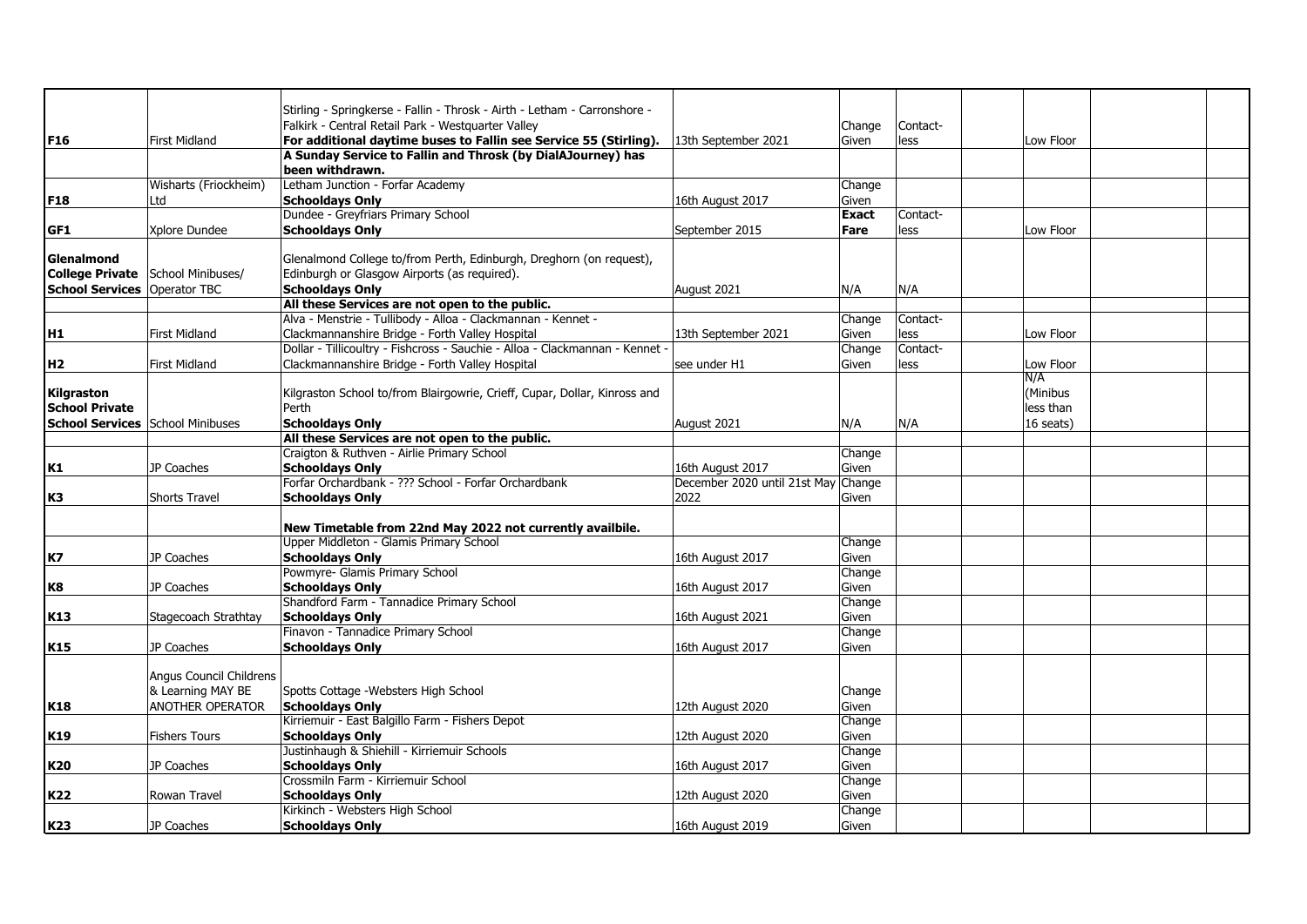|                                         |                         | Stirling - Springkerse - Fallin - Throsk - Airth - Letham - Carronshore -    |                                     |              |          |           |  |
|-----------------------------------------|-------------------------|------------------------------------------------------------------------------|-------------------------------------|--------------|----------|-----------|--|
|                                         |                         | Falkirk - Central Retail Park - Westquarter Valley                           |                                     | Change       | Contact- |           |  |
| F <sub>16</sub>                         | <b>First Midland</b>    | For additional daytime buses to Fallin see Service 55 (Stirling).            | 13th September 2021                 | Given        | less     | Low Floor |  |
|                                         |                         | A Sunday Service to Fallin and Throsk (by DialAJourney) has                  |                                     |              |          |           |  |
|                                         |                         | been withdrawn.                                                              |                                     |              |          |           |  |
|                                         | Wisharts (Friockheim)   | Letham Junction - Forfar Academy                                             |                                     | Change       |          |           |  |
| <b>F18</b>                              | Ltd                     | <b>Schooldays Only</b>                                                       | 16th August 2017                    | Given        |          |           |  |
|                                         |                         | Dundee - Greyfriars Primary School                                           |                                     | <b>Exact</b> | Contact- |           |  |
| GF1                                     | Xplore Dundee           | <b>Schooldays Only</b>                                                       | September 2015                      | Fare         | less     | Low Floor |  |
|                                         |                         |                                                                              |                                     |              |          |           |  |
| Glenalmond                              |                         | Glenalmond College to/from Perth, Edinburgh, Dreghorn (on request),          |                                     |              |          |           |  |
| <b>College Private</b>                  | School Minibuses/       | Edinburgh or Glasgow Airports (as required).                                 |                                     |              |          |           |  |
| <b>School Services   Operator TBC</b>   |                         | <b>Schooldays Only</b>                                                       | August 2021                         | N/A          | N/A      |           |  |
|                                         |                         | All these Services are not open to the public.                               |                                     |              |          |           |  |
|                                         |                         | Alva - Menstrie - Tullibody - Alloa - Clackmannan - Kennet -                 |                                     | Change       | Contact- |           |  |
| H1                                      | <b>First Midland</b>    | Clackmannanshire Bridge - Forth Valley Hospital                              | 13th September 2021                 | Given        | less     | Low Floor |  |
|                                         |                         | Dollar - Tillicoultry - Fishcross - Sauchie - Alloa - Clackmannan - Kennet - |                                     | Change       | Contact- |           |  |
| H <sub>2</sub>                          | <b>First Midland</b>    | Clackmannanshire Bridge - Forth Valley Hospital                              | see under H1                        | Given        | less     | Low Floor |  |
|                                         |                         |                                                                              |                                     |              |          | N/A       |  |
| Kilgraston                              |                         | Kilgraston School to/from Blairgowrie, Crieff, Cupar, Dollar, Kinross and    |                                     |              |          | (Minibus  |  |
| <b>School Private</b>                   |                         | Perth                                                                        |                                     |              |          | less than |  |
| <b>School Services</b> School Minibuses |                         | <b>Schooldays Only</b>                                                       | August 2021                         | N/A          | N/A      | 16 seats) |  |
|                                         |                         | All these Services are not open to the public.                               |                                     |              |          |           |  |
|                                         |                         | Craigton & Ruthven - Airlie Primary School                                   |                                     | Change       |          |           |  |
| K1                                      | JP Coaches              | <b>Schooldays Only</b>                                                       | 16th August 2017                    | Given        |          |           |  |
|                                         |                         | Forfar Orchardbank - ??? School - Forfar Orchardbank                         | December 2020 until 21st May Change |              |          |           |  |
| K3                                      | <b>Shorts Travel</b>    | <b>Schooldays Only</b>                                                       | 2022                                | Given        |          |           |  |
|                                         |                         |                                                                              |                                     |              |          |           |  |
|                                         |                         | New Timetable from 22nd May 2022 not currently availbile.                    |                                     |              |          |           |  |
|                                         |                         | Upper Middleton - Glamis Primary School                                      |                                     | Change       |          |           |  |
| K7                                      | JP Coaches              | <b>Schooldays Only</b>                                                       | 16th August 2017                    | Given        |          |           |  |
|                                         |                         | Powmyre- Glamis Primary School                                               |                                     | Change       |          |           |  |
| K8                                      | JP Coaches              | <b>Schooldays Only</b>                                                       | 16th August 2017                    | Given        |          |           |  |
|                                         |                         | Shandford Farm - Tannadice Primary School                                    |                                     | Change       |          |           |  |
| K13                                     | Stagecoach Strathtay    | <b>Schooldays Only</b>                                                       | 16th August 2021                    | Given        |          |           |  |
|                                         |                         | Finavon - Tannadice Primary School                                           |                                     | Change       |          |           |  |
| K15                                     | JP Coaches              | <b>Schooldays Only</b>                                                       | 16th August 2017                    | Given        |          |           |  |
|                                         | Angus Council Childrens |                                                                              |                                     |              |          |           |  |
|                                         | & Learning MAY BE       | Spotts Cottage - Websters High School                                        |                                     | Change       |          |           |  |
| K18                                     | <b>ANOTHER OPERATOR</b> | <b>Schooldays Only</b>                                                       | 12th August 2020                    | Given        |          |           |  |
|                                         |                         | Kirriemuir - East Balgillo Farm - Fishers Depot                              |                                     | Change       |          |           |  |
| K19                                     | <b>Fishers Tours</b>    | <b>Schooldays Only</b>                                                       | 12th August 2020                    | Given        |          |           |  |
|                                         |                         | Justinhaugh & Shiehill - Kirriemuir Schools                                  |                                     | Change       |          |           |  |
| K20                                     | JP Coaches              | <b>Schooldays Only</b>                                                       | 16th August 2017                    | Given        |          |           |  |
|                                         |                         | Crossmiln Farm - Kirriemuir School                                           |                                     | Change       |          |           |  |
| K22                                     | Rowan Travel            | <b>Schooldays Only</b>                                                       | 12th August 2020                    | Given        |          |           |  |
|                                         |                         | Kirkinch - Websters High School                                              |                                     | Change       |          |           |  |
| K23                                     | JP Coaches              | <b>Schooldays Only</b>                                                       | 16th August 2019                    | Given        |          |           |  |
|                                         |                         |                                                                              |                                     |              |          |           |  |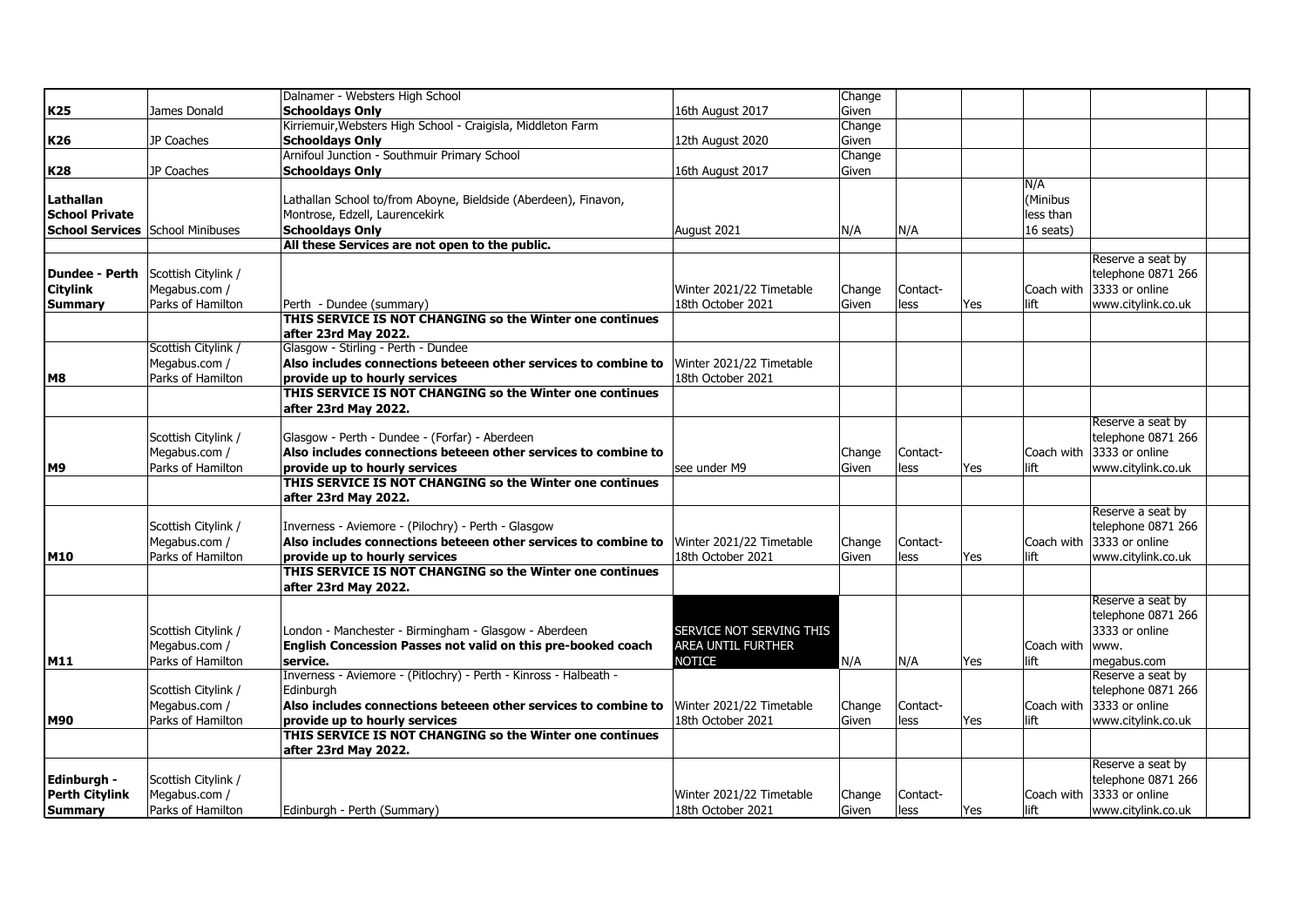|                                         |                                    | Dalnamer - Websters High School                                                           |                          | Change |          |     |            |                                                 |  |
|-----------------------------------------|------------------------------------|-------------------------------------------------------------------------------------------|--------------------------|--------|----------|-----|------------|-------------------------------------------------|--|
| <b>K25</b>                              | James Donald                       | <b>Schooldays Only</b>                                                                    | 16th August 2017         | Given  |          |     |            |                                                 |  |
|                                         |                                    | Kirriemuir, Websters High School - Craigisla, Middleton Farm                              |                          | Change |          |     |            |                                                 |  |
| K26                                     | JP Coaches                         | <b>Schooldays Only</b>                                                                    | 12th August 2020         | Given  |          |     |            |                                                 |  |
|                                         |                                    | Arnifoul Junction - Southmuir Primary School                                              |                          | Change |          |     |            |                                                 |  |
| <b>K28</b>                              | JP Coaches                         | <b>Schooldays Only</b>                                                                    | 16th August 2017         | Given  |          |     |            |                                                 |  |
|                                         |                                    |                                                                                           |                          |        |          |     | N/A        |                                                 |  |
| Lathallan                               |                                    | Lathallan School to/from Aboyne, Bieldside (Aberdeen), Finavon,                           |                          |        |          |     | (Minibus   |                                                 |  |
| <b>School Private</b>                   |                                    | Montrose, Edzell, Laurencekirk                                                            |                          |        |          |     | less than  |                                                 |  |
| <b>School Services</b> School Minibuses |                                    | <b>Schooldays Only</b>                                                                    | August 2021              | N/A    | N/A      |     | 16 seats)  |                                                 |  |
|                                         |                                    | All these Services are not open to the public.                                            |                          |        |          |     |            |                                                 |  |
|                                         |                                    |                                                                                           |                          |        |          |     |            | Reserve a seat by                               |  |
| <b>Dundee - Perth</b>                   | Scottish Citylink /                |                                                                                           |                          |        |          |     |            | telephone 0871 266                              |  |
| <b>Citylink</b>                         | Megabus.com /                      |                                                                                           | Winter 2021/22 Timetable | Change | Contact- |     |            | Coach with 3333 or online                       |  |
| <b>Summary</b>                          | Parks of Hamilton                  | Perth - Dundee (summary)                                                                  | 18th October 2021        | Given  | less     | Yes | lift       | www.citylink.co.uk                              |  |
|                                         |                                    | THIS SERVICE IS NOT CHANGING so the Winter one continues                                  |                          |        |          |     |            |                                                 |  |
|                                         |                                    | after 23rd May 2022.                                                                      |                          |        |          |     |            |                                                 |  |
|                                         | Scottish Citylink /                | Glasgow - Stirling - Perth - Dundee                                                       |                          |        |          |     |            |                                                 |  |
|                                         | Megabus.com /                      | Also includes connections beteeen other services to combine to                            | Winter 2021/22 Timetable |        |          |     |            |                                                 |  |
| M8                                      | Parks of Hamilton                  | provide up to hourly services                                                             | 18th October 2021        |        |          |     |            |                                                 |  |
|                                         |                                    | THIS SERVICE IS NOT CHANGING so the Winter one continues                                  |                          |        |          |     |            |                                                 |  |
|                                         |                                    | after 23rd May 2022.                                                                      |                          |        |          |     |            |                                                 |  |
|                                         |                                    |                                                                                           |                          |        |          |     |            | Reserve a seat by                               |  |
|                                         | Scottish Citylink /                | Glasgow - Perth - Dundee - (Forfar) - Aberdeen                                            |                          |        |          |     |            | telephone 0871 266<br>Coach with 3333 or online |  |
| M <sub>9</sub>                          | Megabus.com /<br>Parks of Hamilton | Also includes connections beteeen other services to combine to                            |                          | Change | Contact- |     |            |                                                 |  |
|                                         |                                    | provide up to hourly services<br>THIS SERVICE IS NOT CHANGING so the Winter one continues | see under M9             | Given  | less     | Yes | lift       | www.citylink.co.uk                              |  |
|                                         |                                    | after 23rd May 2022.                                                                      |                          |        |          |     |            |                                                 |  |
|                                         |                                    |                                                                                           |                          |        |          |     |            | Reserve a seat by                               |  |
|                                         | Scottish Citylink /                | Inverness - Aviemore - (Pilochry) - Perth - Glasgow                                       |                          |        |          |     |            | telephone 0871 266                              |  |
|                                         | Megabus.com /                      | Also includes connections beteeen other services to combine to                            | Winter 2021/22 Timetable | Change | Contact- |     |            | Coach with 3333 or online                       |  |
| M10                                     | Parks of Hamilton                  | provide up to hourly services                                                             | 18th October 2021        | Given  | less     | Yes | lift       | www.citylink.co.uk                              |  |
|                                         |                                    | THIS SERVICE IS NOT CHANGING so the Winter one continues                                  |                          |        |          |     |            |                                                 |  |
|                                         |                                    | after 23rd May 2022.                                                                      |                          |        |          |     |            |                                                 |  |
|                                         |                                    |                                                                                           |                          |        |          |     |            | Reserve a seat by                               |  |
|                                         |                                    |                                                                                           |                          |        |          |     |            | telephone 0871 266                              |  |
|                                         | Scottish Citylink /                | London - Manchester - Birmingham - Glasgow - Aberdeen                                     | SERVICE NOT SERVING THIS |        |          |     |            | 3333 or online                                  |  |
|                                         | Megabus.com /                      | English Concession Passes not valid on this pre-booked coach                              | AREA UNTIL FURTHER       |        |          |     | Coach with | www.                                            |  |
| M11                                     | Parks of Hamilton                  | service.                                                                                  | <b>NOTICE</b>            | N/A    | N/A      | Yes | lift       | megabus.com                                     |  |
|                                         |                                    | Inverness - Aviemore - (Pitlochry) - Perth - Kinross - Halbeath -                         |                          |        |          |     |            | Reserve a seat by                               |  |
|                                         | Scottish Citylink /                | Edinburgh                                                                                 |                          |        |          |     |            | telephone 0871 266                              |  |
|                                         | Megabus.com /                      | Also includes connections beteeen other services to combine to                            | Winter 2021/22 Timetable | Change | Contact- |     |            | Coach with 3333 or online                       |  |
| <b>M90</b>                              | Parks of Hamilton                  | provide up to hourly services                                                             | 18th October 2021        | Given  | less     | Yes | lift       | www.citylink.co.uk                              |  |
|                                         |                                    | THIS SERVICE IS NOT CHANGING so the Winter one continues                                  |                          |        |          |     |            |                                                 |  |
|                                         |                                    | after 23rd May 2022.                                                                      |                          |        |          |     |            |                                                 |  |
|                                         |                                    |                                                                                           |                          |        |          |     |            | Reserve a seat by                               |  |
| Edinburgh -                             | Scottish Citylink /                |                                                                                           |                          |        |          |     |            | telephone 0871 266                              |  |
| <b>Perth Citylink</b>                   | Megabus.com /                      |                                                                                           | Winter 2021/22 Timetable | Change | Contact- |     |            | Coach with 3333 or online                       |  |
| <b>Summary</b>                          | Parks of Hamilton                  | Edinburgh - Perth (Summary)                                                               | 18th October 2021        | Given  | less     | Yes | lift       | www.citylink.co.uk                              |  |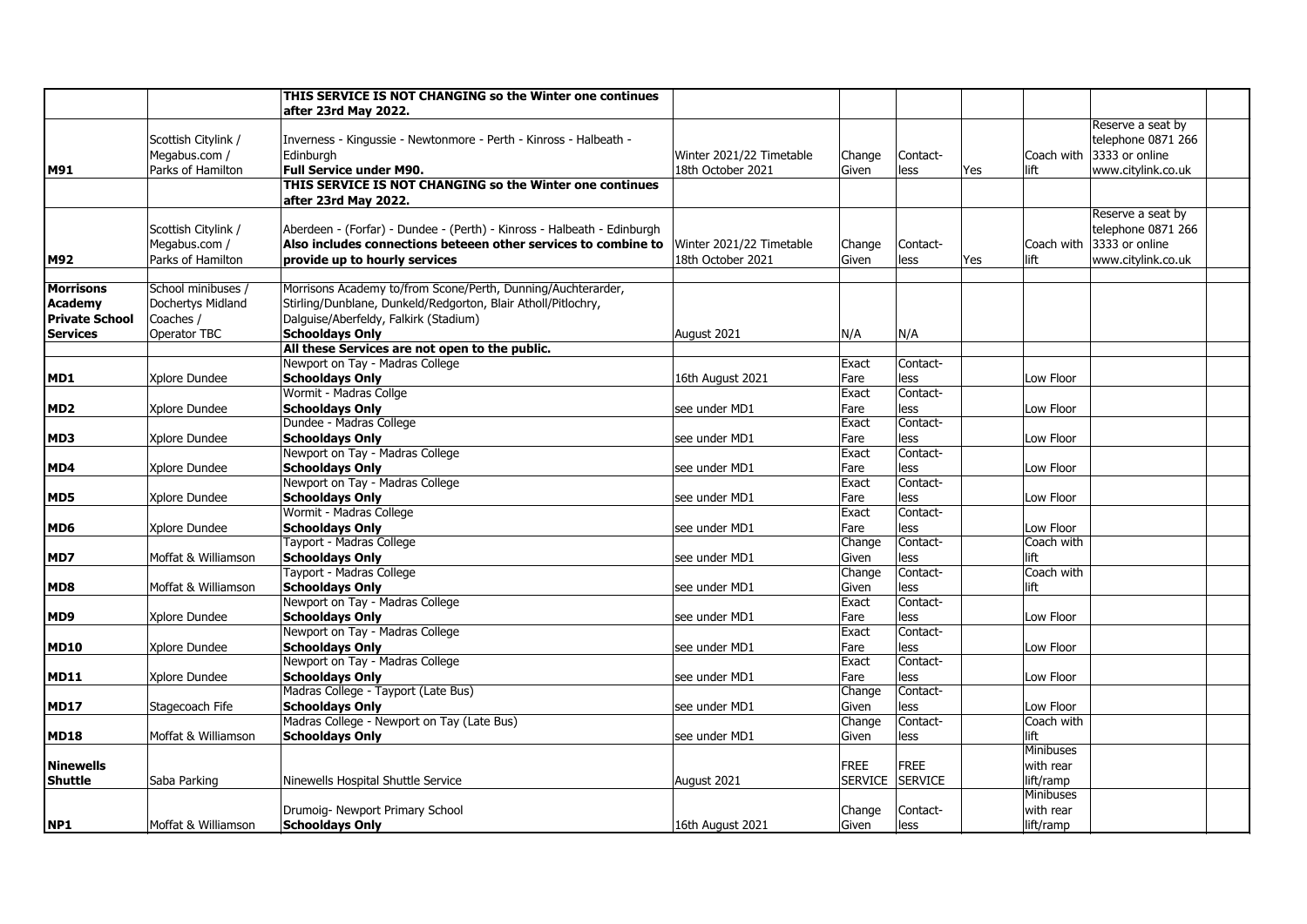|                       |                     | THIS SERVICE IS NOT CHANGING so the Winter one continues                |                          |             |             |             |                           |
|-----------------------|---------------------|-------------------------------------------------------------------------|--------------------------|-------------|-------------|-------------|---------------------------|
|                       |                     | after 23rd May 2022.                                                    |                          |             |             |             |                           |
|                       |                     |                                                                         |                          |             |             |             | Reserve a seat by         |
|                       | Scottish Citylink / | Inverness - Kingussie - Newtonmore - Perth - Kinross - Halbeath -       |                          |             |             |             | telephone 0871 266        |
|                       | Megabus.com /       | Edinburah                                                               | Winter 2021/22 Timetable | Change      | Contact-    |             | Coach with 3333 or online |
| M91                   | Parks of Hamilton   | Full Service under M90.                                                 | 18th October 2021        | Given       | less        | lift<br>Yes | www.citylink.co.uk        |
|                       |                     | THIS SERVICE IS NOT CHANGING so the Winter one continues                |                          |             |             |             |                           |
|                       |                     | after 23rd May 2022.                                                    |                          |             |             |             |                           |
|                       |                     |                                                                         |                          |             |             |             | Reserve a seat by         |
|                       | Scottish Citylink / | Aberdeen - (Forfar) - Dundee - (Perth) - Kinross - Halbeath - Edinburgh |                          |             |             |             | telephone 0871 266        |
|                       | Megabus.com /       | Also includes connections beteeen other services to combine to          | Winter 2021/22 Timetable | Change      | Contact-    |             | Coach with 3333 or online |
| M92                   | Parks of Hamilton   | provide up to hourly services                                           | 18th October 2021        | Given       | less        | Yes<br>lift | www.citylink.co.uk        |
|                       |                     |                                                                         |                          |             |             |             |                           |
| <b>Morrisons</b>      | School minibuses /  | Morrisons Academy to/from Scone/Perth, Dunning/Auchterarder,            |                          |             |             |             |                           |
| Academy               | Dochertys Midland   | Stirling/Dunblane, Dunkeld/Redgorton, Blair Atholl/Pitlochry,           |                          |             |             |             |                           |
| <b>Private School</b> | Coaches /           | Dalguise/Aberfeldy, Falkirk (Stadium)                                   |                          |             |             |             |                           |
| <b>Services</b>       | Operator TBC        | <b>Schooldays Only</b>                                                  | August 2021              | N/A         | N/A         |             |                           |
|                       |                     | All these Services are not open to the public.                          |                          |             |             |             |                           |
|                       |                     | Newport on Tay - Madras College                                         |                          | Exact       | Contact-    |             |                           |
| MD1                   | Xplore Dundee       | <b>Schooldays Only</b>                                                  | 16th August 2021         | Fare        | less        | Low Floor   |                           |
|                       |                     | Wormit - Madras Collge                                                  |                          | Exact       | Contact-    |             |                           |
| MD <sub>2</sub>       | Xplore Dundee       | <b>Schooldays Only</b>                                                  | see under MD1            | Fare        | less        | Low Floor   |                           |
|                       |                     | Dundee - Madras College                                                 |                          | Exact       | Contact-    |             |                           |
| MD3                   | Xplore Dundee       | <b>Schooldays Only</b>                                                  | see under MD1            | Fare        | less        | Low Floor   |                           |
|                       |                     | Newport on Tay - Madras College                                         |                          | Exact       | Contact-    |             |                           |
| MD4                   | Xplore Dundee       | <b>Schooldays Only</b>                                                  | see under MD1            | Fare        | less        | Low Floor   |                           |
|                       |                     | Newport on Tay - Madras College                                         |                          | Exact       | Contact-    |             |                           |
| MD5                   | Xplore Dundee       | <b>Schooldays Only</b>                                                  | see under MD1            | Fare        | less        | Low Floor   |                           |
|                       |                     | Wormit - Madras College                                                 |                          | Exact       | Contact-    |             |                           |
| MD6                   | Xplore Dundee       | <b>Schooldays Only</b>                                                  | see under MD1            | Fare        | less        | Low Floor   |                           |
|                       |                     | Tayport - Madras College                                                |                          | Change      | Contact-    | Coach with  |                           |
| MD7                   | Moffat & Williamson | <b>Schooldays Only</b>                                                  | see under MD1            | Given       | less        | lift        |                           |
|                       |                     | Tayport - Madras College                                                |                          | Change      | Contact-    | Coach with  |                           |
| MD8                   | Moffat & Williamson | <b>Schooldays Only</b>                                                  | see under MD1            | Given       | less        | lift        |                           |
|                       |                     | Newport on Tay - Madras College                                         |                          | Exact       | Contact-    |             |                           |
| MD9                   | Xplore Dundee       | <b>Schooldays Only</b>                                                  | see under MD1            | Fare        | less        | Low Floor   |                           |
|                       |                     | Newport on Tay - Madras College                                         |                          | Exact       | Contact-    |             |                           |
| <b>MD10</b>           | Xplore Dundee       | <b>Schooldays Only</b>                                                  | see under MD1            | Fare        | less        | Low Floor   |                           |
|                       |                     | Newport on Tay - Madras College                                         |                          | Exact       | Contact-    |             |                           |
| <b>MD11</b>           | Xplore Dundee       | <b>Schooldays Only</b>                                                  | see under MD1            | Fare        | less        | Low Floor   |                           |
|                       |                     | Madras College - Tayport (Late Bus)                                     |                          | Change      | Contact-    |             |                           |
| <b>MD17</b>           | Stagecoach Fife     | <b>Schooldays Only</b>                                                  | see under MD1            | Given       | less        | Low Floor   |                           |
|                       |                     | Madras College - Newport on Tay (Late Bus)                              |                          | Change      | Contact-    | Coach with  |                           |
| <b>MD18</b>           | Moffat & Williamson | <b>Schooldays Only</b>                                                  | see under MD1            | Given       | less        | lift        |                           |
|                       |                     |                                                                         |                          |             |             | Minibuses   |                           |
| <b>Ninewells</b>      |                     |                                                                         |                          | <b>FREE</b> | <b>FREE</b> | with rear   |                           |
| <b>Shuttle</b>        | Saba Parking        | Ninewells Hospital Shuttle Service                                      | August 2021              | SERVICE     | SERVICE     | lift/ramp   |                           |
|                       |                     |                                                                         |                          |             |             | Minibuses   |                           |
|                       |                     | Drumoig- Newport Primary School                                         |                          | Change      | Contact-    | with rear   |                           |
| NP <sub>1</sub>       | Moffat & Williamson | <b>Schooldays Only</b>                                                  | 16th August 2021         | Given       | less        | lift/ramp   |                           |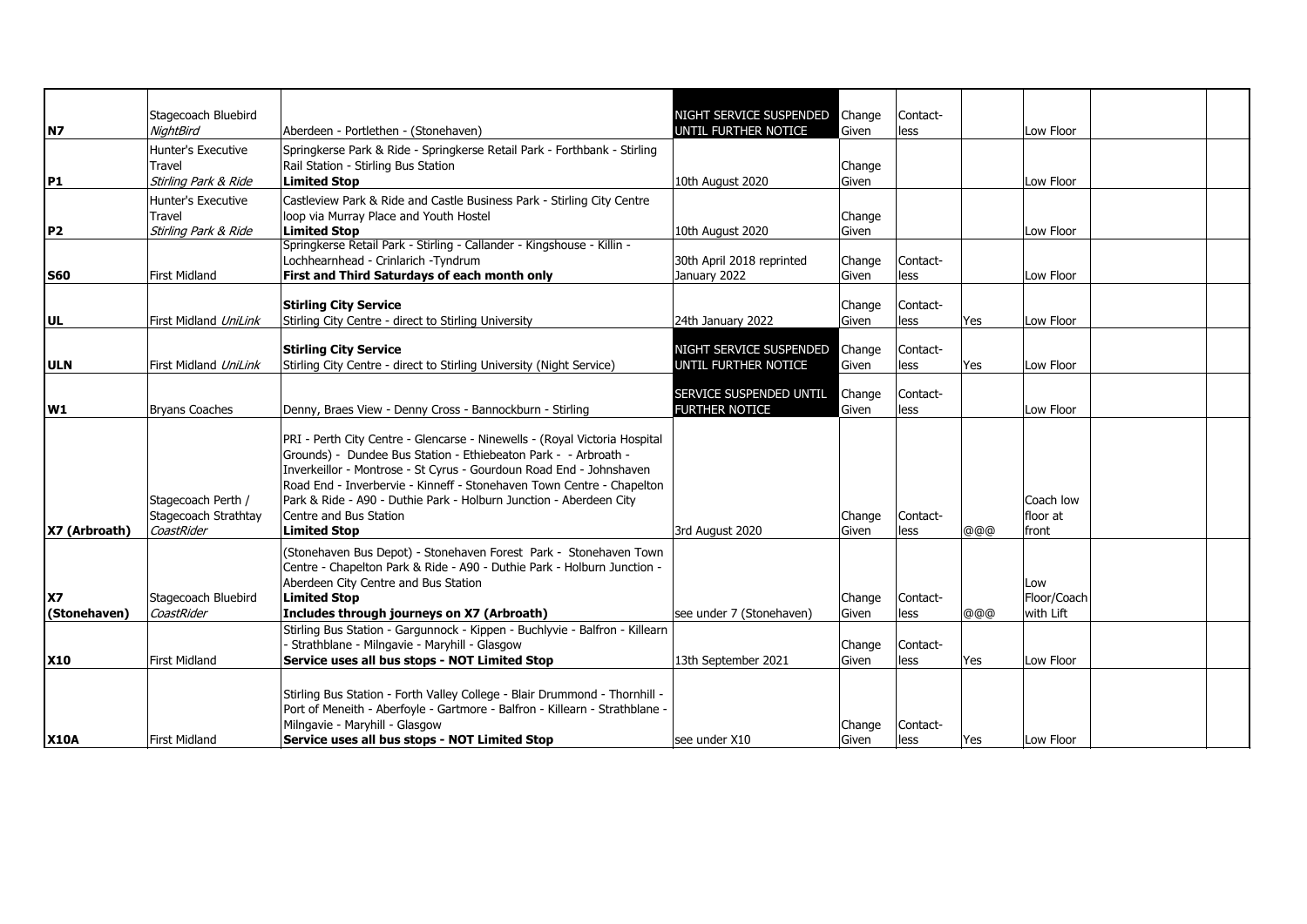|                           | Stagecoach Bluebird                                      |                                                                                                                                                                                                                                                                                                                                                                                                                      | NIGHT SERVICE SUSPENDED   | Change          | Contact-         |     |                                 |  |
|---------------------------|----------------------------------------------------------|----------------------------------------------------------------------------------------------------------------------------------------------------------------------------------------------------------------------------------------------------------------------------------------------------------------------------------------------------------------------------------------------------------------------|---------------------------|-----------------|------------------|-----|---------------------------------|--|
| N7                        | <b>NightBird</b>                                         | Aberdeen - Portlethen - (Stonehaven)                                                                                                                                                                                                                                                                                                                                                                                 | UNTIL FURTHER NOTICE      | Given           | less             |     | Low Floor                       |  |
|                           | Hunter's Executive                                       | Springkerse Park & Ride - Springkerse Retail Park - Forthbank - Stirling                                                                                                                                                                                                                                                                                                                                             |                           |                 |                  |     |                                 |  |
|                           | Travel                                                   | Rail Station - Stirling Bus Station                                                                                                                                                                                                                                                                                                                                                                                  |                           | Change          |                  |     |                                 |  |
| P1                        | Stirling Park & Ride                                     | <b>Limited Stop</b>                                                                                                                                                                                                                                                                                                                                                                                                  | 10th August 2020          | Given           |                  |     | Low Floor                       |  |
|                           | <b>Hunter's Executive</b>                                | Castleview Park & Ride and Castle Business Park - Stirling City Centre                                                                                                                                                                                                                                                                                                                                               |                           |                 |                  |     |                                 |  |
|                           | Travel                                                   | loop via Murray Place and Youth Hostel                                                                                                                                                                                                                                                                                                                                                                               |                           | Change          |                  |     |                                 |  |
| P <sub>2</sub>            | Stirling Park & Ride                                     | <b>Limited Stop</b>                                                                                                                                                                                                                                                                                                                                                                                                  | 10th August 2020          | Given           |                  |     | Low Floor                       |  |
|                           |                                                          | Springkerse Retail Park - Stirling - Callander - Kingshouse - Killin -                                                                                                                                                                                                                                                                                                                                               |                           |                 |                  |     |                                 |  |
|                           |                                                          | Lochhearnhead - Crinlarich -Tyndrum                                                                                                                                                                                                                                                                                                                                                                                  | 30th April 2018 reprinted | Change          | Contact-         |     |                                 |  |
| <b>S60</b>                | <b>First Midland</b>                                     | First and Third Saturdays of each month only                                                                                                                                                                                                                                                                                                                                                                         | January 2022              | Given           | less             |     | Low Floor                       |  |
|                           |                                                          |                                                                                                                                                                                                                                                                                                                                                                                                                      |                           |                 |                  |     |                                 |  |
|                           |                                                          | <b>Stirling City Service</b>                                                                                                                                                                                                                                                                                                                                                                                         |                           | Change          | Contact-         |     |                                 |  |
| UL                        | First Midland UniLink                                    | Stirling City Centre - direct to Stirling University                                                                                                                                                                                                                                                                                                                                                                 | 24th January 2022         | Given           | less             | Yes | Low Floor                       |  |
|                           |                                                          |                                                                                                                                                                                                                                                                                                                                                                                                                      | NIGHT SERVICE SUSPENDED   |                 |                  |     |                                 |  |
| <b>ULN</b>                | First Midland UniLink                                    | <b>Stirling City Service</b><br>Stirling City Centre - direct to Stirling University (Night Service)                                                                                                                                                                                                                                                                                                                 | UNTIL FURTHER NOTICE      | Change<br>Given | Contact-<br>less | Yes | Low Floor                       |  |
|                           |                                                          |                                                                                                                                                                                                                                                                                                                                                                                                                      |                           |                 |                  |     |                                 |  |
|                           |                                                          |                                                                                                                                                                                                                                                                                                                                                                                                                      | SERVICE SUSPENDED UNTIL   | Change          | Contact-         |     |                                 |  |
| <b>W1</b>                 | <b>Bryans Coaches</b>                                    | Denny, Braes View - Denny Cross - Bannockburn - Stirling                                                                                                                                                                                                                                                                                                                                                             | <b>FURTHER NOTICE</b>     | Given           | less             |     | Low Floor                       |  |
| X7 (Arbroath)             | Stagecoach Perth /<br>Stagecoach Strathtay<br>CoastRider | PRI - Perth City Centre - Glencarse - Ninewells - (Royal Victoria Hospital<br>Grounds) - Dundee Bus Station - Ethiebeaton Park - - Arbroath -<br>Inverkeillor - Montrose - St Cyrus - Gourdoun Road End - Johnshaven<br>Road End - Inverbervie - Kinneff - Stonehaven Town Centre - Chapelton<br>Park & Ride - A90 - Duthie Park - Holburn Junction - Aberdeen City<br>Centre and Bus Station<br><b>Limited Stop</b> | 3rd August 2020           | Change<br>Given | Contact-<br>less | @@@ | Coach low<br>floor at<br>front  |  |
| <b>X7</b><br>(Stonehaven) | Stagecoach Bluebird<br>CoastRider                        | (Stonehaven Bus Depot) - Stonehaven Forest Park - Stonehaven Town<br>Centre - Chapelton Park & Ride - A90 - Duthie Park - Holburn Junction -<br>Aberdeen City Centre and Bus Station<br><b>Limited Stop</b><br>Includes through journeys on X7 (Arbroath)                                                                                                                                                            | see under 7 (Stonehaven)  | Change<br>Given | Contact-<br>less | @@@ | Low<br>Floor/Coach<br>with Lift |  |
|                           |                                                          | Stirling Bus Station - Gargunnock - Kippen - Buchlyvie - Balfron - Killearn                                                                                                                                                                                                                                                                                                                                          |                           |                 |                  |     |                                 |  |
| <b>X10</b>                | First Midland                                            | - Strathblane - Milngavie - Maryhill - Glasgow<br>Service uses all bus stops - NOT Limited Stop                                                                                                                                                                                                                                                                                                                      |                           | Change          | Contact-         |     | Low Floor                       |  |
|                           |                                                          |                                                                                                                                                                                                                                                                                                                                                                                                                      | 13th September 2021       | Given           | less             | Yes |                                 |  |
| <b>X10A</b>               | First Midland                                            | Stirling Bus Station - Forth Valley College - Blair Drummond - Thornhill -<br>Port of Meneith - Aberfoyle - Gartmore - Balfron - Killearn - Strathblane -<br>Milngavie - Maryhill - Glasgow<br>Service uses all bus stops - NOT Limited Stop                                                                                                                                                                         | see under X10             | Change<br>Given | Contact-<br>less | Yes | Low Floor                       |  |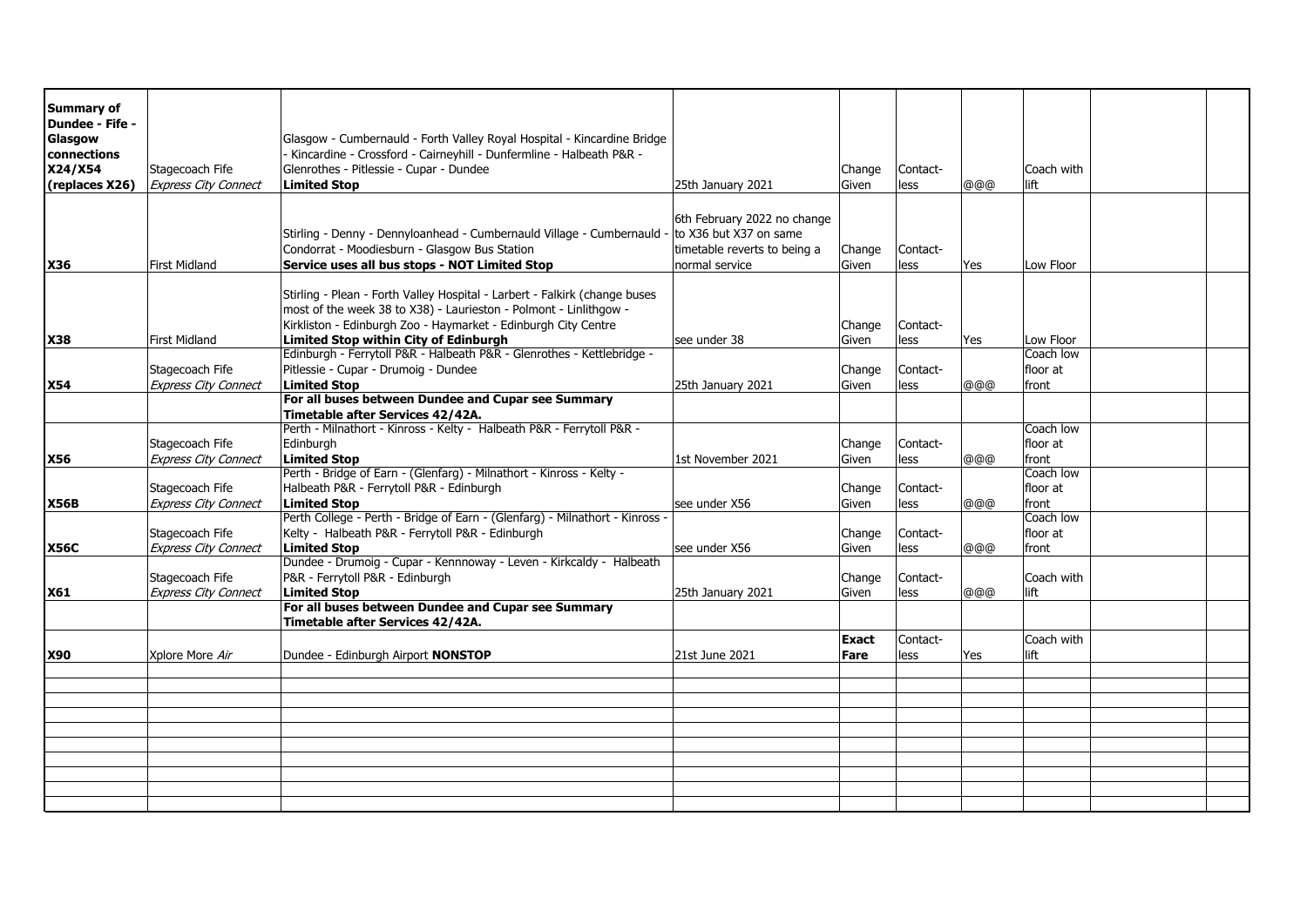| <b>Summary of</b> |                             |                                                                                        |                              |              |          |      |            |  |
|-------------------|-----------------------------|----------------------------------------------------------------------------------------|------------------------------|--------------|----------|------|------------|--|
| Dundee - Fife -   |                             |                                                                                        |                              |              |          |      |            |  |
| Glasgow           |                             | Glasgow - Cumbernauld - Forth Valley Royal Hospital - Kincardine Bridge                |                              |              |          |      |            |  |
| connections       |                             | Kincardine - Crossford - Cairneyhill - Dunfermline - Halbeath P&R -                    |                              |              |          |      |            |  |
| X24/X54           | Stagecoach Fife             | Glenrothes - Pitlessie - Cupar - Dundee                                                |                              | Change       | Contact- |      | Coach with |  |
| (replaces X26)    | <b>Express City Connect</b> | <b>Limited Stop</b>                                                                    | 25th January 2021            | Given        | less     | @@@  | lift       |  |
|                   |                             |                                                                                        |                              |              |          |      |            |  |
|                   |                             |                                                                                        | 6th February 2022 no change  |              |          |      |            |  |
|                   |                             | Stirling - Denny - Dennyloanhead - Cumbernauld Village - Cumbernauld                   | - to X36 but X37 on same     |              |          |      |            |  |
|                   |                             | Condorrat - Moodiesburn - Glasgow Bus Station                                          | timetable reverts to being a | Change       | Contact- |      |            |  |
| <b>X36</b>        | <b>First Midland</b>        | Service uses all bus stops - NOT Limited Stop                                          | normal service               | Given        | less     | lYes | Low Floor  |  |
|                   |                             |                                                                                        |                              |              |          |      |            |  |
|                   |                             | Stirling - Plean - Forth Valley Hospital - Larbert - Falkirk (change buses             |                              |              |          |      |            |  |
|                   |                             | most of the week 38 to X38) - Laurieston - Polmont - Linlithgow -                      |                              |              |          |      |            |  |
|                   |                             | Kirkliston - Edinburgh Zoo - Haymarket - Edinburgh City Centre                         |                              | Change       | Contact- |      |            |  |
| <b>X38</b>        | <b>First Midland</b>        | Limited Stop within City of Edinburgh                                                  | see under 38                 | Given        | less     | Yes  | Low Floor  |  |
|                   |                             | Edinburgh - Ferrytoll P&R - Halbeath P&R - Glenrothes - Kettlebridge -                 |                              |              |          |      | Coach low  |  |
|                   | Stagecoach Fife             | Pitlessie - Cupar - Drumoig - Dundee                                                   |                              | Change       | Contact- |      | floor at   |  |
| <b>X54</b>        | <b>Express City Connect</b> | <b>Limited Stop</b>                                                                    | 25th January 2021            | Given        | less     | @@@  | front      |  |
|                   |                             | For all buses between Dundee and Cupar see Summary                                     |                              |              |          |      |            |  |
|                   |                             | Timetable after Services 42/42A.                                                       |                              |              |          |      |            |  |
|                   |                             | Perth - Milnathort - Kinross - Kelty - Halbeath P&R - Ferrytoll P&R -                  |                              |              |          |      | Coach low  |  |
|                   | Stagecoach Fife             | Edinburgh                                                                              |                              | Change       | Contact- |      | floor at   |  |
| <b>X56</b>        | <b>Express City Connect</b> | <b>Limited Stop</b>                                                                    | 1st November 2021            | Given        | less     | @@@  | front      |  |
|                   |                             | Perth - Bridge of Earn - (Glenfarg) - Milnathort - Kinross - Kelty -                   |                              |              |          |      | Coach low  |  |
|                   | Stagecoach Fife             | Halbeath P&R - Ferrytoll P&R - Edinburgh                                               |                              | Change       | Contact- |      | floor at   |  |
| <b>X56B</b>       | <b>Express City Connect</b> | <b>Limited Stop</b>                                                                    | see under X56                | Given        | less     | @@@  | front      |  |
|                   |                             | Perth College - Perth - Bridge of Earn - (Glenfarg) - Milnathort - Kinross -           |                              |              |          |      | Coach low  |  |
|                   | Stagecoach Fife             | Kelty - Halbeath P&R - Ferrytoll P&R - Edinburgh                                       |                              | Change       | Contact- |      | floor at   |  |
| <b>X56C</b>       | <b>Express City Connect</b> | <b>Limited Stop</b>                                                                    | see under X56                | Given        | less     | @@@  | front      |  |
|                   |                             | Dundee - Drumoig - Cupar - Kennnoway - Leven - Kirkcaldy - Halbeath                    |                              |              |          |      |            |  |
|                   | Stagecoach Fife             | P&R - Ferrytoll P&R - Edinburgh                                                        |                              | Change       | Contact- |      | Coach with |  |
| X61               | <b>Express City Connect</b> | <b>Limited Stop</b>                                                                    | 25th January 2021            | Given        | less     | @@@  | lift       |  |
|                   |                             | For all buses between Dundee and Cupar see Summary<br>Timetable after Services 42/42A. |                              |              |          |      |            |  |
|                   |                             |                                                                                        |                              | <b>Exact</b> | Contact- |      | Coach with |  |
| <b>X90</b>        | Xplore More Air             | Dundee - Edinburgh Airport NONSTOP                                                     | 21st June 2021               | Fare         | less     | Yes  | lift       |  |
|                   |                             |                                                                                        |                              |              |          |      |            |  |
|                   |                             |                                                                                        |                              |              |          |      |            |  |
|                   |                             |                                                                                        |                              |              |          |      |            |  |
|                   |                             |                                                                                        |                              |              |          |      |            |  |
|                   |                             |                                                                                        |                              |              |          |      |            |  |
|                   |                             |                                                                                        |                              |              |          |      |            |  |
|                   |                             |                                                                                        |                              |              |          |      |            |  |
|                   |                             |                                                                                        |                              |              |          |      |            |  |
|                   |                             |                                                                                        |                              |              |          |      |            |  |
|                   |                             |                                                                                        |                              |              |          |      |            |  |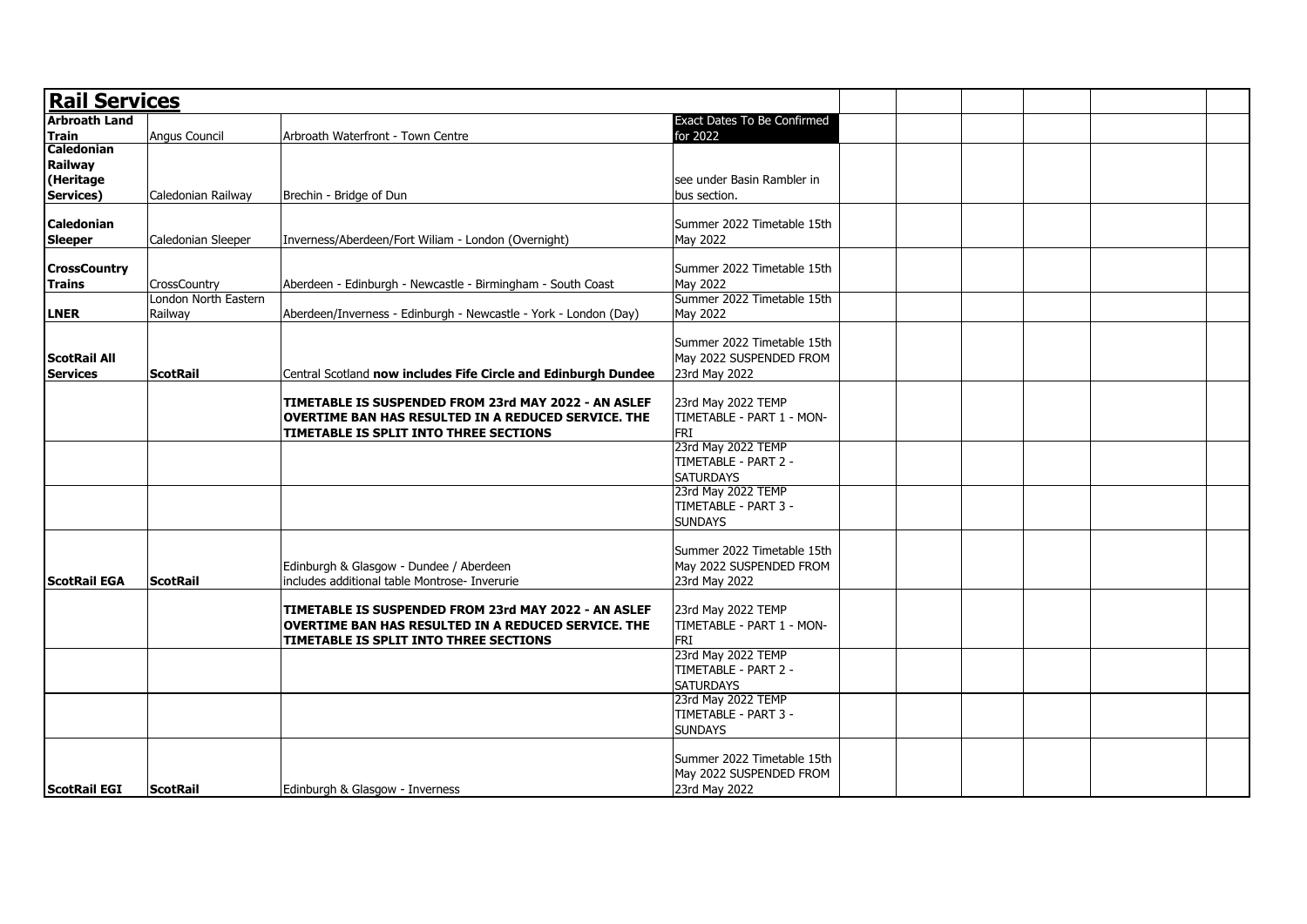| <b>Rail Services</b> |                      |                                                                                                             |                                                 |  |  |
|----------------------|----------------------|-------------------------------------------------------------------------------------------------------------|-------------------------------------------------|--|--|
| <b>Arbroath Land</b> |                      |                                                                                                             | Exact Dates To Be Confirmed                     |  |  |
| <b>Train</b>         | Angus Council        | Arbroath Waterfront - Town Centre                                                                           | for 2022                                        |  |  |
| Caledonian           |                      |                                                                                                             |                                                 |  |  |
| <b>Railway</b>       |                      |                                                                                                             |                                                 |  |  |
| (Heritage            |                      |                                                                                                             | see under Basin Rambler in                      |  |  |
| Services)            | Caledonian Railway   | Brechin - Bridge of Dun                                                                                     | bus section.                                    |  |  |
|                      |                      |                                                                                                             |                                                 |  |  |
| <b>Caledonian</b>    |                      |                                                                                                             | Summer 2022 Timetable 15th                      |  |  |
| <b>Sleeper</b>       | Caledonian Sleeper   | Inverness/Aberdeen/Fort Wiliam - London (Overnight)                                                         | May 2022                                        |  |  |
|                      |                      |                                                                                                             |                                                 |  |  |
| <b>CrossCountry</b>  |                      |                                                                                                             | Summer 2022 Timetable 15th                      |  |  |
| <b>Trains</b>        | CrossCountry         | Aberdeen - Edinburgh - Newcastle - Birmingham - South Coast                                                 | May 2022                                        |  |  |
|                      | London North Eastern |                                                                                                             | Summer 2022 Timetable 15th                      |  |  |
| LNER                 | Railway              | Aberdeen/Inverness - Edinburgh - Newcastle - York - London (Day)                                            | May 2022                                        |  |  |
|                      |                      |                                                                                                             |                                                 |  |  |
|                      |                      |                                                                                                             | Summer 2022 Timetable 15th                      |  |  |
| <b>ScotRail All</b>  |                      |                                                                                                             | May 2022 SUSPENDED FROM                         |  |  |
| <b>Services</b>      | <b>ScotRail</b>      | Central Scotland now includes Fife Circle and Edinburgh Dundee                                              | 23rd May 2022                                   |  |  |
|                      |                      |                                                                                                             |                                                 |  |  |
|                      |                      | TIMETABLE IS SUSPENDED FROM 23rd MAY 2022 - AN ASLEF                                                        | 23rd May 2022 TEMP                              |  |  |
|                      |                      | OVERTIME BAN HAS RESULTED IN A REDUCED SERVICE. THE                                                         | TIMETABLE - PART 1 - MON-                       |  |  |
|                      |                      | TIMETABLE IS SPLIT INTO THREE SECTIONS                                                                      | FRI                                             |  |  |
|                      |                      |                                                                                                             | 23rd May 2022 TEMP                              |  |  |
|                      |                      |                                                                                                             | TIMETABLE - PART 2 -                            |  |  |
|                      |                      |                                                                                                             | <b>SATURDAYS</b>                                |  |  |
|                      |                      |                                                                                                             | 23rd May 2022 TEMP                              |  |  |
|                      |                      |                                                                                                             | TIMETABLE - PART 3 -                            |  |  |
|                      |                      |                                                                                                             | <b>SUNDAYS</b>                                  |  |  |
|                      |                      |                                                                                                             |                                                 |  |  |
|                      |                      |                                                                                                             | Summer 2022 Timetable 15th                      |  |  |
|                      |                      | Edinburgh & Glasgow - Dundee / Aberdeen                                                                     | May 2022 SUSPENDED FROM                         |  |  |
| <b>ScotRail EGA</b>  | <b>ScotRail</b>      | includes additional table Montrose- Inverurie                                                               | 23rd May 2022                                   |  |  |
|                      |                      |                                                                                                             |                                                 |  |  |
|                      |                      | TIMETABLE IS SUSPENDED FROM 23rd MAY 2022 - AN ASLEF<br>OVERTIME BAN HAS RESULTED IN A REDUCED SERVICE. THE | 23rd May 2022 TEMP<br>TIMETABLE - PART 1 - MON- |  |  |
|                      |                      | TIMETABLE IS SPLIT INTO THREE SECTIONS                                                                      | FRI                                             |  |  |
|                      |                      |                                                                                                             | 23rd May 2022 TEMP                              |  |  |
|                      |                      |                                                                                                             | TIMETABLE - PART 2 -                            |  |  |
|                      |                      |                                                                                                             | <b>SATURDAYS</b>                                |  |  |
|                      |                      |                                                                                                             | 23rd May 2022 TEMP                              |  |  |
|                      |                      |                                                                                                             | TIMETABLE - PART 3 -                            |  |  |
|                      |                      |                                                                                                             | <b>SUNDAYS</b>                                  |  |  |
|                      |                      |                                                                                                             |                                                 |  |  |
|                      |                      |                                                                                                             | Summer 2022 Timetable 15th                      |  |  |
|                      |                      |                                                                                                             | May 2022 SUSPENDED FROM                         |  |  |
| <b>ScotRail EGI</b>  | <b>ScotRail</b>      | Edinburgh & Glasgow - Inverness                                                                             | 23rd May 2022                                   |  |  |
|                      |                      |                                                                                                             |                                                 |  |  |